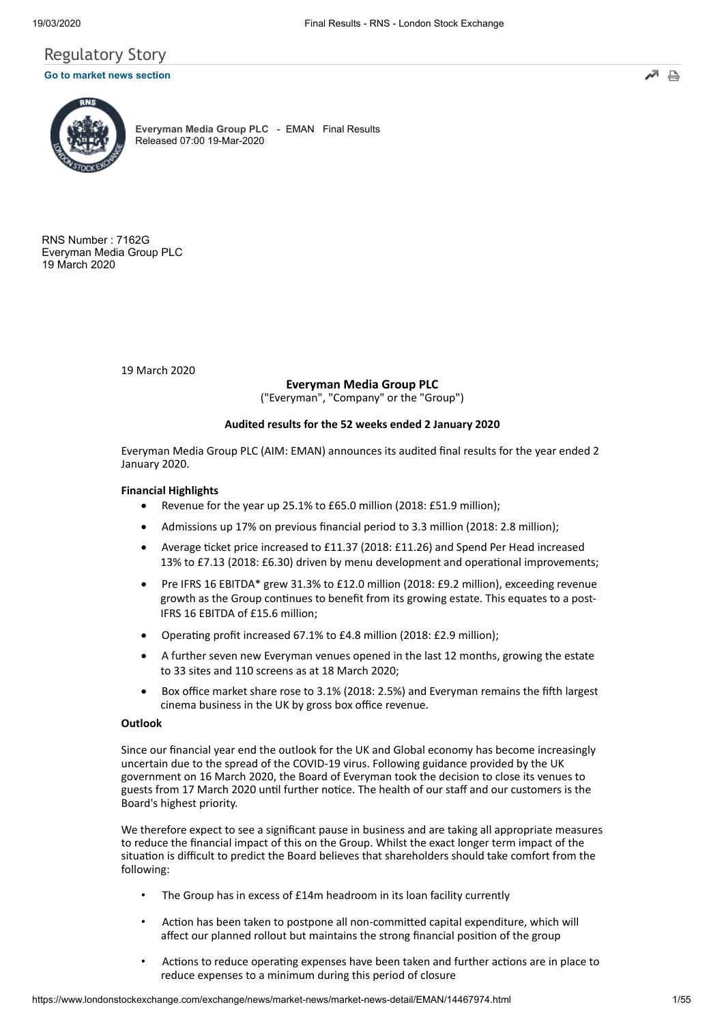## Regulatory Story

#### **[Go to market news section](javascript: sendto()**



**[Everyman Media Group PLC](https://www.londonstockexchange.com/exchange/prices-and-markets/stocks/summary/company-summary-via-tidm.html?tidm=EMAN)** - EMAN Final Results Released 07:00 19-Mar-2020

RNS Number : 7162G Everyman Media Group PLC 19 March 2020

19 March 2020

**Everyman Media Group PLC**

("Everyman", "Company" or the "Group")

#### **Audited results for the 52 weeks ended 2 January 2020**

Everyman Media Group PLC (AIM: EMAN) announces its audited final results for the year ended 2 January 2020.

#### **Financial Highlights**

- Revenue for the year up 25.1% to £65.0 million (2018: £51.9 million);
- Admissions up 17% on previous financial period to 3.3 million (2018: 2.8 million);
- Average ticket price increased to £11.37 (2018: £11.26) and Spend Per Head increased 13% to £7.13 (2018: £6.30) driven by menu development and operational improvements;
- Pre IFRS 16 EBITDA\* grew 31.3% to £12.0 million (2018: £9.2 million), exceeding revenue growth as the Group continues to benefit from its growing estate. This equates to a post-IFRS 16 EBITDA of £15.6 million;
- Operating profit increased 67.1% to £4.8 million (2018: £2.9 million);
- A further seven new Everyman venues opened in the last 12 months, growing the estate to 33 sites and 110 screens as at 18 March 2020;
- Box office market share rose to 3.1% (2018: 2.5%) and Everyman remains the fifth largest cinema business in the UK by gross box office revenue.

#### **Outlook**

Since our financial year end the outlook for the UK and Global economy has become increasingly uncertain due to the spread of the COVID-19 virus. Following guidance provided by the UK government on 16 March 2020, the Board of Everyman took the decision to close its venues to guests from 17 March 2020 until further notice. The health of our staff and our customers is the Board's highest priority.

We therefore expect to see a significant pause in business and are taking all appropriate measures to reduce the financial impact of this on the Group. Whilst the exact longer term impact of the situation is difficult to predict the Board believes that shareholders should take comfort from the following:

- The Group has in excess of £14m headroom in its loan facility currently
- Action has been taken to postpone all non-committed capital expenditure, which will affect our planned rollout but maintains the strong financial position of the group
- Actions to reduce operating expenses have been taken and further actions are in place to reduce expenses to a minimum during this period of closure

₿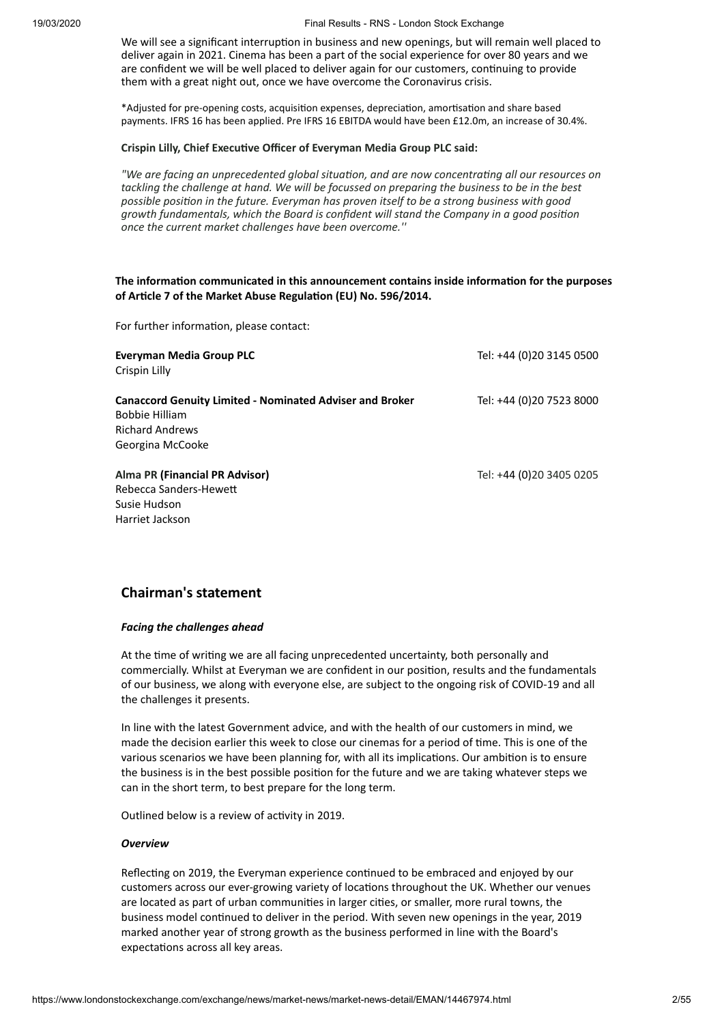We will see a significant interruption in business and new openings, but will remain well placed to deliver again in 2021. Cinema has been a part of the social experience for over 80 years and we are confident we will be well placed to deliver again for our customers, continuing to provide them with a great night out, once we have overcome the Coronavirus crisis.

\*Adjusted for pre-opening costs, acquisition expenses, depreciation, amortisation and share based payments. IFRS 16 has been applied. Pre IFRS 16 EBITDA would have been £12.0m, an increase of 30.4%.

#### **Crispin Lilly, Chief Executive Officer of Everyman Media Group PLC said:**

*"We* are facing an unprecedented global situation, and are now concentrating all our resources on *tackling the challenge at hand. We will be focussed on preparing the business to be in the best possible posion in the future. Everyman has proven itself to be a strong business with good growth fundamentals, which the Board is confident will stand the Company in a good posion once the current market challenges have been overcome.''*

#### **The information communicated in this announcement contains inside information for the purposes of Arcle 7 of the Market Abuse Regulaon (EU) No. 596/2014.**

For further information, please contact:

| Everyman Media Group PLC<br>Crispin Lilly                                                                   | Tel: +44 (0)20 3145 0500 |
|-------------------------------------------------------------------------------------------------------------|--------------------------|
| <b>Canaccord Genuity Limited - Nominated Adviser and Broker</b><br>Bobbie Hilliam<br><b>Richard Andrews</b> | Tel: +44 (0)20 7523 8000 |
| Georgina McCooke                                                                                            |                          |
| Alma PR (Financial PR Advisor)<br>Rebecca Sanders-Hewett<br>Susie Hudson<br>Harriet Jackson                 | Tel: +44 (0)20 3405 0205 |

### **Chairman's statement**

#### *Facing the challenges ahead*

At the time of writing we are all facing unprecedented uncertainty, both personally and commercially. Whilst at Everyman we are confident in our position, results and the fundamentals of our business, we along with everyone else, are subject to the ongoing risk of COVID-19 and all the challenges it presents.

In line with the latest Government advice, and with the health of our customers in mind, we made the decision earlier this week to close our cinemas for a period of time. This is one of the various scenarios we have been planning for, with all its implications. Our ambition is to ensure the business is in the best possible position for the future and we are taking whatever steps we can in the short term, to best prepare for the long term.

Outlined below is a review of activity in 2019.

#### *Overview*

Reflecting on 2019, the Everyman experience continued to be embraced and enjoyed by our customers across our ever-growing variety of locations throughout the UK. Whether our venues are located as part of urban communities in larger cities, or smaller, more rural towns, the business model continued to deliver in the period. With seven new openings in the year, 2019 marked another year of strong growth as the business performed in line with the Board's expectations across all key areas.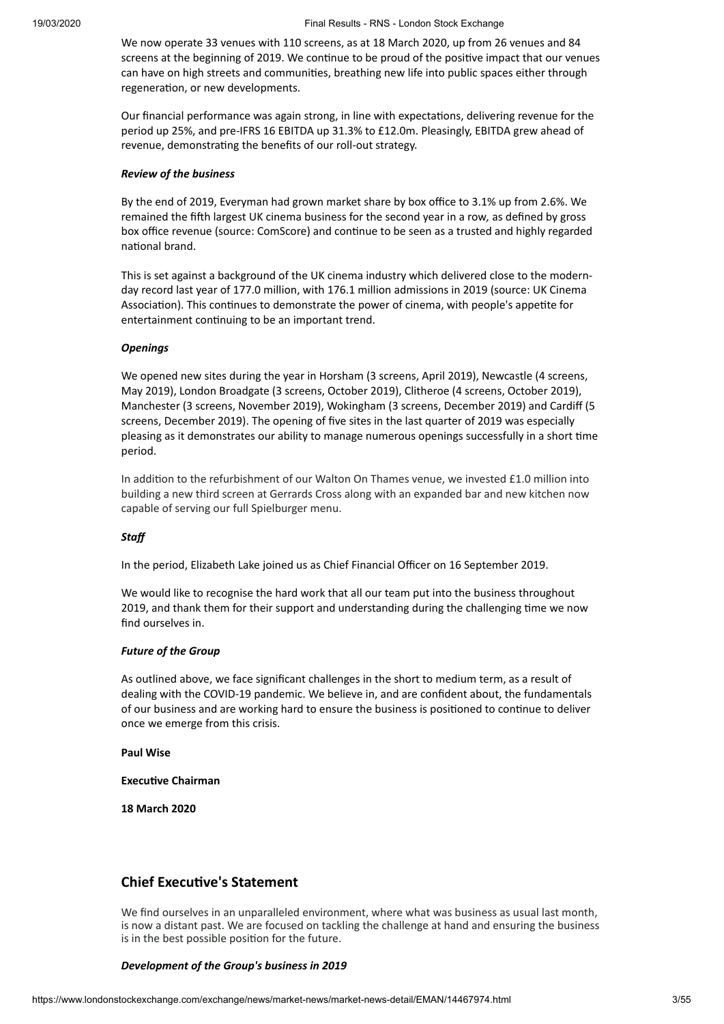We now operate 33 venues with 110 screens, as at 18 March 2020, up from 26 venues and 84 screens at the beginning of 2019. We continue to be proud of the positive impact that our venues can have on high streets and communities, breathing new life into public spaces either through regeneration, or new developments.

Our financial performance was again strong, in line with expectations, delivering revenue for the period up 25%, and pre-IFRS 16 EBITDA up 31.3% to £12.0m. Pleasingly, EBITDA grew ahead of revenue, demonstrating the benefits of our roll-out strategy.

#### *Review of the business*

By the end of 2019, Everyman had grown market share by box office to 3.1% up from 2.6%. We remained the fih largest UK cinema business for the second year in a row*,* as defined by gross box office revenue (source: ComScore) and continue to be seen as a trusted and highly regarded national brand.

This is set against a background of the UK cinema industry which delivered close to the modernday record last year of 177.0 million, with 176.1 million admissions in 2019 (source: UK Cinema Association). This continues to demonstrate the power of cinema, with people's appetite for entertainment continuing to be an important trend.

#### *Openings*

We opened new sites during the year in Horsham (3 screens, April 2019), Newcastle (4 screens, May 2019), London Broadgate (3 screens, October 2019), Clitheroe (4 screens, October 2019), Manchester (3 screens, November 2019), Wokingham (3 screens, December 2019) and Cardiff (5 screens, December 2019). The opening of five sites in the last quarter of 2019 was especially pleasing as it demonstrates our ability to manage numerous openings successfully in a short time period.

In addition to the refurbishment of our Walton On Thames venue, we invested £1.0 million into building a new third screen at Gerrards Cross along with an expanded bar and new kitchen now capable of serving our full Spielburger menu.

#### *Staff*

In the period, Elizabeth Lake joined us as Chief Financial Officer on 16 September 2019.

We would like to recognise the hard work that all our team put into the business throughout 2019, and thank them for their support and understanding during the challenging time we now find ourselves in.

#### *Future of the Group*

As outlined above, we face significant challenges in the short to medium term, as a result of dealing with the COVID-19 pandemic. We believe in, and are confident about, the fundamentals of our business and are working hard to ensure the business is positioned to continue to deliver once we emerge from this crisis.

**Paul Wise**

#### **Executive Chairman**

**18 March 2020**

### **Chief Executive's Statement**

We find ourselves in an unparalleled environment, where what was business as usual last month, is now a distant past. We are focused on tackling the challenge at hand and ensuring the business is in the best possible position for the future.

#### *Development of the Group's business in 2019*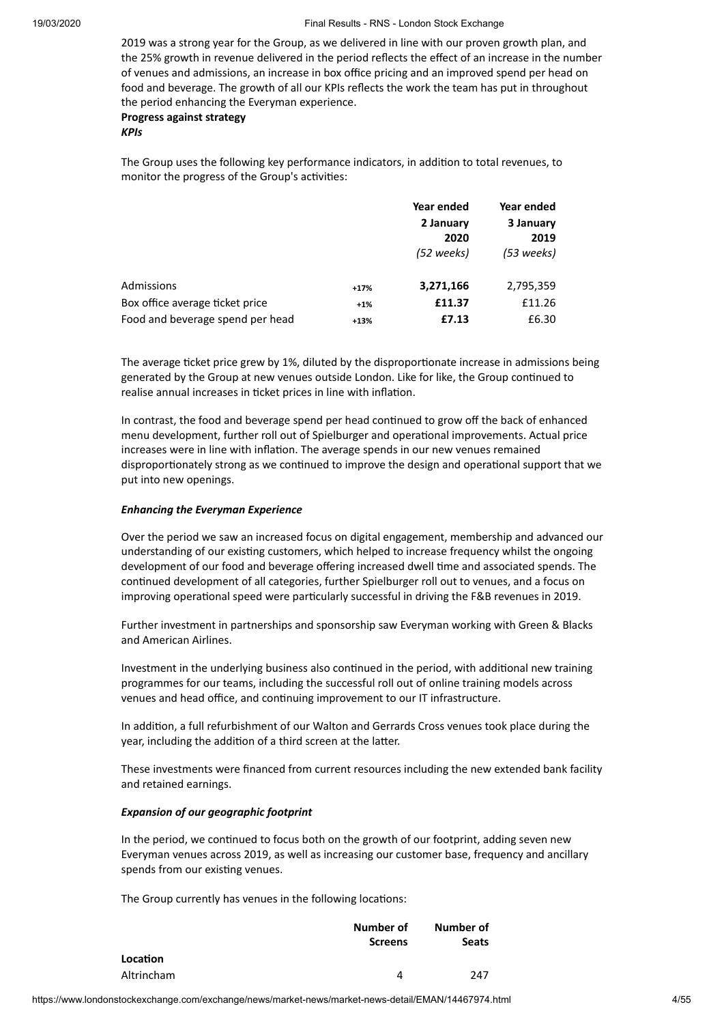2019 was a strong year for the Group, as we delivered in line with our proven growth plan, and the 25% growth in revenue delivered in the period reflects the effect of an increase in the number of venues and admissions, an increase in box office pricing and an improved spend per head on food and beverage. The growth of all our KPIs reflects the work the team has put in throughout the period enhancing the Everyman experience.

**Progress against strategy**

*KPIs*

The Group uses the following key performance indicators, in addition to total revenues, to monitor the progress of the Group's activities:

|                                  |        | Year ended | Year ended |
|----------------------------------|--------|------------|------------|
|                                  |        | 2 January  | 3 January  |
|                                  |        | 2020       | 2019       |
|                                  |        | (52 weeks) | (53 weeks) |
| Admissions                       | $+17%$ | 3,271,166  | 2,795,359  |
| Box office average ticket price  | $+1%$  | £11.37     | £11.26     |
| Food and beverage spend per head | $+13%$ | £7.13      | £6.30      |

The average ticket price grew by 1%, diluted by the disproportionate increase in admissions being generated by the Group at new venues outside London. Like for like, the Group continued to realise annual increases in ticket prices in line with inflation.

In contrast, the food and beverage spend per head continued to grow off the back of enhanced menu development, further roll out of Spielburger and operational improvements. Actual price increases were in line with inflation. The average spends in our new venues remained disproportionately strong as we continued to improve the design and operational support that we put into new openings.

#### *Enhancing the Everyman Experience*

Over the period we saw an increased focus on digital engagement, membership and advanced our understanding of our existing customers, which helped to increase frequency whilst the ongoing development of our food and beverage offering increased dwell time and associated spends. The continued development of all categories, further Spielburger roll out to venues, and a focus on improving operational speed were particularly successful in driving the F&B revenues in 2019.

Further investment in partnerships and sponsorship saw Everyman working with Green & Blacks and American Airlines.

Investment in the underlying business also continued in the period, with additional new training programmes for our teams, including the successful roll out of online training models across venues and head office, and continuing improvement to our IT infrastructure.

In addition, a full refurbishment of our Walton and Gerrards Cross venues took place during the year, including the addition of a third screen at the latter.

These investments were financed from current resources including the new extended bank facility and retained earnings.

#### *Expansion of our geographic footprint*

In the period, we continued to focus both on the growth of our footprint, adding seven new Everyman venues across 2019, as well as increasing our customer base, frequency and ancillary spends from our existing venues.

The Group currently has venues in the following locations:

|            | Number of      | Number of    |  |  |
|------------|----------------|--------------|--|--|
|            | <b>Screens</b> | <b>Seats</b> |  |  |
| Location   |                |              |  |  |
| Altrincham |                | 247          |  |  |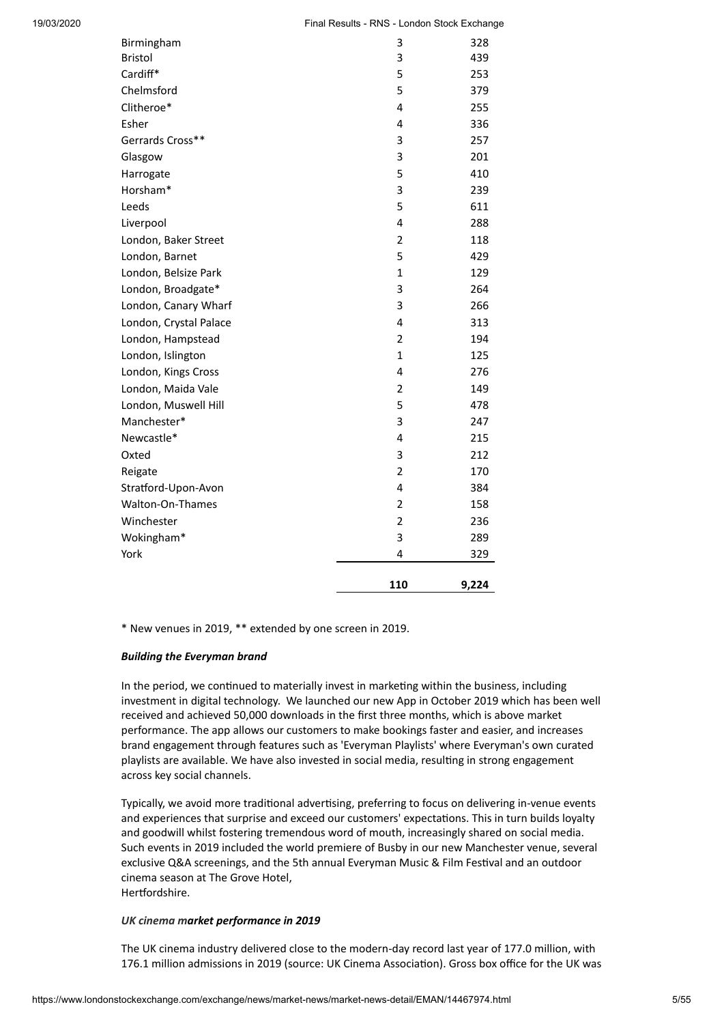| Birmingham             | 3              | 328   |
|------------------------|----------------|-------|
| <b>Bristol</b>         | 3              | 439   |
| Cardiff*               | 5              | 253   |
| Chelmsford             | 5              | 379   |
| Clitheroe*             | 4              | 255   |
| Esher                  | 4              | 336   |
| Gerrards Cross**       | 3              | 257   |
| Glasgow                | 3              | 201   |
| Harrogate              | 5              | 410   |
| Horsham*               | 3              | 239   |
| Leeds                  | 5              | 611   |
| Liverpool              | 4              | 288   |
| London, Baker Street   | $\overline{2}$ | 118   |
| London, Barnet         | 5              | 429   |
| London, Belsize Park   | $\mathbf{1}$   | 129   |
| London, Broadgate*     | 3              | 264   |
| London, Canary Wharf   | 3              | 266   |
| London, Crystal Palace | 4              | 313   |
| London, Hampstead      | $\overline{2}$ | 194   |
| London, Islington      | 1              | 125   |
| London, Kings Cross    | 4              | 276   |
| London, Maida Vale     | 2              | 149   |
| London, Muswell Hill   | 5              | 478   |
| Manchester*            | 3              | 247   |
| Newcastle*             | 4              | 215   |
| Oxted                  | 3              | 212   |
| Reigate                | $\overline{2}$ | 170   |
| Stratford-Upon-Avon    | 4              | 384   |
| Walton-On-Thames       | $\overline{2}$ | 158   |
| Winchester             | $\overline{2}$ | 236   |
| Wokingham*             | 3              | 289   |
| York                   | 4              | 329   |
|                        | 110            | 9,224 |
|                        |                |       |

\* New venues in 2019, \*\* extended by one screen in 2019.

#### *Building the Everyman brand*

In the period, we continued to materially invest in marketing within the business, including investment in digital technology. We launched our new App in October 2019 which has been well received and achieved 50,000 downloads in the first three months, which is above market performance. The app allows our customers to make bookings faster and easier, and increases brand engagement through features such as 'Everyman Playlists' where Everyman's own curated playlists are available. We have also invested in social media, resulting in strong engagement across key social channels.

Typically, we avoid more traditional advertising, preferring to focus on delivering in-venue events and experiences that surprise and exceed our customers' expectations. This in turn builds loyalty and goodwill whilst fostering tremendous word of mouth, increasingly shared on social media. Such events in 2019 included the world premiere of Busby in our new Manchester venue, several exclusive Q&A screenings, and the 5th annual Everyman Music & Film Festival and an outdoor cinema season at The Grove Hotel, Hertfordshire.

#### *UK cinema market performance in 2019*

The UK cinema industry delivered close to the modern-day record last year of 177.0 million, with 176.1 million admissions in 2019 (source: UK Cinema Association). Gross box office for the UK was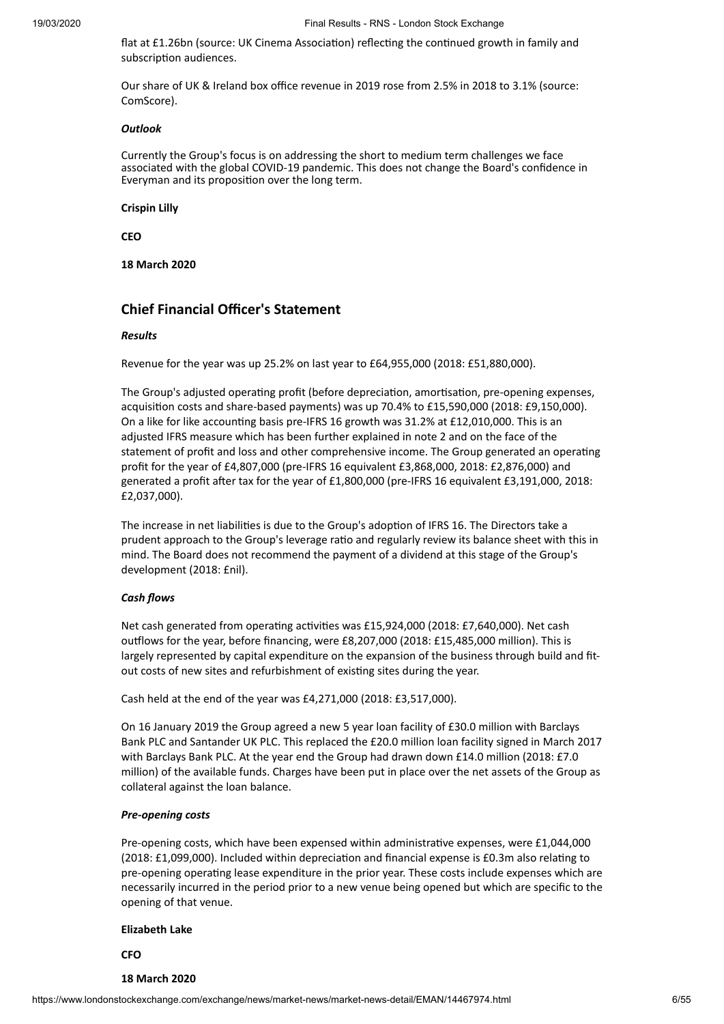flat at £1.26bn (source: UK Cinema Association) reflecting the continued growth in family and subscription audiences.

Our share of UK & Ireland box office revenue in 2019 rose from 2.5% in 2018 to 3.1% (source: ComScore).

#### *Outlook*

Currently the Group's focus is on addressing the short to medium term challenges we face associated with the global COVID-19 pandemic. This does not change the Board's confidence in Everyman and its proposition over the long term.

#### **Crispin Lilly**

**CEO**

**18 March 2020**

### **Chief Financial Officer's Statement**

#### *Results*

Revenue for the year was up 25.2% on last year to £64,955,000 (2018: £51,880,000).

The Group's adjusted operating profit (before depreciation, amortisation, pre-opening expenses, acquisition costs and share-based payments) was up  $70.4%$  to  $£15,590,000$  (2018: £9,150,000). On a like for like accounting basis pre-IFRS 16 growth was 31.2% at £12,010,000. This is an adjusted IFRS measure which has been further explained in note 2 and on the face of the statement of profit and loss and other comprehensive income. The Group generated an operating profit for the year of £4,807,000 (pre-IFRS 16 equivalent £3,868,000, 2018: £2,876,000) and generated a profit after tax for the year of £1,800,000 (pre-IFRS 16 equivalent £3,191,000, 2018: £2,037,000).

The increase in net liabilities is due to the Group's adoption of IFRS 16. The Directors take a prudent approach to the Group's leverage ratio and regularly review its balance sheet with this in mind. The Board does not recommend the payment of a dividend at this stage of the Group's development (2018: £nil).

#### *Cash flows*

Net cash generated from operating activities was £15,924,000 (2018: £7,640,000). Net cash outflows for the year, before financing, were £8,207,000 (2018: £15,485,000 million). This is largely represented by capital expenditure on the expansion of the business through build and fitout costs of new sites and refurbishment of existing sites during the year.

Cash held at the end of the year was £4,271,000 (2018: £3,517,000).

On 16 January 2019 the Group agreed a new 5 year loan facility of £30.0 million with Barclays Bank PLC and Santander UK PLC. This replaced the £20.0 million loan facility signed in March 2017 with Barclays Bank PLC. At the year end the Group had drawn down £14.0 million (2018: £7.0 million) of the available funds. Charges have been put in place over the net assets of the Group as collateral against the loan balance.

#### *Pre-opening costs*

Pre-opening costs, which have been expensed within administrative expenses, were £1,044,000 (2018: £1,099,000). Included within depreciation and financial expense is £0.3m also relating to pre-opening operating lease expenditure in the prior year. These costs include expenses which are necessarily incurred in the period prior to a new venue being opened but which are specific to the opening of that venue.

#### **Elizabeth Lake**

**CFO**

#### **18 March 2020**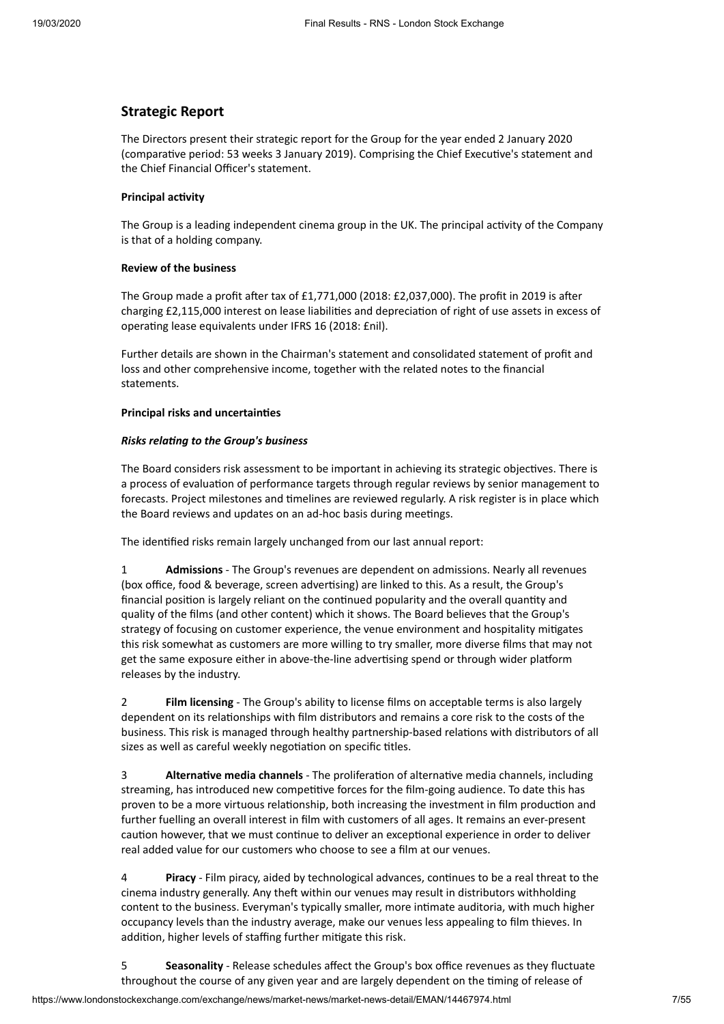#### **Strategic Report**

The Directors present their strategic report for the Group for the year ended 2 January 2020 (comparative period: 53 weeks 3 January 2019). Comprising the Chief Executive's statement and the Chief Financial Officer's statement.

#### **Principal** activity

The Group is a leading independent cinema group in the UK. The principal activity of the Company is that of a holding company.

#### **Review of the business**

The Group made a profit after tax of  $£1,771,000$  (2018:  $£2,037,000$ ). The profit in 2019 is after charging £2,115,000 interest on lease liabilities and depreciation of right of use assets in excess of operating lease equivalents under IFRS 16 (2018: £nil).

Further details are shown in the Chairman's statement and consolidated statement of profit and loss and other comprehensive income, together with the related notes to the financial statements.

#### **Principal risks and uncertaines**

#### **Risks relating to the Group's business**

The Board considers risk assessment to be important in achieving its strategic objectives. There is a process of evaluation of performance targets through regular reviews by senior management to forecasts. Project milestones and timelines are reviewed regularly. A risk register is in place which the Board reviews and updates on an ad-hoc basis during meetings.

The identified risks remain largely unchanged from our last annual report:

1 **Admissions** - The Group's revenues are dependent on admissions. Nearly all revenues (box office, food & beverage, screen advertising) are linked to this. As a result, the Group's financial position is largely reliant on the continued popularity and the overall quantity and quality of the films (and other content) which it shows. The Board believes that the Group's strategy of focusing on customer experience, the venue environment and hospitality migates this risk somewhat as customers are more willing to try smaller, more diverse films that may not get the same exposure either in above-the-line advertising spend or through wider platform releases by the industry.

2 **Film licensing** - The Group's ability to license films on acceptable terms is also largely dependent on its relationships with film distributors and remains a core risk to the costs of the business. This risk is managed through healthy partnership-based relations with distributors of all sizes as well as careful weekly negotiation on specific titles.

**3 Alternative media channels** - The proliferation of alternative media channels, including streaming, has introduced new competitive forces for the film-going audience. To date this has proven to be a more virtuous relationship, both increasing the investment in film production and further fuelling an overall interest in film with customers of all ages. It remains an ever-present caution however, that we must continue to deliver an exceptional experience in order to deliver real added value for our customers who choose to see a film at our venues.

**Piracy** - Film piracy, aided by technological advances, continues to be a real threat to the cinema industry generally. Any theft within our venues may result in distributors withholding content to the business. Everyman's typically smaller, more intimate auditoria, with much higher occupancy levels than the industry average, make our venues less appealing to film thieves. In addition, higher levels of staffing further mitigate this risk.

5 **Seasonality** - Release schedules affect the Group's box office revenues as they fluctuate throughout the course of any given year and are largely dependent on the timing of release of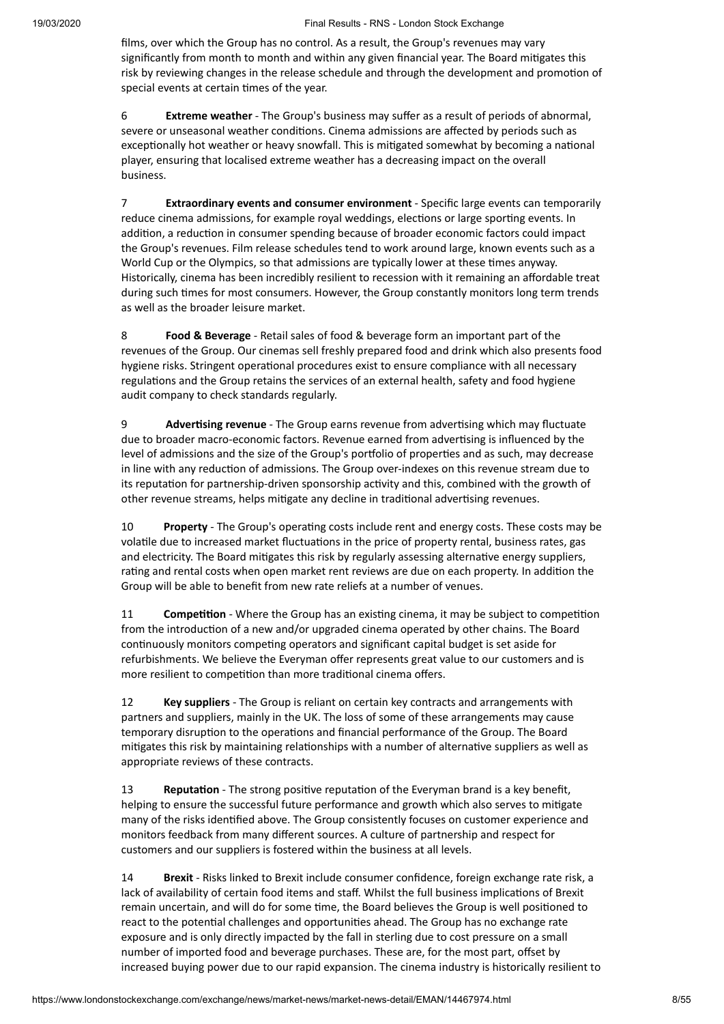films, over which the Group has no control. As a result, the Group's revenues may vary significantly from month to month and within any given financial year. The Board mitigates this risk by reviewing changes in the release schedule and through the development and promotion of special events at certain times of the year.

6 **Extreme weather** - The Group's business may suffer as a result of periods of abnormal, severe or unseasonal weather conditions. Cinema admissions are affected by periods such as exceptionally hot weather or heavy snowfall. This is mitigated somewhat by becoming a national player, ensuring that localised extreme weather has a decreasing impact on the overall business.

7 **Extraordinary events and consumer environment** - Specific large events can temporarily reduce cinema admissions, for example royal weddings, elections or large sporting events. In addition, a reduction in consumer spending because of broader economic factors could impact the Group's revenues. Film release schedules tend to work around large, known events such as a World Cup or the Olympics, so that admissions are typically lower at these times anyway. Historically, cinema has been incredibly resilient to recession with it remaining an affordable treat during such times for most consumers. However, the Group constantly monitors long term trends as well as the broader leisure market.

8 **Food & Beverage** - Retail sales of food & beverage form an important part of the revenues of the Group. Our cinemas sell freshly prepared food and drink which also presents food hygiene risks. Stringent operational procedures exist to ensure compliance with all necessary regulations and the Group retains the services of an external health, safety and food hygiene audit company to check standards regularly.

9 **Advertising revenue** - The Group earns revenue from advertising which may fluctuate due to broader macro-economic factors. Revenue earned from advertising is influenced by the level of admissions and the size of the Group's portfolio of properties and as such, may decrease in line with any reduction of admissions. The Group over-indexes on this revenue stream due to its reputation for partnership-driven sponsorship activity and this, combined with the growth of other revenue streams, helps mitigate any decline in traditional advertising revenues.

10 **Property** - The Group's operating costs include rent and energy costs. These costs may be volatile due to increased market fluctuations in the price of property rental, business rates, gas and electricity. The Board mitigates this risk by regularly assessing alternative energy suppliers, rating and rental costs when open market rent reviews are due on each property. In addition the Group will be able to benefit from new rate reliefs at a number of venues.

11 **Competition** - Where the Group has an existing cinema, it may be subject to competition from the introduction of a new and/or upgraded cinema operated by other chains. The Board continuously monitors competing operators and significant capital budget is set aside for refurbishments. We believe the Everyman offer represents great value to our customers and is more resilient to competition than more traditional cinema offers.

12 **Key suppliers** - The Group is reliant on certain key contracts and arrangements with partners and suppliers, mainly in the UK. The loss of some of these arrangements may cause temporary disruption to the operations and financial performance of the Group. The Board mitigates this risk by maintaining relationships with a number of alternative suppliers as well as appropriate reviews of these contracts.

13 **Reputation** - The strong positive reputation of the Everyman brand is a key benefit, helping to ensure the successful future performance and growth which also serves to migate many of the risks identified above. The Group consistently focuses on customer experience and monitors feedback from many different sources. A culture of partnership and respect for customers and our suppliers is fostered within the business at all levels.

14 **Brexit** - Risks linked to Brexit include consumer confidence, foreign exchange rate risk, a lack of availability of certain food items and staff. Whilst the full business implications of Brexit remain uncertain, and will do for some time, the Board believes the Group is well positioned to react to the potential challenges and opportunities ahead. The Group has no exchange rate exposure and is only directly impacted by the fall in sterling due to cost pressure on a small number of imported food and beverage purchases. These are, for the most part, offset by increased buying power due to our rapid expansion. The cinema industry is historically resilient to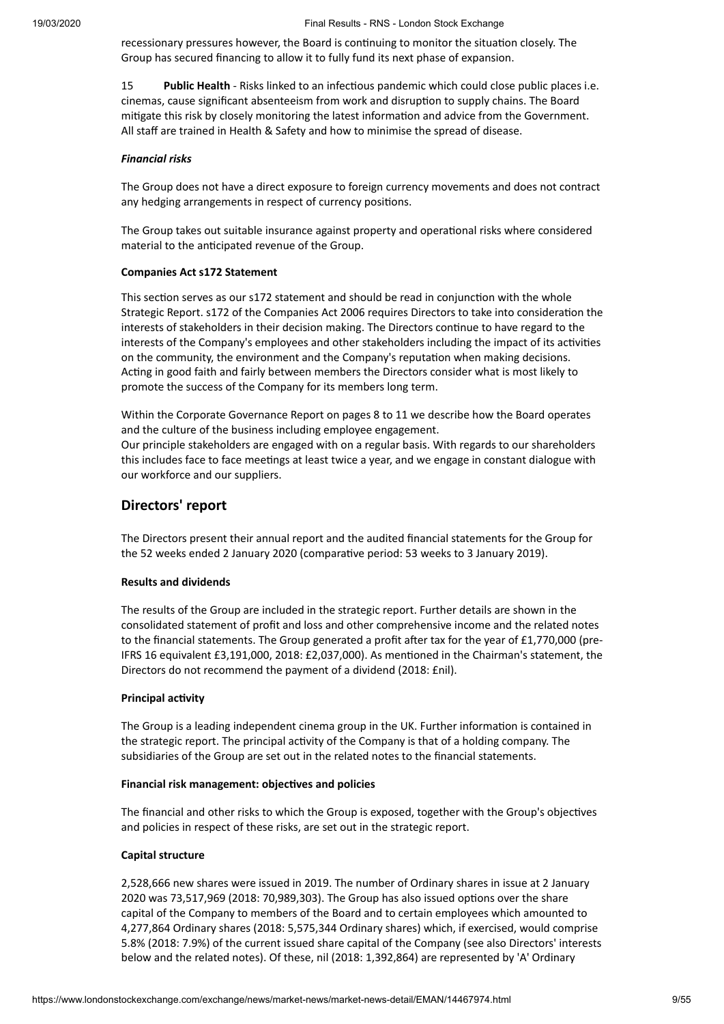recessionary pressures however, the Board is continuing to monitor the situation closely. The Group has secured financing to allow it to fully fund its next phase of expansion.

15 **Public Health** - Risks linked to an infectious pandemic which could close public places i.e. cinemas, cause significant absenteeism from work and disruption to supply chains. The Board mitigate this risk by closely monitoring the latest information and advice from the Government. All staff are trained in Health & Safety and how to minimise the spread of disease.

#### *Financial risks*

The Group does not have a direct exposure to foreign currency movements and does not contract any hedging arrangements in respect of currency positions.

The Group takes out suitable insurance against property and operational risks where considered material to the anticipated revenue of the Group.

#### **Companies Act s172 Statement**

This section serves as our s172 statement and should be read in conjunction with the whole Strategic Report. s172 of the Companies Act 2006 requires Directors to take into consideration the interests of stakeholders in their decision making. The Directors continue to have regard to the interests of the Company's employees and other stakeholders including the impact of its activities on the community, the environment and the Company's reputation when making decisions. Acting in good faith and fairly between members the Directors consider what is most likely to promote the success of the Company for its members long term.

Within the Corporate Governance Report on pages 8 to 11 we describe how the Board operates and the culture of the business including employee engagement. Our principle stakeholders are engaged with on a regular basis. With regards to our shareholders this includes face to face meetings at least twice a year, and we engage in constant dialogue with our workforce and our suppliers.

#### **Directors' report**

The Directors present their annual report and the audited financial statements for the Group for the 52 weeks ended 2 January 2020 (comparative period: 53 weeks to 3 January 2019).

#### **Results and dividends**

The results of the Group are included in the strategic report. Further details are shown in the consolidated statement of profit and loss and other comprehensive income and the related notes to the financial statements. The Group generated a profit after tax for the year of  $£1,770,000$  (pre-IFRS 16 equivalent £3,191,000, 2018: £2,037,000). As mentioned in the Chairman's statement, the Directors do not recommend the payment of a dividend (2018: £nil).

#### **Principal** activity

The Group is a leading independent cinema group in the UK. Further information is contained in the strategic report. The principal activity of the Company is that of a holding company. The subsidiaries of the Group are set out in the related notes to the financial statements.

#### **Financial risk management: objectives and policies**

The financial and other risks to which the Group is exposed, together with the Group's objectives and policies in respect of these risks, are set out in the strategic report.

#### **Capital structure**

2,528,666 new shares were issued in 2019. The number of Ordinary shares in issue at 2 January 2020 was 73,517,969 (2018: 70,989,303). The Group has also issued options over the share capital of the Company to members of the Board and to certain employees which amounted to 4,277,864 Ordinary shares (2018: 5,575,344 Ordinary shares) which, if exercised, would comprise 5.8% (2018: 7.9%) of the current issued share capital of the Company (see also Directors' interests below and the related notes). Of these, nil (2018: 1,392,864) are represented by 'A' Ordinary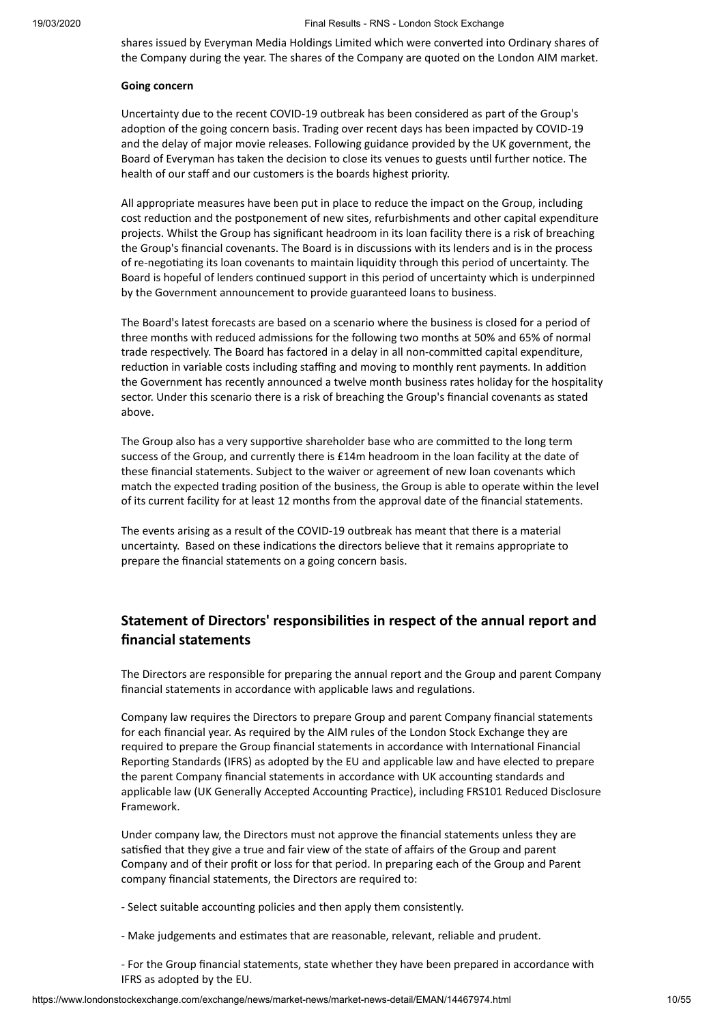shares issued by Everyman Media Holdings Limited which were converted into Ordinary shares of the Company during the year. The shares of the Company are quoted on the London AIM market.

#### **Going concern**

Uncertainty due to the recent COVID-19 outbreak has been considered as part of the Group's adoption of the going concern basis. Trading over recent days has been impacted by COVID-19 and the delay of major movie releases. Following guidance provided by the UK government, the Board of Everyman has taken the decision to close its venues to guests until further notice. The health of our staff and our customers is the boards highest priority.

All appropriate measures have been put in place to reduce the impact on the Group, including cost reduction and the postponement of new sites, refurbishments and other capital expenditure projects. Whilst the Group has significant headroom in its loan facility there is a risk of breaching the Group's financial covenants. The Board is in discussions with its lenders and is in the process of re-negotiating its loan covenants to maintain liquidity through this period of uncertainty. The Board is hopeful of lenders continued support in this period of uncertainty which is underpinned by the Government announcement to provide guaranteed loans to business.

The Board's latest forecasts are based on a scenario where the business is closed for a period of three months with reduced admissions for the following two months at 50% and 65% of normal trade respectively. The Board has factored in a delay in all non-committed capital expenditure, reduction in variable costs including staffing and moving to monthly rent payments. In addition the Government has recently announced a twelve month business rates holiday for the hospitality sector. Under this scenario there is a risk of breaching the Group's financial covenants as stated above.

The Group also has a very supportive shareholder base who are committed to the long term success of the Group, and currently there is £14m headroom in the loan facility at the date of these financial statements. Subject to the waiver or agreement of new loan covenants which match the expected trading position of the business, the Group is able to operate within the level of its current facility for at least 12 months from the approval date of the financial statements.

The events arising as a result of the COVID-19 outbreak has meant that there is a material uncertainty. Based on these indications the directors believe that it remains appropriate to prepare the financial statements on a going concern basis.

## **Statement of Directors' responsibilies in respect of the annual report and financial statements**

The Directors are responsible for preparing the annual report and the Group and parent Company financial statements in accordance with applicable laws and regulations.

Company law requires the Directors to prepare Group and parent Company financial statements for each financial year. As required by the AIM rules of the London Stock Exchange they are required to prepare the Group financial statements in accordance with International Financial Reporting Standards (IFRS) as adopted by the EU and applicable law and have elected to prepare the parent Company financial statements in accordance with UK accounting standards and applicable law (UK Generally Accepted Accounting Practice), including FRS101 Reduced Disclosure Framework.

Under company law, the Directors must not approve the financial statements unless they are satisfied that they give a true and fair view of the state of affairs of the Group and parent Company and of their profit or loss for that period. In preparing each of the Group and Parent company financial statements, the Directors are required to:

- Select suitable accounting policies and then apply them consistently.
- Make judgements and estimates that are reasonable, relevant, reliable and prudent.
- For the Group financial statements, state whether they have been prepared in accordance with IFRS as adopted by the EU.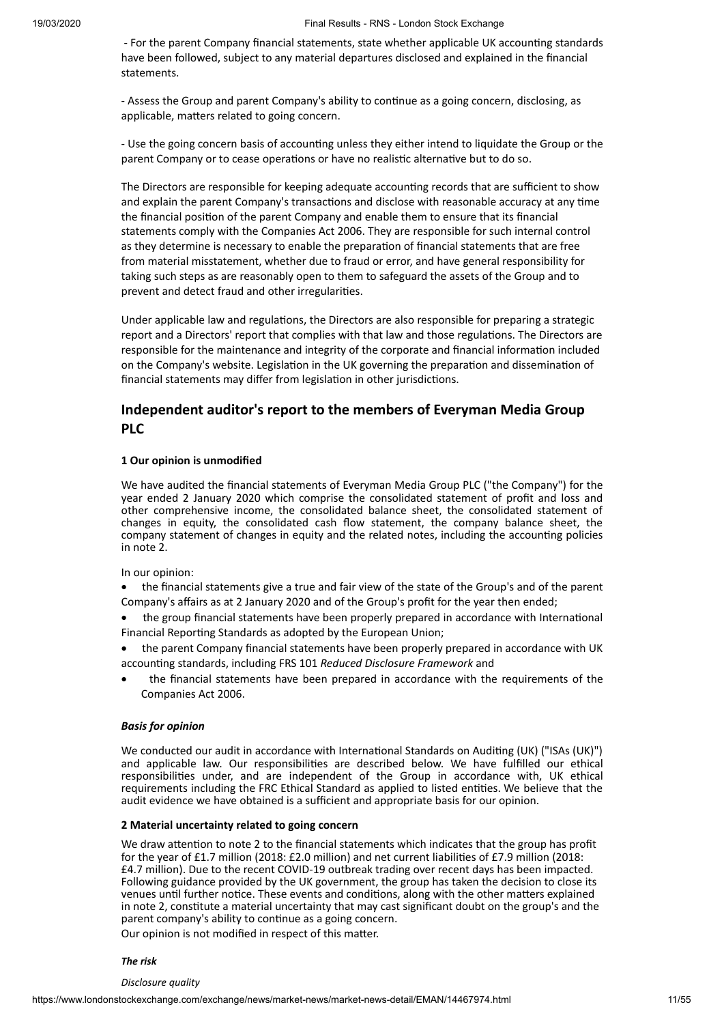- For the parent Company financial statements, state whether applicable UK accounting standards have been followed, subject to any material departures disclosed and explained in the financial statements.

- Assess the Group and parent Company's ability to continue as a going concern, disclosing, as applicable, matters related to going concern.

- Use the going concern basis of accounting unless they either intend to liquidate the Group or the parent Company or to cease operations or have no realistic alternative but to do so.

The Directors are responsible for keeping adequate accounting records that are sufficient to show and explain the parent Company's transactions and disclose with reasonable accuracy at any time the financial position of the parent Company and enable them to ensure that its financial statements comply with the Companies Act 2006. They are responsible for such internal control as they determine is necessary to enable the preparation of financial statements that are free from material misstatement, whether due to fraud or error, and have general responsibility for taking such steps as are reasonably open to them to safeguard the assets of the Group and to prevent and detect fraud and other irregularities.

Under applicable law and regulations, the Directors are also responsible for preparing a strategic report and a Directors' report that complies with that law and those regulations. The Directors are responsible for the maintenance and integrity of the corporate and financial information included on the Company's website. Legislation in the UK governing the preparation and dissemination of financial statements may differ from legislation in other jurisdictions.

## **Independent auditor's report to the members of Everyman Media Group PLC**

#### **1 Our opinion is unmodified**

We have audited the financial statements of Everyman Media Group PLC ("the Company") for the year ended 2 January 2020 which comprise the consolidated statement of profit and loss and other comprehensive income, the consolidated balance sheet, the consolidated statement of changes in equity, the consolidated cash flow statement, the company balance sheet, the company statement of changes in equity and the related notes, including the accounting policies in note 2.

In our opinion:

· the financial statements give a true and fair view of the state of the Group's and of the parent Company's affairs as at 2 January 2020 and of the Group's profit for the year then ended;

the group financial statements have been properly prepared in accordance with International Financial Reporting Standards as adopted by the European Union;

- · the parent Company financial statements have been properly prepared in accordance with UK accounng standards, including FRS 101 *Reduced Disclosure Framework* and
- · the financial statements have been prepared in accordance with the requirements of the Companies Act 2006.

#### *Basis for opinion*

We conducted our audit in accordance with International Standards on Auditing (UK) ("ISAs (UK)") and applicable law. Our responsibilities are described below. We have fulfilled our ethical responsibilies under, and are independent of the Group in accordance with, UK ethical requirements including the FRC Ethical Standard as applied to listed entities. We believe that the audit evidence we have obtained is a sufficient and appropriate basis for our opinion.

#### **2 Material uncertainty related to going concern**

We draw attention to note 2 to the financial statements which indicates that the group has profit for the year of £1.7 million (2018: £2.0 million) and net current liabilities of £7.9 million (2018: £4.7 million). Due to the recent COVID-19 outbreak trading over recent days has been impacted. Following guidance provided by the UK government, the group has taken the decision to close its venues until further notice. These events and conditions, along with the other matters explained in note 2, constitute a material uncertainty that may cast significant doubt on the group's and the parent company's ability to continue as a going concern.

Our opinion is not modified in respect of this matter.

#### *The risk*

*Disclosure quality*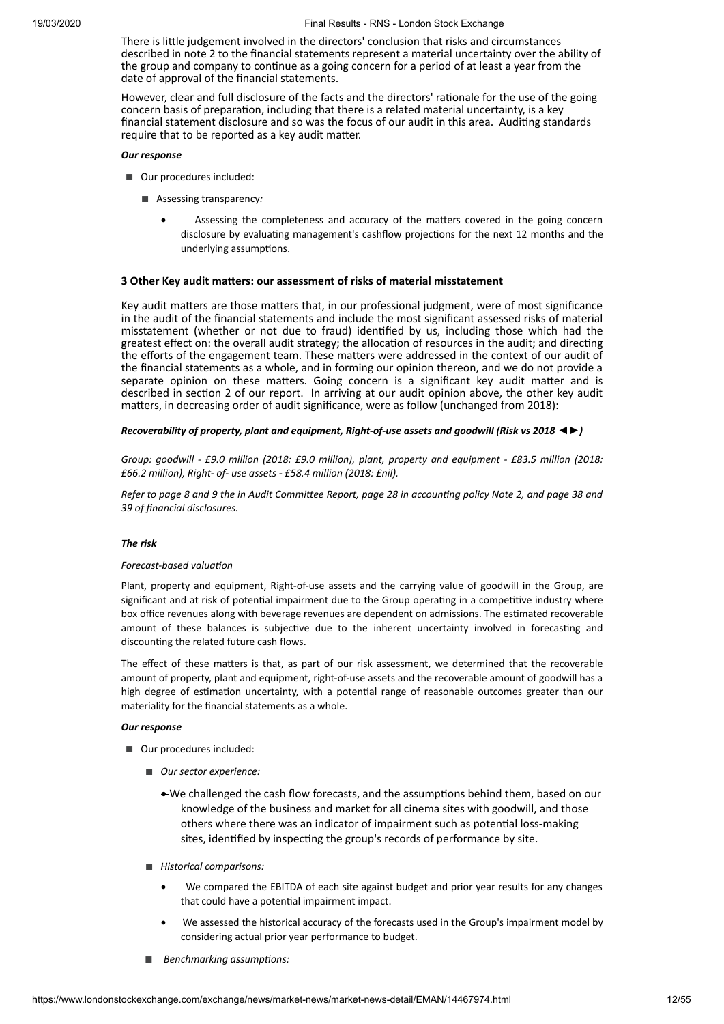There is little judgement involved in the directors' conclusion that risks and circumstances described in note 2 to the financial statements represent a material uncertainty over the ability of the group and company to continue as a going concern for a period of at least a year from the date of approval of the financial statements.

However, clear and full disclosure of the facts and the directors' rationale for the use of the going concern basis of preparation, including that there is a related material uncertainty, is a key financial statement disclosure and so was the focus of our audit in this area. Auditing standards require that to be reported as a key audit matter.

#### *Our response*

- Our procedures included:
	- Assessing transparency*:* 
		- Assessing the completeness and accuracy of the matters covered in the going concern disclosure by evaluating management's cashflow projections for the next 12 months and the underlying assumptions.

#### **3 Other Key audit maers: our assessment of risks of material misstatement**

Key audit matters are those matters that, in our professional judgment, were of most significance in the audit of the financial statements and include the most significant assessed risks of material misstatement (whether or not due to fraud) idenfied by us, including those which had the greatest effect on: the overall audit strategy; the allocation of resources in the audit; and directing the efforts of the engagement team. These matters were addressed in the context of our audit of the financial statements as a whole, and in forming our opinion thereon, and we do not provide a separate opinion on these matters. Going concern is a significant key audit matter and is described in section 2 of our report. In arriving at our audit opinion above, the other key audit matters, in decreasing order of audit significance, were as follow (unchanged from 2018):

#### *Recoverability of property, plant and equipment, Right-of-use assets and goodwill (Risk vs 2018 ◄►)*

*Group: goodwill - £9.0 million (2018: £9.0 million), plant, property and equipment - £83.5 million (2018: £66.2 million), Right- of- use assets - £58.4 million (2018: £nil).*

Refer to page 8 and 9 the in Audit Committee Report, page 28 in accounting policy Note 2, and page 38 and *39 of financial disclosures.*

#### *The risk*

#### *Forecast-based* valuation

Plant, property and equipment, Right-of-use assets and the carrying value of goodwill in the Group, are significant and at risk of potential impairment due to the Group operating in a competitive industry where box office revenues along with beverage revenues are dependent on admissions. The estimated recoverable amount of these balances is subjective due to the inherent uncertainty involved in forecasting and discounting the related future cash flows.

The effect of these matters is that, as part of our risk assessment, we determined that the recoverable amount of property, plant and equipment, right-of-use assets and the recoverable amount of goodwill has a high degree of estimation uncertainty, with a potential range of reasonable outcomes greater than our materiality for the financial statements as a whole.

#### *Our response*

- Our procedures included:
	- *Our sector experience:* 
		- We challenged the cash flow forecasts, and the assumptions behind them, based on our knowledge of the business and market for all cinema sites with goodwill, and those others where there was an indicator of impairment such as potential loss-making sites, identified by inspecting the group's records of performance by site.
	- *Historical comparisons:*
		- We compared the EBITDA of each site against budget and prior year results for any changes that could have a potential impairment impact.
		- We assessed the historical accuracy of the forecasts used in the Group's impairment model by considering actual prior year performance to budget.
	- *Benchmarking assumptions:*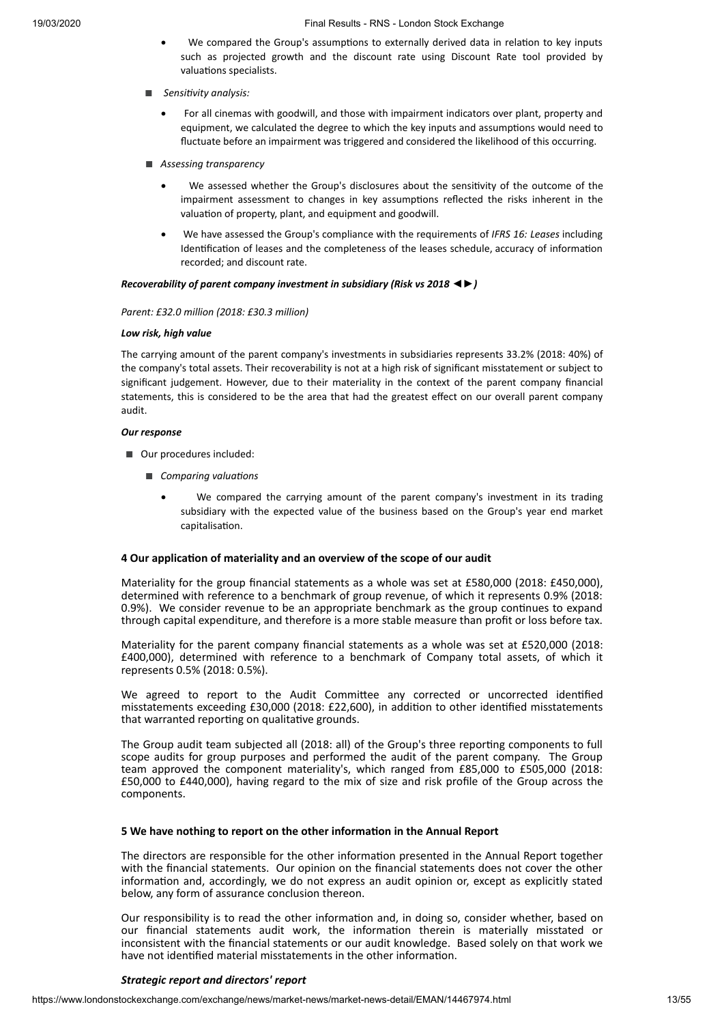- We compared the Group's assumptions to externally derived data in relation to key inputs such as projected growth and the discount rate using Discount Rate tool provided by valuations specialists.
- *Sensivity analysis:*
	- For all cinemas with goodwill, and those with impairment indicators over plant, property and equipment, we calculated the degree to which the key inputs and assumptions would need to fluctuate before an impairment was triggered and considered the likelihood of this occurring.
- *Assessing transparency*
	- We assessed whether the Group's disclosures about the sensitivity of the outcome of the impairment assessment to changes in key assumptions reflected the risks inherent in the valuation of property, plant, and equipment and goodwill.
	- · We have assessed the Group's compliance with the requirements of *IFRS 16: Leases* including Identification of leases and the completeness of the leases schedule, accuracy of information recorded; and discount rate.

#### *Recoverability of parent company investment in subsidiary (Risk vs 2018 ◄►)*

#### *Parent: £32.0 million (2018: £30.3 million)*

#### *Low risk, high value*

The carrying amount of the parent company's investments in subsidiaries represents 33.2% (2018: 40%) of the company's total assets. Their recoverability is not at a high risk of significant misstatement or subject to significant judgement. However, due to their materiality in the context of the parent company financial statements, this is considered to be the area that had the greatest effect on our overall parent company audit.

#### *Our response*

- Our procedures included:
	- *Comparing valuations* 
		- We compared the carrying amount of the parent company's investment in its trading subsidiary with the expected value of the business based on the Group's year end market capitalisation.

#### **4 Our applicaon of materiality and an overview of the scope of our audit**

Materiality for the group financial statements as a whole was set at £580,000 (2018: £450,000), determined with reference to a benchmark of group revenue, of which it represents 0.9% (2018: 0.9%). We consider revenue to be an appropriate benchmark as the group continues to expand through capital expenditure, and therefore is a more stable measure than profit or loss before tax.

Materiality for the parent company financial statements as a whole was set at £520,000 (2018: £400,000), determined with reference to a benchmark of Company total assets, of which it represents 0.5% (2018: 0.5%).

We agreed to report to the Audit Committee any corrected or uncorrected identified misstatements exceeding £30,000 (2018: £22,600), in addition to other identified misstatements that warranted reporting on qualitative grounds.

The Group audit team subjected all (2018: all) of the Group's three reporting components to full scope audits for group purposes and performed the audit of the parent company. The Group team approved the component materiality's, which ranged from £85,000 to £505,000 (2018: £50,000 to £440,000), having regard to the mix of size and risk profile of the Group across the components.

#### **5 We have nothing to report on the other informaon in the Annual Report**

The directors are responsible for the other information presented in the Annual Report together with the financial statements. Our opinion on the financial statements does not cover the other information and, accordingly, we do not express an audit opinion or, except as explicitly stated below, any form of assurance conclusion thereon.

Our responsibility is to read the other information and, in doing so, consider whether, based on our financial statements audit work, the information therein is materially misstated or inconsistent with the financial statements or our audit knowledge. Based solely on that work we have not identified material misstatements in the other information.

#### *Strategic report and directors' report*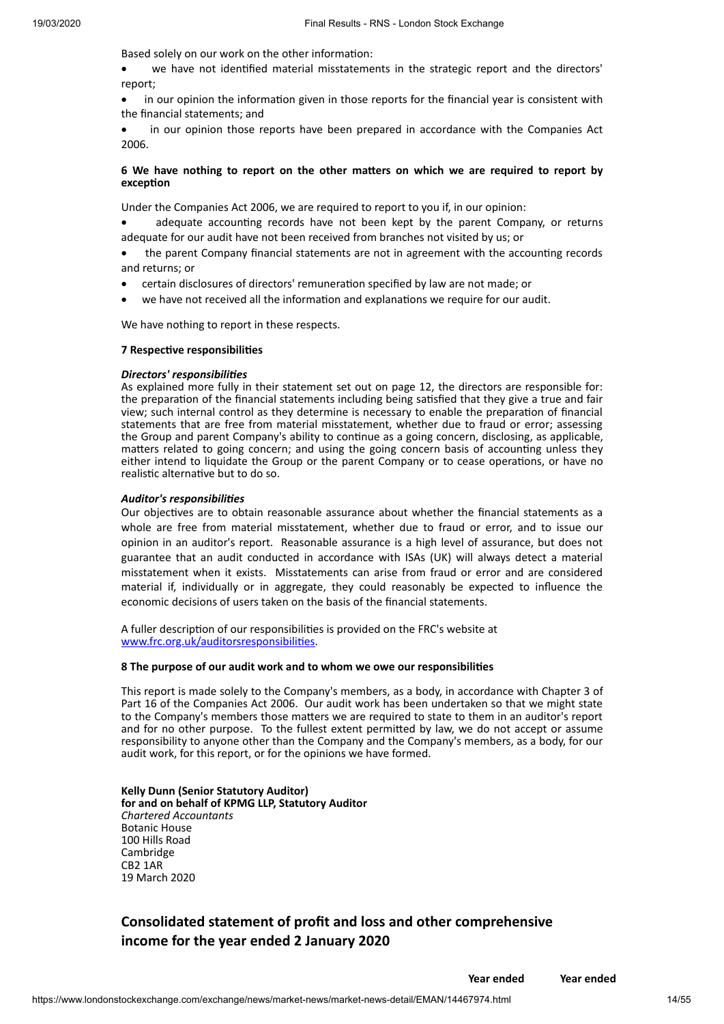Based solely on our work on the other information:

we have not identified material misstatements in the strategic report and the directors' report;

in our opinion the information given in those reports for the financial year is consistent with the financial statements; and

in our opinion those reports have been prepared in accordance with the Companies Act 2006.

#### **6 We have nothing to report on the other maers on which we are required to report by exception**

Under the Companies Act 2006, we are required to report to you if, in our opinion:

adequate accounting records have not been kept by the parent Company, or returns adequate for our audit have not been received from branches not visited by us; or

the parent Company financial statements are not in agreement with the accounting records and returns; or

- certain disclosures of directors' remuneration specified by law are not made; or
- we have not received all the information and explanations we require for our audit.

We have nothing to report in these respects.

#### **7** Respective responsibilities

#### *Directors' responsibilies*

As explained more fully in their statement set out on page 12, the directors are responsible for: the preparation of the financial statements including being satisfied that they give a true and fair view; such internal control as they determine is necessary to enable the preparation of financial statements that are free from material misstatement, whether due to fraud or error; assessing the Group and parent Company's ability to continue as a going concern, disclosing, as applicable, matters related to going concern; and using the going concern basis of accounting unless they either intend to liquidate the Group or the parent Company or to cease operations, or have no realistic alternative but to do so.

#### *Auditor's responsibilies*

Our objectives are to obtain reasonable assurance about whether the financial statements as a whole are free from material misstatement, whether due to fraud or error, and to issue our opinion in an auditor's report. Reasonable assurance is a high level of assurance, but does not guarantee that an audit conducted in accordance with ISAs (UK) will always detect a material misstatement when it exists. Misstatements can arise from fraud or error and are considered material if, individually or in aggregate, they could reasonably be expected to influence the economic decisions of users taken on the basis of the financial statements.

A fuller description of our responsibilities is provided on the FRC's website at www.frc.org.uk/auditorsresponsibilities.

#### **8 The purpose of our audit work and to whom we owe our responsibilies**

This report is made solely to the Company's members, as a body, in accordance with Chapter 3 of Part 16 of the Companies Act 2006. Our audit work has been undertaken so that we might state to the Company's members those matters we are required to state to them in an auditor's report and for no other purpose. To the fullest extent permitted by law, we do not accept or assume responsibility to anyone other than the Company and the Company's members, as a body, for our audit work, for this report, or for the opinions we have formed.

**Kelly Dunn (Senior Statutory Auditor) for and on behalf of KPMG LLP, Statutory Auditor** *Chartered Accountants* Botanic House 100 Hills Road Cambridge CB2 1AR 19 March 2020

## **Consolidated statement of profit and loss and other comprehensive income for the year ended 2 January 2020**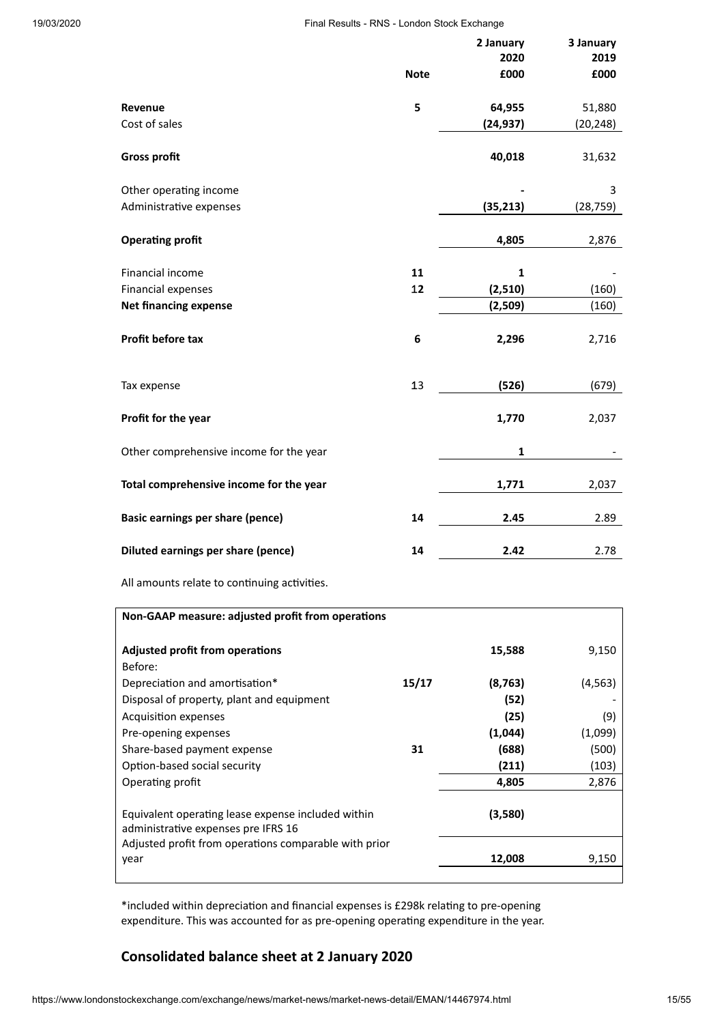|                                                   | <b>Note</b> | 2 January<br>2020<br>£000 | 3 January<br>2019<br>£000 |
|---------------------------------------------------|-------------|---------------------------|---------------------------|
| Revenue                                           | 5           | 64,955                    | 51,880                    |
| Cost of sales                                     |             | (24, 937)                 | (20, 248)                 |
| <b>Gross profit</b>                               |             | 40,018                    | 31,632                    |
| Other operating income                            |             |                           | 3                         |
| Administrative expenses                           |             | (35, 213)                 | (28,759)                  |
| <b>Operating profit</b>                           |             | 4,805                     | 2,876                     |
| Financial income                                  | 11          | $\mathbf{1}$              |                           |
| Financial expenses                                | 12          | (2,510)                   | (160)                     |
| <b>Net financing expense</b>                      |             | (2,509)                   | (160)                     |
| Profit before tax                                 | 6           | 2,296                     | 2,716                     |
| Tax expense                                       | 13          | (526)                     | (679)                     |
| Profit for the year                               |             | 1,770                     | 2,037                     |
| Other comprehensive income for the year           |             | $\mathbf{1}$              |                           |
| Total comprehensive income for the year           |             | 1,771                     | 2,037                     |
| Basic earnings per share (pence)                  | 14          | 2.45                      | 2.89                      |
| Diluted earnings per share (pence)                | 14          | 2.42                      | 2.78                      |
| All amounts relate to continuing activities.      |             |                           |                           |
| Non-GAAP measure: adjusted profit from operations |             |                           |                           |
| Adjusted profit from operations<br>Before:        |             | 15,588                    | 9,150                     |
| Depreciation and amortisation*                    | 15/17       | (8, 763)                  | (4, 563)                  |
| Disposal of property, plant and equipment         |             | (52)                      |                           |
| <b>Acquisition expenses</b>                       |             | (25)                      | (9)                       |

\*included within depreciation and financial expenses is £298k relating to pre-opening expenditure. This was accounted for as pre-opening operating expenditure in the year.

Pre-opening expenses **(1,044)** (1,099) Share-based payment expense **31 (688)** (500) Option-based social security **(211)** (103) Operating profit **4,805** 2,876

year **12,008** 9,150

**(3,580)**

## **Consolidated balance sheet at 2 January 2020**

Equivalent operating lease expense included within

Adjusted profit from operations comparable with prior

administrative expenses pre IFRS 16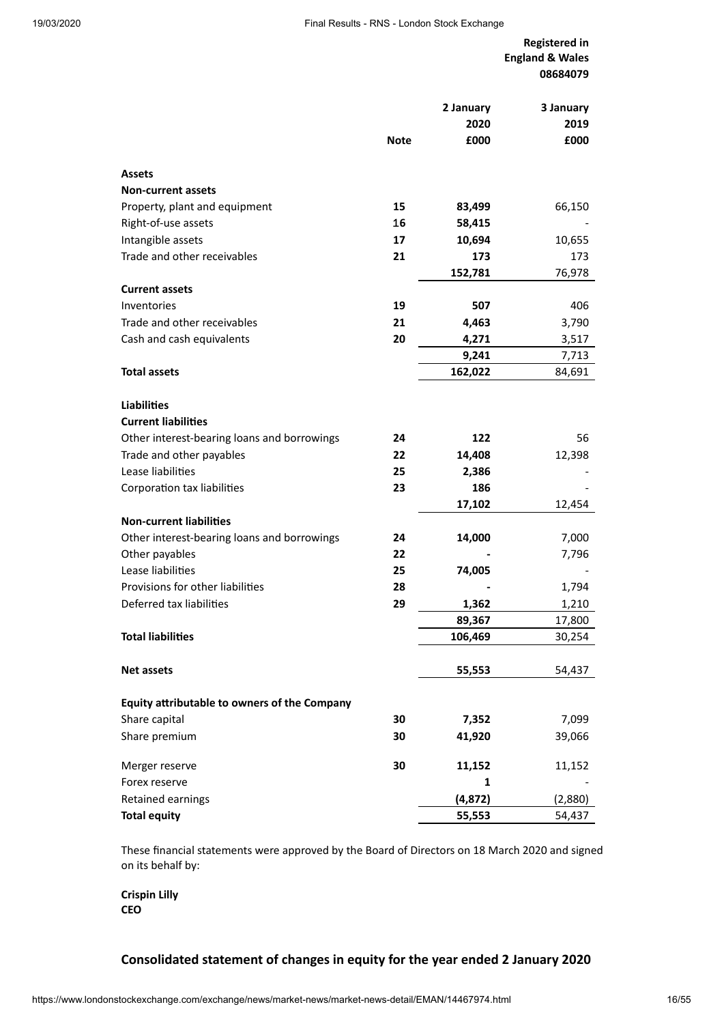**Registered in England & Wales 08684079**

|                                              | <b>Note</b> | 2 January<br>2020<br>£000 | 3 January<br>2019<br>£000 |
|----------------------------------------------|-------------|---------------------------|---------------------------|
| <b>Assets</b>                                |             |                           |                           |
| <b>Non-current assets</b>                    |             |                           |                           |
| Property, plant and equipment                | 15          | 83,499                    | 66,150                    |
| Right-of-use assets                          | 16          | 58,415                    |                           |
| Intangible assets                            | 17          | 10,694                    | 10,655                    |
| Trade and other receivables                  | 21          | 173                       | 173                       |
|                                              |             | 152,781                   | 76,978                    |
| <b>Current assets</b>                        |             |                           |                           |
| Inventories                                  | 19          | 507                       | 406                       |
| Trade and other receivables                  | 21          | 4,463                     | 3,790                     |
| Cash and cash equivalents                    | 20          | 4,271                     | 3,517                     |
|                                              |             | 9,241                     | 7,713                     |
| <b>Total assets</b>                          |             | 162,022                   | 84,691                    |
|                                              |             |                           |                           |
| <b>Liabilities</b>                           |             |                           |                           |
| <b>Current liabilities</b>                   |             |                           |                           |
| Other interest-bearing loans and borrowings  | 24          | 122                       | 56                        |
| Trade and other payables                     | 22          | 14,408                    | 12,398                    |
| Lease liabilities                            | 25          | 2,386                     |                           |
| Corporation tax liabilities                  | 23          | 186                       |                           |
|                                              |             | 17,102                    | 12,454                    |
| <b>Non-current liabilities</b>               |             |                           |                           |
| Other interest-bearing loans and borrowings  | 24          | 14,000                    | 7,000                     |
| Other payables                               | 22          |                           | 7,796                     |
| Lease liabilities                            | 25          | 74,005                    |                           |
| Provisions for other liabilities             | 28          |                           | 1,794                     |
| Deferred tax liabilities                     | 29          | 1,362                     | 1,210                     |
|                                              |             | 89,367                    | 17,800                    |
| <b>Total liabilities</b>                     |             | 106,469                   | 30,254                    |
| <b>Net assets</b>                            |             | 55,553                    | 54,437                    |
|                                              |             |                           |                           |
| Equity attributable to owners of the Company |             |                           |                           |
| Share capital                                | 30          | 7,352                     | 7,099                     |
| Share premium                                | 30          | 41,920                    | 39,066                    |
| Merger reserve                               | 30          | 11,152                    | 11,152                    |
| Forex reserve                                |             | 1                         |                           |
| Retained earnings                            |             | (4, 872)                  | (2,880)                   |
| <b>Total equity</b>                          |             | 55,553                    | 54,437                    |

These financial statements were approved by the Board of Directors on 18 March 2020 and signed on its behalf by:

**Crispin Lilly CEO**

## **Consolidated statement of changes in equity for the year ended 2 January 2020**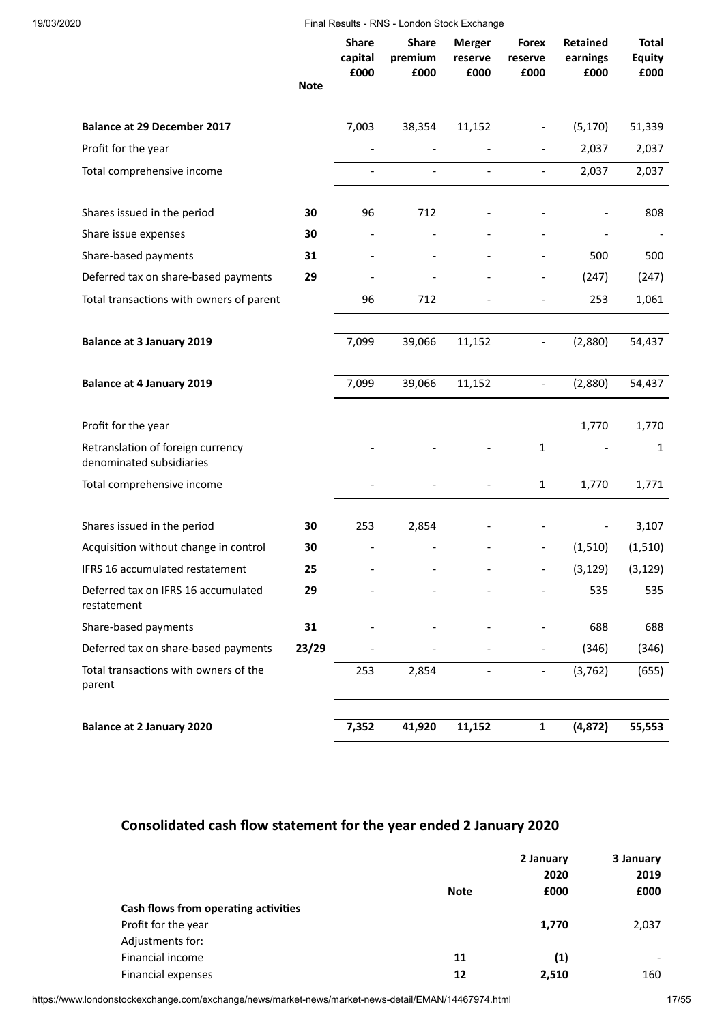|                                                               | <b>Note</b> | <b>Share</b><br>capital<br>£000 | <b>Share</b><br>premium<br>£000 | <b>Merger</b><br>reserve<br>£000 | <b>Forex</b><br>reserve<br>£000 | Retained<br>earnings<br>£000 | Total<br><b>Equity</b><br>£000 |
|---------------------------------------------------------------|-------------|---------------------------------|---------------------------------|----------------------------------|---------------------------------|------------------------------|--------------------------------|
| <b>Balance at 29 December 2017</b>                            |             | 7,003                           | 38,354                          | 11,152                           | $\overline{\phantom{a}}$        | (5, 170)                     | 51,339                         |
| Profit for the year                                           |             |                                 |                                 |                                  | $\blacksquare$                  | 2,037                        | 2,037                          |
| Total comprehensive income                                    |             |                                 | $\overline{a}$                  | $\overline{\phantom{a}}$         | $\blacksquare$                  | 2,037                        | 2,037                          |
| Shares issued in the period                                   | 30          | 96                              | 712                             |                                  |                                 |                              | 808                            |
| Share issue expenses                                          | 30          |                                 |                                 |                                  |                                 |                              |                                |
| Share-based payments                                          | 31          |                                 |                                 |                                  |                                 | 500                          | 500                            |
| Deferred tax on share-based payments                          | 29          |                                 |                                 |                                  | $\overline{\phantom{a}}$        | (247)                        | (247)                          |
| Total transactions with owners of parent                      |             | 96                              | 712                             | $\overline{\phantom{a}}$         | $\overline{\phantom{a}}$        | 253                          | 1,061                          |
| <b>Balance at 3 January 2019</b>                              |             | 7,099                           | 39,066                          | 11,152                           | $\overline{\phantom{a}}$        | (2,880)                      | 54,437                         |
| <b>Balance at 4 January 2019</b>                              |             | 7,099                           | 39,066                          | 11,152                           | $\overline{\phantom{a}}$        | (2,880)                      | 54,437                         |
| Profit for the year                                           |             |                                 |                                 |                                  |                                 | 1,770                        | 1,770                          |
| Retranslation of foreign currency<br>denominated subsidiaries |             |                                 |                                 |                                  | $\mathbf{1}$                    |                              | 1                              |
| Total comprehensive income                                    |             |                                 |                                 |                                  | $\mathbf{1}$                    | 1,770                        | 1,771                          |
| Shares issued in the period                                   | 30          | 253                             | 2,854                           |                                  |                                 |                              | 3,107                          |
| Acquisition without change in control                         | 30          |                                 |                                 |                                  | $\overline{\phantom{a}}$        | (1,510)                      | (1, 510)                       |
| <b>IFRS 16 accumulated restatement</b>                        | 25          |                                 |                                 |                                  |                                 | (3, 129)                     | (3, 129)                       |
| Deferred tax on IFRS 16 accumulated<br>restatement            | 29          |                                 |                                 |                                  |                                 | 535                          | 535                            |
| Share-based payments                                          | 31          |                                 |                                 |                                  |                                 | 688                          | 688                            |
| Deferred tax on share-based payments                          | 23/29       |                                 |                                 |                                  |                                 | (346)                        | (346)                          |
| Total transactions with owners of the<br>parent               |             | 253                             | 2,854                           |                                  | $\overline{\phantom{a}}$        | (3, 762)                     | (655)                          |
| <b>Balance at 2 January 2020</b>                              |             | 7,352                           | 41,920                          | 11,152                           | $\mathbf{1}$                    | (4,872)                      | 55,553                         |
|                                                               |             |                                 |                                 |                                  |                                 |                              |                                |

## **Consolidated cash flow statement for the year ended 2 January 2020**

|                                      |             | 2 January | 3 January                |  |
|--------------------------------------|-------------|-----------|--------------------------|--|
|                                      |             | 2020      | 2019                     |  |
|                                      | <b>Note</b> | £000      | £000                     |  |
| Cash flows from operating activities |             |           |                          |  |
| Profit for the year                  |             | 1,770     | 2,037                    |  |
| Adjustments for:                     |             |           |                          |  |
| Financial income                     | 11          | (1)       | $\overline{\phantom{a}}$ |  |
| Financial expenses                   | 12          | 2.510     | 160                      |  |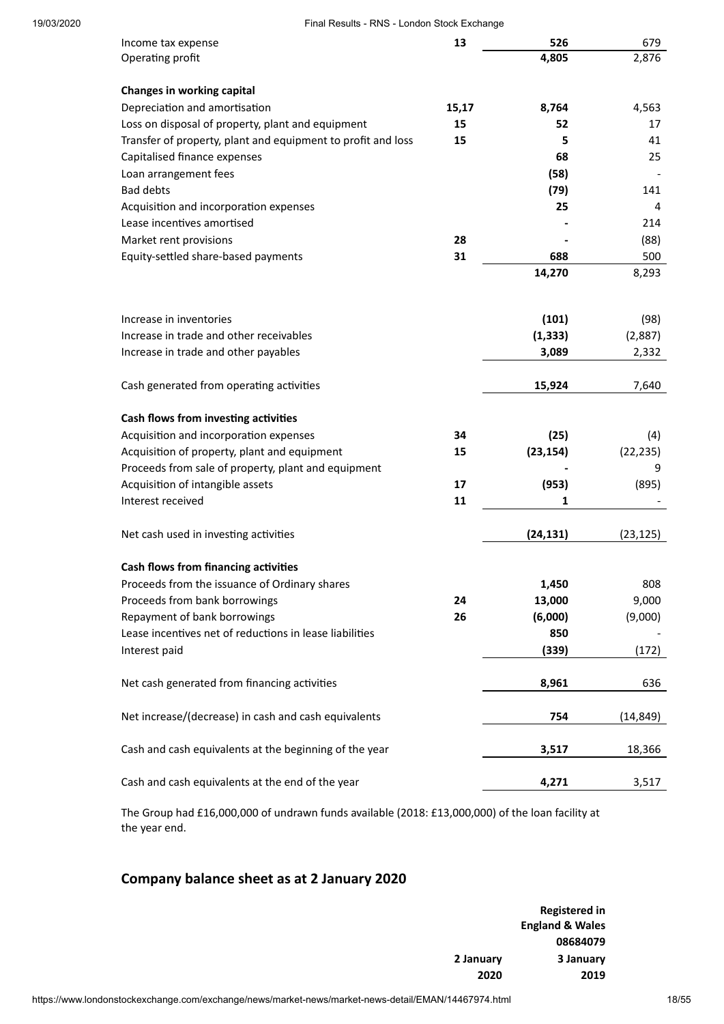| 19/03/2020 | Final Results - RNS - London Stock Exchange                  |       |           |           |  |  |  |
|------------|--------------------------------------------------------------|-------|-----------|-----------|--|--|--|
|            | Income tax expense                                           | 13    | 526       | 679       |  |  |  |
|            | Operating profit                                             |       | 4,805     | 2,876     |  |  |  |
|            |                                                              |       |           |           |  |  |  |
|            | Changes in working capital<br>Depreciation and amortisation  | 15,17 |           | 4,563     |  |  |  |
|            |                                                              |       | 8,764     |           |  |  |  |
|            | Loss on disposal of property, plant and equipment            | 15    | 52        | 17        |  |  |  |
|            | Transfer of property, plant and equipment to profit and loss | 15    | 5         | 41        |  |  |  |
|            | Capitalised finance expenses                                 |       | 68        | 25        |  |  |  |
|            | Loan arrangement fees                                        |       | (58)      |           |  |  |  |
|            | <b>Bad debts</b>                                             |       | (79)      | 141       |  |  |  |
|            | Acquisition and incorporation expenses                       |       | 25        | 4         |  |  |  |
|            | Lease incentives amortised                                   |       |           | 214       |  |  |  |
|            | Market rent provisions                                       | 28    |           | (88)      |  |  |  |
|            | Equity-settled share-based payments                          | 31    | 688       | 500       |  |  |  |
|            |                                                              |       | 14,270    | 8,293     |  |  |  |
|            |                                                              |       |           |           |  |  |  |
|            | Increase in inventories                                      |       | (101)     | (98)      |  |  |  |
|            | Increase in trade and other receivables                      |       | (1, 333)  | (2,887)   |  |  |  |
|            | Increase in trade and other payables                         |       | 3,089     | 2,332     |  |  |  |
|            | Cash generated from operating activities                     |       | 15,924    | 7,640     |  |  |  |
|            | Cash flows from investing activities                         |       |           |           |  |  |  |
|            | Acquisition and incorporation expenses                       | 34    | (25)      | (4)       |  |  |  |
|            | Acquisition of property, plant and equipment                 | 15    | (23, 154) | (22, 235) |  |  |  |
|            | Proceeds from sale of property, plant and equipment          |       |           | 9         |  |  |  |
|            | Acquisition of intangible assets                             | 17    | (953)     | (895)     |  |  |  |
|            | Interest received                                            | 11    | 1         |           |  |  |  |
|            |                                                              |       |           |           |  |  |  |
|            | Net cash used in investing activities                        |       | (24, 131) | (23, 125) |  |  |  |
|            | Cash flows from financing activities                         |       |           |           |  |  |  |
|            | Proceeds from the issuance of Ordinary shares                |       | 1,450     | 808       |  |  |  |
|            | Proceeds from bank borrowings                                | 24    | 13,000    | 9,000     |  |  |  |
|            | Repayment of bank borrowings                                 | 26    | (6,000)   | (9,000)   |  |  |  |
|            | Lease incentives net of reductions in lease liabilities      |       | 850       |           |  |  |  |
|            | Interest paid                                                |       | (339)     | (172)     |  |  |  |
|            | Net cash generated from financing activities                 |       | 8,961     | 636       |  |  |  |
|            | Net increase/(decrease) in cash and cash equivalents         |       | 754       | (14, 849) |  |  |  |
|            | Cash and cash equivalents at the beginning of the year       |       | 3,517     | 18,366    |  |  |  |
|            | Cash and cash equivalents at the end of the year             |       | 4,271     | 3,517     |  |  |  |
|            |                                                              |       |           |           |  |  |  |

The Group had £16,000,000 of undrawn funds available (2018: £13,000,000) of the loan facility at the year end.

## **Company balance sheet as at 2 January 2020**

| <b>Registered in</b>       |           |
|----------------------------|-----------|
| <b>England &amp; Wales</b> |           |
| 08684079                   |           |
| 3 January                  | 2 January |
| 2019                       | 2020      |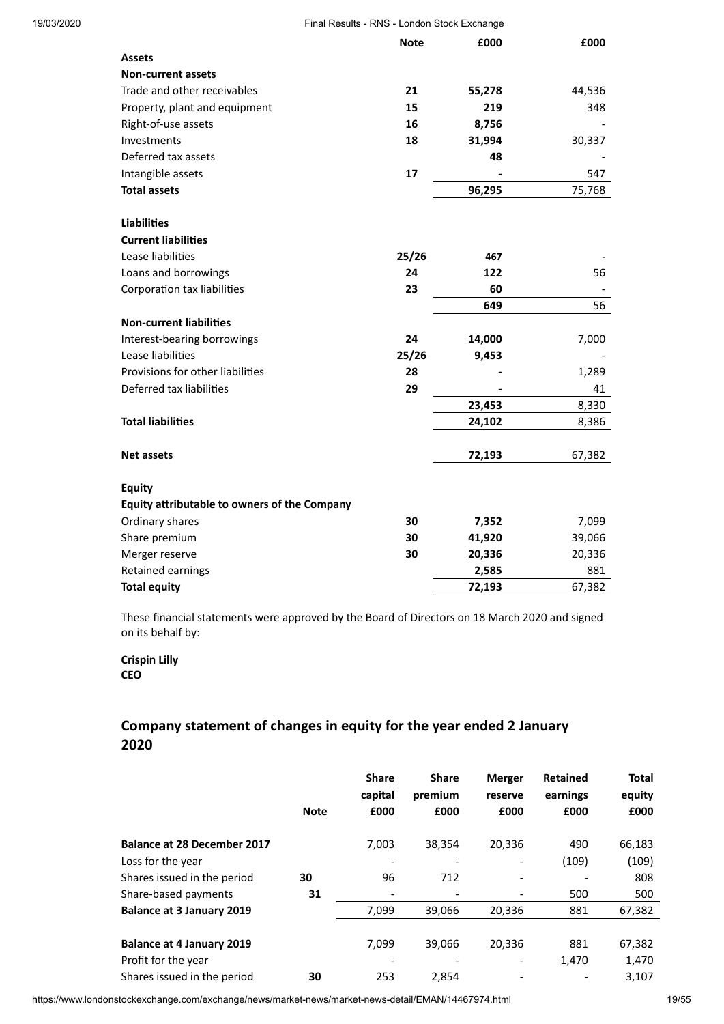| 19/03/2020 | Final Results - RNS - London Stock Exchange  |             |        |        |  |  |
|------------|----------------------------------------------|-------------|--------|--------|--|--|
|            |                                              | <b>Note</b> | £000   | £000   |  |  |
|            | <b>Assets</b>                                |             |        |        |  |  |
|            | <b>Non-current assets</b>                    |             |        |        |  |  |
|            | Trade and other receivables                  | 21          | 55,278 | 44,536 |  |  |
|            | Property, plant and equipment                | 15          | 219    | 348    |  |  |
|            | Right-of-use assets                          | 16          | 8,756  |        |  |  |
|            | Investments                                  | 18          | 31,994 | 30,337 |  |  |
|            | Deferred tax assets                          |             | 48     |        |  |  |
|            | Intangible assets                            | 17          |        | 547    |  |  |
|            | <b>Total assets</b>                          |             | 96,295 | 75,768 |  |  |
|            | <b>Liabilities</b>                           |             |        |        |  |  |
|            | <b>Current liabilities</b>                   |             |        |        |  |  |
|            | Lease liabilities                            | 25/26       | 467    |        |  |  |
|            | Loans and borrowings                         | 24          | 122    | 56     |  |  |
|            | Corporation tax liabilities                  | 23          | 60     |        |  |  |
|            |                                              |             | 649    | 56     |  |  |
|            | <b>Non-current liabilities</b>               |             |        |        |  |  |
|            | Interest-bearing borrowings                  | 24          | 14,000 | 7,000  |  |  |
|            | Lease liabilities                            | 25/26       | 9,453  |        |  |  |
|            | Provisions for other liabilities             | 28          |        | 1,289  |  |  |
|            | Deferred tax liabilities                     | 29          |        | 41     |  |  |
|            |                                              |             | 23,453 | 8,330  |  |  |
|            | <b>Total liabilities</b>                     |             | 24,102 | 8,386  |  |  |
|            | <b>Net assets</b>                            |             | 72,193 | 67,382 |  |  |
|            | <b>Equity</b>                                |             |        |        |  |  |
|            | Equity attributable to owners of the Company |             |        |        |  |  |
|            | Ordinary shares                              | 30          | 7,352  | 7,099  |  |  |
|            | Share premium                                | 30          | 41,920 | 39,066 |  |  |
|            | Merger reserve                               | 30          | 20,336 | 20,336 |  |  |
|            | Retained earnings                            |             | 2,585  | 881    |  |  |
|            | <b>Total equity</b>                          |             | 72,193 | 67,382 |  |  |

These financial statements were approved by the Board of Directors on 18 March 2020 and signed on its behalf by:

**Crispin Lilly CEO**

## **Company statement of changes in equity for the year ended 2 January 2020**

|                                    |             | <b>Share</b><br>capital      | <b>Share</b><br>premium | <b>Merger</b><br>reserve | <b>Retained</b><br>earnings | <b>Total</b><br>equity |
|------------------------------------|-------------|------------------------------|-------------------------|--------------------------|-----------------------------|------------------------|
|                                    | <b>Note</b> | £000                         | £000                    | £000                     | £000                        | £000                   |
| <b>Balance at 28 December 2017</b> |             | 7,003                        | 38,354                  | 20,336                   | 490                         | 66,183                 |
| Loss for the year                  |             |                              |                         |                          | (109)                       | (109)                  |
| Shares issued in the period        | 30          | 96                           | 712                     |                          |                             | 808                    |
| Share-based payments               | 31          | $\qquad \qquad \blacksquare$ |                         |                          | 500                         | 500                    |
| <b>Balance at 3 January 2019</b>   |             | 7,099                        | 39,066                  | 20,336                   | 881                         | 67,382                 |
|                                    |             |                              |                         |                          |                             |                        |
| <b>Balance at 4 January 2019</b>   |             | 7.099                        | 39,066                  | 20,336                   | 881                         | 67,382                 |
| Profit for the year                |             |                              |                         |                          | 1,470                       | 1,470                  |
| Shares issued in the period        | 30          | 253                          | 2,854                   |                          |                             | 3,107                  |

https://www.londonstockexchange.com/exchange/news/market-news/market-news-detail/EMAN/14467974.html 19/55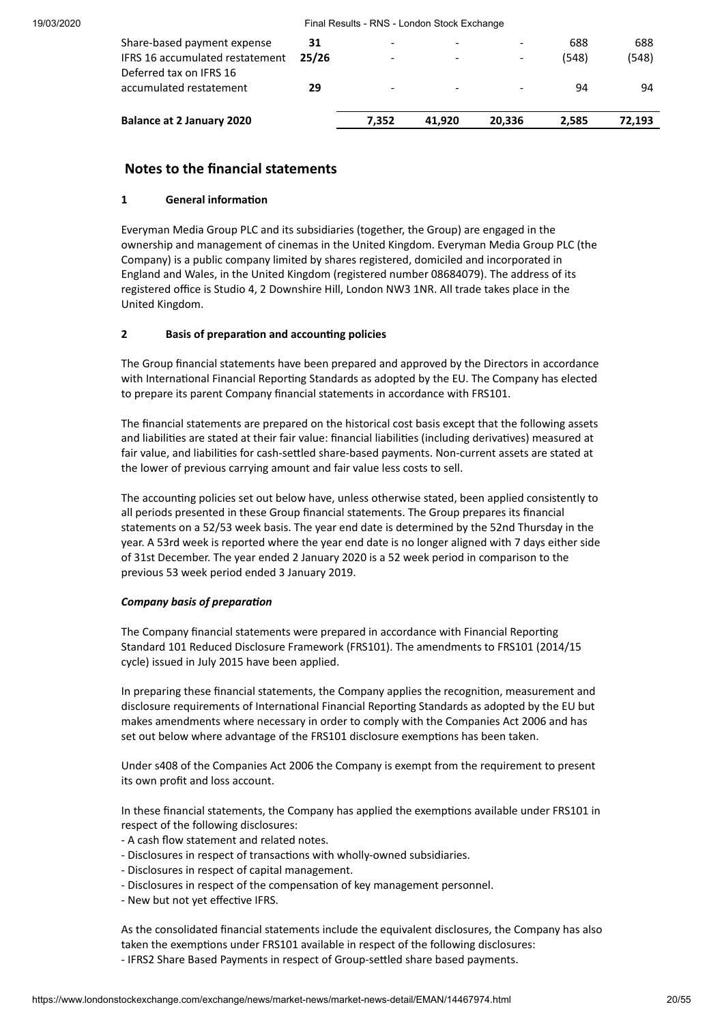| <b>Balance at 2 January 2020</b>                               |             | 7.352 | 41.920 | 20.336 | 2.585        | 72.193       |
|----------------------------------------------------------------|-------------|-------|--------|--------|--------------|--------------|
| Deferred tax on IFRS 16<br>accumulated restatement             | 29          |       |        |        | 94           | 94           |
| Share-based payment expense<br>IFRS 16 accumulated restatement | 31<br>25/26 |       | -      |        | 688<br>(548) | 688<br>(548) |

## **Notes to the financial statements**

#### **1 General information**

Everyman Media Group PLC and its subsidiaries (together, the Group) are engaged in the ownership and management of cinemas in the United Kingdom. Everyman Media Group PLC (the Company) is a public company limited by shares registered, domiciled and incorporated in England and Wales, in the United Kingdom (registered number 08684079). The address of its registered office is Studio 4, 2 Downshire Hill, London NW3 1NR. All trade takes place in the United Kingdom.

#### **2 Basis of preparation and accounting policies**

The Group financial statements have been prepared and approved by the Directors in accordance with International Financial Reporting Standards as adopted by the EU. The Company has elected to prepare its parent Company financial statements in accordance with FRS101.

The financial statements are prepared on the historical cost basis except that the following assets and liabilities are stated at their fair value: financial liabilities (including derivatives) measured at fair value, and liabilities for cash-settled share-based payments. Non-current assets are stated at the lower of previous carrying amount and fair value less costs to sell.

The accounting policies set out below have, unless otherwise stated, been applied consistently to all periods presented in these Group financial statements. The Group prepares its financial statements on a 52/53 week basis. The year end date is determined by the 52nd Thursday in the year. A 53rd week is reported where the year end date is no longer aligned with 7 days either side of 31st December. The year ended 2 January 2020 is a 52 week period in comparison to the previous 53 week period ended 3 January 2019.

#### *Company basis of preparation*

The Company financial statements were prepared in accordance with Financial Reporting Standard 101 Reduced Disclosure Framework (FRS101). The amendments to FRS101 (2014/15 cycle) issued in July 2015 have been applied.

In preparing these financial statements, the Company applies the recognition, measurement and disclosure requirements of International Financial Reporting Standards as adopted by the EU but makes amendments where necessary in order to comply with the Companies Act 2006 and has set out below where advantage of the FRS101 disclosure exemptions has been taken.

Under s408 of the Companies Act 2006 the Company is exempt from the requirement to present its own profit and loss account.

In these financial statements, the Company has applied the exemptions available under FRS101 in respect of the following disclosures:

- A cash flow statement and related notes.
- Disclosures in respect of transactions with wholly-owned subsidiaries.
- Disclosures in respect of capital management.
- Disclosures in respect of the compensation of key management personnel.
- New but not yet effective IFRS.

As the consolidated financial statements include the equivalent disclosures, the Company has also taken the exemptions under FRS101 available in respect of the following disclosures: - IFRS2 Share Based Payments in respect of Group-settled share based payments.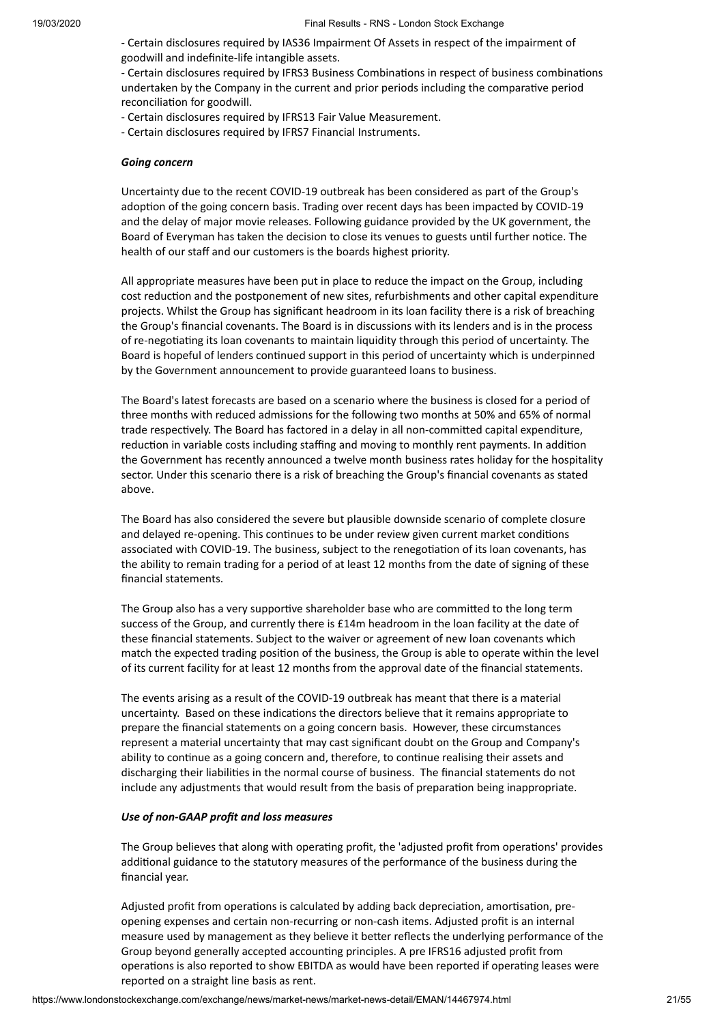- Certain disclosures required by IAS36 Impairment Of Assets in respect of the impairment of goodwill and indefinite-life intangible assets.

- Certain disclosures required by IFRS3 Business Combinations in respect of business combinations undertaken by the Company in the current and prior periods including the comparative period reconciliation for goodwill.

- Certain disclosures required by IFRS13 Fair Value Measurement.
- Certain disclosures required by IFRS7 Financial Instruments.

#### *Going concern*

Uncertainty due to the recent COVID-19 outbreak has been considered as part of the Group's adoption of the going concern basis. Trading over recent days has been impacted by COVID-19 and the delay of major movie releases. Following guidance provided by the UK government, the Board of Everyman has taken the decision to close its venues to guests until further notice. The health of our staff and our customers is the boards highest priority.

All appropriate measures have been put in place to reduce the impact on the Group, including cost reduction and the postponement of new sites, refurbishments and other capital expenditure projects. Whilst the Group has significant headroom in its loan facility there is a risk of breaching the Group's financial covenants. The Board is in discussions with its lenders and is in the process of re-negotiating its loan covenants to maintain liquidity through this period of uncertainty. The Board is hopeful of lenders continued support in this period of uncertainty which is underpinned by the Government announcement to provide guaranteed loans to business.

The Board's latest forecasts are based on a scenario where the business is closed for a period of three months with reduced admissions for the following two months at 50% and 65% of normal trade respectively. The Board has factored in a delay in all non-committed capital expenditure, reduction in variable costs including staffing and moving to monthly rent payments. In addition the Government has recently announced a twelve month business rates holiday for the hospitality sector. Under this scenario there is a risk of breaching the Group's financial covenants as stated above.

The Board has also considered the severe but plausible downside scenario of complete closure and delayed re-opening. This continues to be under review given current market conditions associated with COVID-19. The business, subject to the renegotiation of its loan covenants, has the ability to remain trading for a period of at least 12 months from the date of signing of these financial statements.

The Group also has a very supportive shareholder base who are committed to the long term success of the Group, and currently there is £14m headroom in the loan facility at the date of these financial statements. Subject to the waiver or agreement of new loan covenants which match the expected trading position of the business, the Group is able to operate within the level of its current facility for at least 12 months from the approval date of the financial statements.

The events arising as a result of the COVID-19 outbreak has meant that there is a material uncertainty. Based on these indications the directors believe that it remains appropriate to prepare the financial statements on a going concern basis. However, these circumstances represent a material uncertainty that may cast significant doubt on the Group and Company's ability to continue as a going concern and, therefore, to continue realising their assets and discharging their liabilities in the normal course of business. The financial statements do not include any adjustments that would result from the basis of preparation being inappropriate.

#### *Use of non-GAAP profit and loss measures*

The Group believes that along with operating profit, the 'adjusted profit from operations' provides additional guidance to the statutory measures of the performance of the business during the financial year.

Adjusted profit from operations is calculated by adding back depreciation, amortisation, preopening expenses and certain non-recurring or non-cash items. Adjusted profit is an internal measure used by management as they believe it better reflects the underlying performance of the Group beyond generally accepted accounting principles. A pre IFRS16 adjusted profit from operations is also reported to show EBITDA as would have been reported if operating leases were reported on a straight line basis as rent.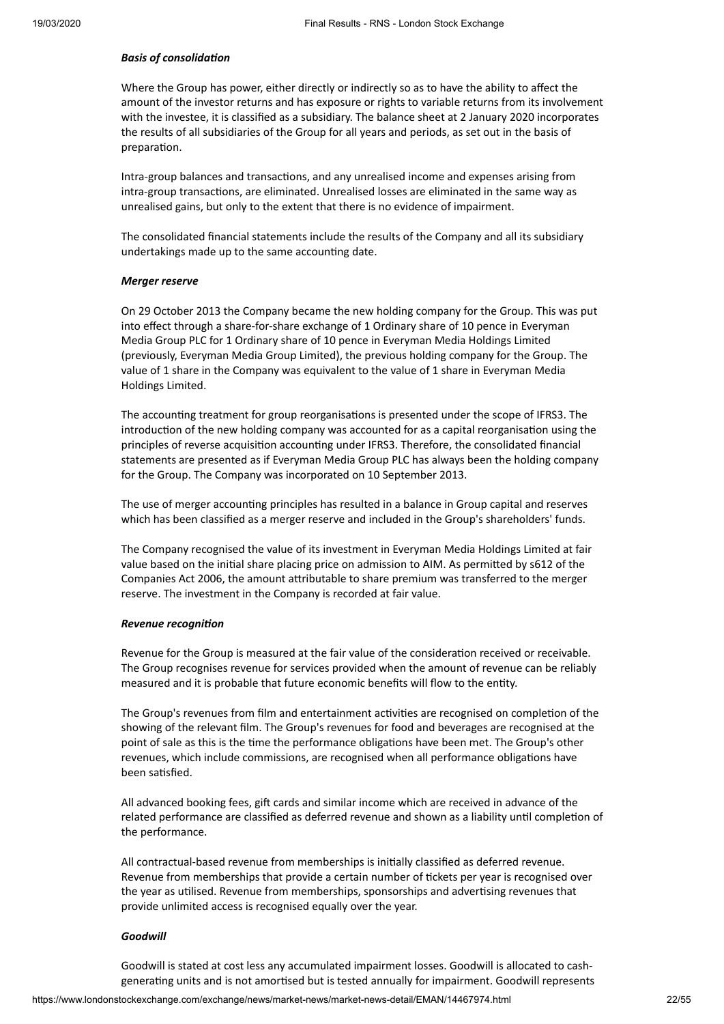#### **Basis** of *consolidation*

Where the Group has power, either directly or indirectly so as to have the ability to affect the amount of the investor returns and has exposure or rights to variable returns from its involvement with the investee, it is classified as a subsidiary. The balance sheet at 2 January 2020 incorporates the results of all subsidiaries of the Group for all years and periods, as set out in the basis of preparation.

Intra-group balances and transactions, and any unrealised income and expenses arising from intra-group transactions, are eliminated. Unrealised losses are eliminated in the same way as unrealised gains, but only to the extent that there is no evidence of impairment.

The consolidated financial statements include the results of the Company and all its subsidiary undertakings made up to the same accounting date.

#### *Merger reserve*

On 29 October 2013 the Company became the new holding company for the Group. This was put into effect through a share-for-share exchange of 1 Ordinary share of 10 pence in Everyman Media Group PLC for 1 Ordinary share of 10 pence in Everyman Media Holdings Limited (previously, Everyman Media Group Limited), the previous holding company for the Group. The value of 1 share in the Company was equivalent to the value of 1 share in Everyman Media Holdings Limited.

The accounting treatment for group reorganisations is presented under the scope of IFRS3. The introduction of the new holding company was accounted for as a capital reorganisation using the principles of reverse acquisition accounting under IFRS3. Therefore, the consolidated financial statements are presented as if Everyman Media Group PLC has always been the holding company for the Group. The Company was incorporated on 10 September 2013.

The use of merger accounting principles has resulted in a balance in Group capital and reserves which has been classified as a merger reserve and included in the Group's shareholders' funds.

The Company recognised the value of its investment in Everyman Media Holdings Limited at fair value based on the initial share placing price on admission to AIM. As permitted by s612 of the Companies Act 2006, the amount attributable to share premium was transferred to the merger reserve. The investment in the Company is recorded at fair value.

#### **Revenue** recognition

Revenue for the Group is measured at the fair value of the consideration received or receivable. The Group recognises revenue for services provided when the amount of revenue can be reliably measured and it is probable that future economic benefits will flow to the enty.

The Group's revenues from film and entertainment activities are recognised on completion of the showing of the relevant film. The Group's revenues for food and beverages are recognised at the point of sale as this is the time the performance obligations have been met. The Group's other revenues, which include commissions, are recognised when all performance obligations have been satisfied.

All advanced booking fees, gift cards and similar income which are received in advance of the related performance are classified as deferred revenue and shown as a liability until completion of the performance.

All contractual-based revenue from memberships is initially classified as deferred revenue. Revenue from memberships that provide a certain number of tickets per year is recognised over the year as utilised. Revenue from memberships, sponsorships and advertising revenues that provide unlimited access is recognised equally over the year.

#### *Goodwill*

Goodwill is stated at cost less any accumulated impairment losses. Goodwill is allocated to cashgenerating units and is not amortised but is tested annually for impairment. Goodwill represents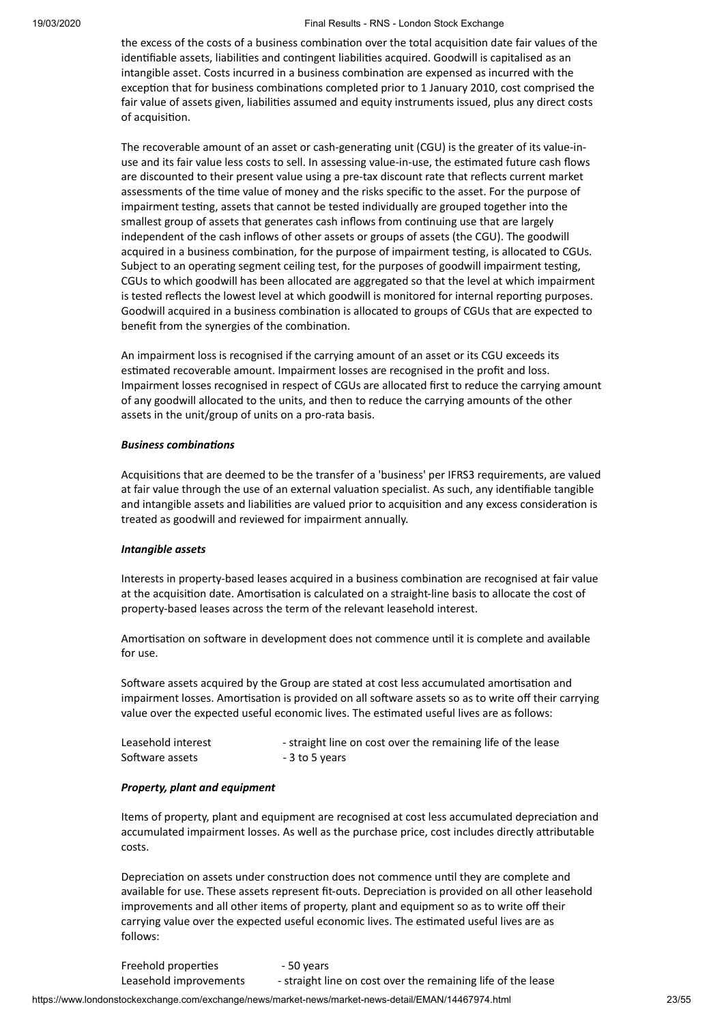the excess of the costs of a business combination over the total acquisition date fair values of the identifiable assets, liabilities and contingent liabilities acquired. Goodwill is capitalised as an intangible asset. Costs incurred in a business combination are expensed as incurred with the exception that for business combinations completed prior to 1 January 2010, cost comprised the fair value of assets given, liabilities assumed and equity instruments issued, plus any direct costs of acquisition.

The recoverable amount of an asset or cash-generating unit (CGU) is the greater of its value-inuse and its fair value less costs to sell. In assessing value-in-use, the estimated future cash flows are discounted to their present value using a pre-tax discount rate that reflects current market assessments of the time value of money and the risks specific to the asset. For the purpose of impairment testing, assets that cannot be tested individually are grouped together into the smallest group of assets that generates cash inflows from continuing use that are largely independent of the cash inflows of other assets or groups of assets (the CGU). The goodwill acquired in a business combination, for the purpose of impairment testing, is allocated to CGUs. Subject to an operating segment ceiling test, for the purposes of goodwill impairment testing, CGUs to which goodwill has been allocated are aggregated so that the level at which impairment is tested reflects the lowest level at which goodwill is monitored for internal reporting purposes. Goodwill acquired in a business combination is allocated to groups of CGUs that are expected to benefit from the synergies of the combination.

An impairment loss is recognised if the carrying amount of an asset or its CGU exceeds its estimated recoverable amount. Impairment losses are recognised in the profit and loss. Impairment losses recognised in respect of CGUs are allocated first to reduce the carrying amount of any goodwill allocated to the units, and then to reduce the carrying amounts of the other assets in the unit/group of units on a pro-rata basis.

#### **Business combinations**

Acquisitions that are deemed to be the transfer of a 'business' per IFRS3 requirements, are valued at fair value through the use of an external valuation specialist. As such, any identifiable tangible and intangible assets and liabilities are valued prior to acquisition and any excess consideration is treated as goodwill and reviewed for impairment annually.

#### *Intangible assets*

Interests in property-based leases acquired in a business combination are recognised at fair value at the acquisition date. Amortisation is calculated on a straight-line basis to allocate the cost of property-based leases across the term of the relevant leasehold interest.

Amortisation on software in development does not commence until it is complete and available for use.

Software assets acquired by the Group are stated at cost less accumulated amortisation and impairment losses. Amortisation is provided on all software assets so as to write off their carrying value over the expected useful economic lives. The estimated useful lives are as follows:

| Leasehold interest | - straight line on cost over the remaining life of the lease |
|--------------------|--------------------------------------------------------------|
| Software assets    | - 3 to 5 years                                               |

#### *Property, plant and equipment*

Items of property, plant and equipment are recognised at cost less accumulated depreciation and accumulated impairment losses. As well as the purchase price, cost includes directly attributable costs.

Depreciation on assets under construction does not commence until they are complete and available for use. These assets represent fit-outs. Depreciation is provided on all other leasehold improvements and all other items of property, plant and equipment so as to write off their carrying value over the expected useful economic lives. The estimated useful lives are as follows:

Freehold properties - 50 years Leasehold improvements - straight line on cost over the remaining life of the lease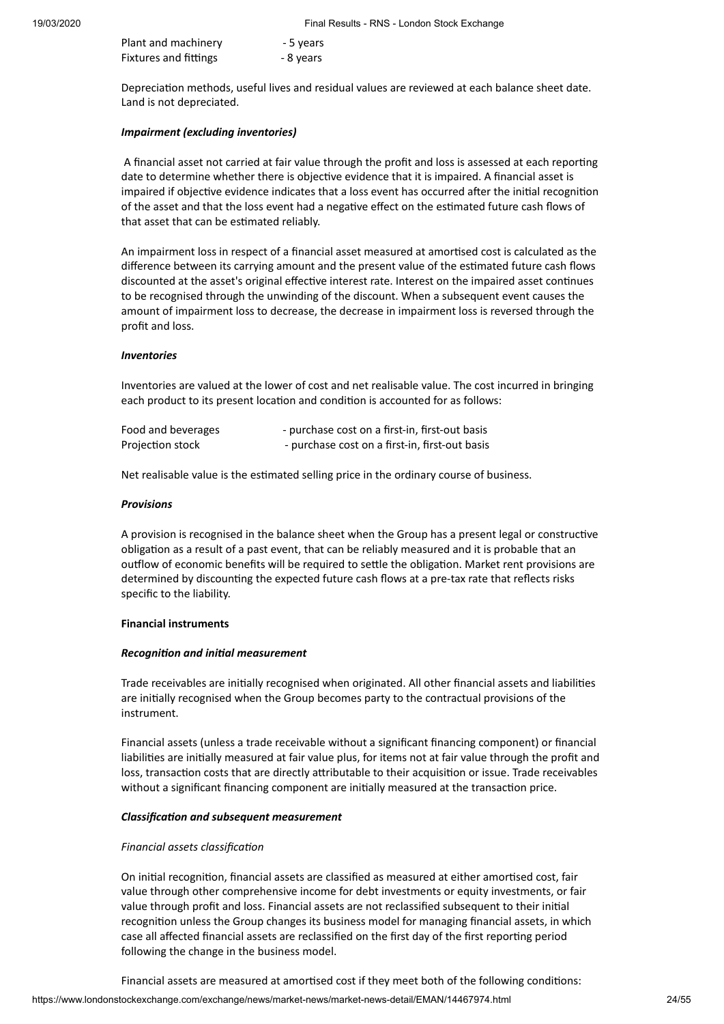| Plant and machinery          | - 5 years |
|------------------------------|-----------|
| <b>Fixtures and fittings</b> | - 8 years |

Depreciation methods, useful lives and residual values are reviewed at each balance sheet date. Land is not depreciated.

#### *Impairment (excluding inventories)*

A financial asset not carried at fair value through the profit and loss is assessed at each reporting date to determine whether there is objective evidence that it is impaired. A financial asset is impaired if objective evidence indicates that a loss event has occurred after the initial recognition of the asset and that the loss event had a negative effect on the estimated future cash flows of that asset that can be estimated reliably.

An impairment loss in respect of a financial asset measured at amortised cost is calculated as the difference between its carrying amount and the present value of the estimated future cash flows discounted at the asset's original effective interest rate. Interest on the impaired asset continues to be recognised through the unwinding of the discount. When a subsequent event causes the amount of impairment loss to decrease, the decrease in impairment loss is reversed through the profit and loss.

#### *Inventories*

Inventories are valued at the lower of cost and net realisable value. The cost incurred in bringing each product to its present location and condition is accounted for as follows:

| Food and beverages | - purchase cost on a first-in, first-out basis |
|--------------------|------------------------------------------------|
| Projection stock   | - purchase cost on a first-in, first-out basis |

Net realisable value is the estimated selling price in the ordinary course of business.

#### *Provisions*

A provision is recognised in the balance sheet when the Group has a present legal or constructive obligation as a result of a past event, that can be reliably measured and it is probable that an outflow of economic benefits will be required to settle the obligation. Market rent provisions are determined by discounting the expected future cash flows at a pre-tax rate that reflects risks specific to the liability.

#### **Financial instruments**

#### $Recognition$  *and initial measurement*

Trade receivables are initially recognised when originated. All other financial assets and liabilities are initially recognised when the Group becomes party to the contractual provisions of the instrument.

Financial assets (unless a trade receivable without a significant financing component) or financial liabilities are initially measured at fair value plus, for items not at fair value through the profit and loss, transaction costs that are directly attributable to their acquisition or issue. Trade receivables without a significant financing component are initially measured at the transaction price.

#### *Classificaon and subsequent measurement*

#### *Financial assets classification*

On initial recognition, financial assets are classified as measured at either amortised cost, fair value through other comprehensive income for debt investments or equity investments, or fair value through profit and loss. Financial assets are not reclassified subsequent to their inial recognition unless the Group changes its business model for managing financial assets, in which case all affected financial assets are reclassified on the first day of the first reporting period following the change in the business model.

Financial assets are measured at amortised cost if they meet both of the following conditions: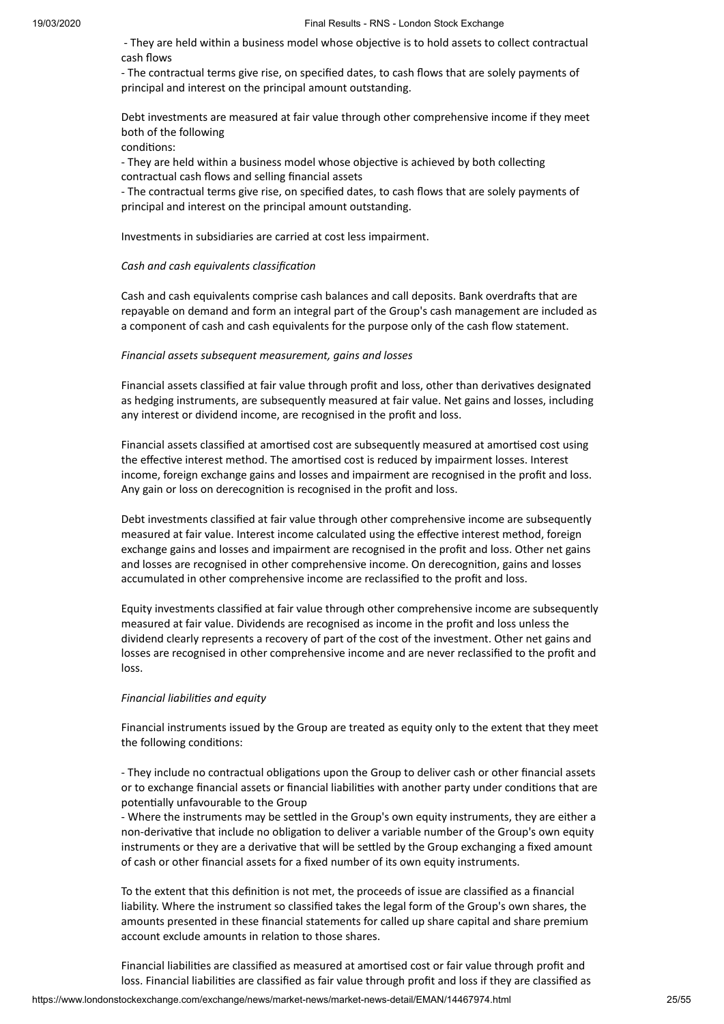- They are held within a business model whose objective is to hold assets to collect contractual cash flows

- The contractual terms give rise, on specified dates, to cash flows that are solely payments of principal and interest on the principal amount outstanding.

Debt investments are measured at fair value through other comprehensive income if they meet both of the following

conditions:

- They are held within a business model whose objective is achieved by both collecting contractual cash flows and selling financial assets

- The contractual terms give rise, on specified dates, to cash flows that are solely payments of principal and interest on the principal amount outstanding.

Investments in subsidiaries are carried at cost less impairment.

#### *Cash and cash equivalents classificaon*

Cash and cash equivalents comprise cash balances and call deposits. Bank overdrafts that are repayable on demand and form an integral part of the Group's cash management are included as a component of cash and cash equivalents for the purpose only of the cash flow statement.

#### *Financial assets subsequent measurement, gains and losses*

Financial assets classified at fair value through profit and loss, other than derivatives designated as hedging instruments, are subsequently measured at fair value. Net gains and losses, including any interest or dividend income, are recognised in the profit and loss.

Financial assets classified at amortised cost are subsequently measured at amortised cost using the effective interest method. The amortised cost is reduced by impairment losses. Interest income, foreign exchange gains and losses and impairment are recognised in the profit and loss. Any gain or loss on derecognition is recognised in the profit and loss.

Debt investments classified at fair value through other comprehensive income are subsequently measured at fair value. Interest income calculated using the effective interest method, foreign exchange gains and losses and impairment are recognised in the profit and loss. Other net gains and losses are recognised in other comprehensive income. On derecognition, gains and losses accumulated in other comprehensive income are reclassified to the profit and loss.

Equity investments classified at fair value through other comprehensive income are subsequently measured at fair value. Dividends are recognised as income in the profit and loss unless the dividend clearly represents a recovery of part of the cost of the investment. Other net gains and losses are recognised in other comprehensive income and are never reclassified to the profit and loss.

#### *Financial liabilies and equity*

Financial instruments issued by the Group are treated as equity only to the extent that they meet the following conditions:

- They include no contractual obligations upon the Group to deliver cash or other financial assets or to exchange financial assets or financial liabilities with another party under conditions that are potentially unfavourable to the Group

- Where the instruments may be settled in the Group's own equity instruments, they are either a non-derivative that include no obligation to deliver a variable number of the Group's own equity instruments or they are a derivative that will be settled by the Group exchanging a fixed amount of cash or other financial assets for a fixed number of its own equity instruments.

To the extent that this definition is not met, the proceeds of issue are classified as a financial liability. Where the instrument so classified takes the legal form of the Group's own shares, the amounts presented in these financial statements for called up share capital and share premium account exclude amounts in relation to those shares.

Financial liabilities are classified as measured at amortised cost or fair value through profit and loss. Financial liabilities are classified as fair value through profit and loss if they are classified as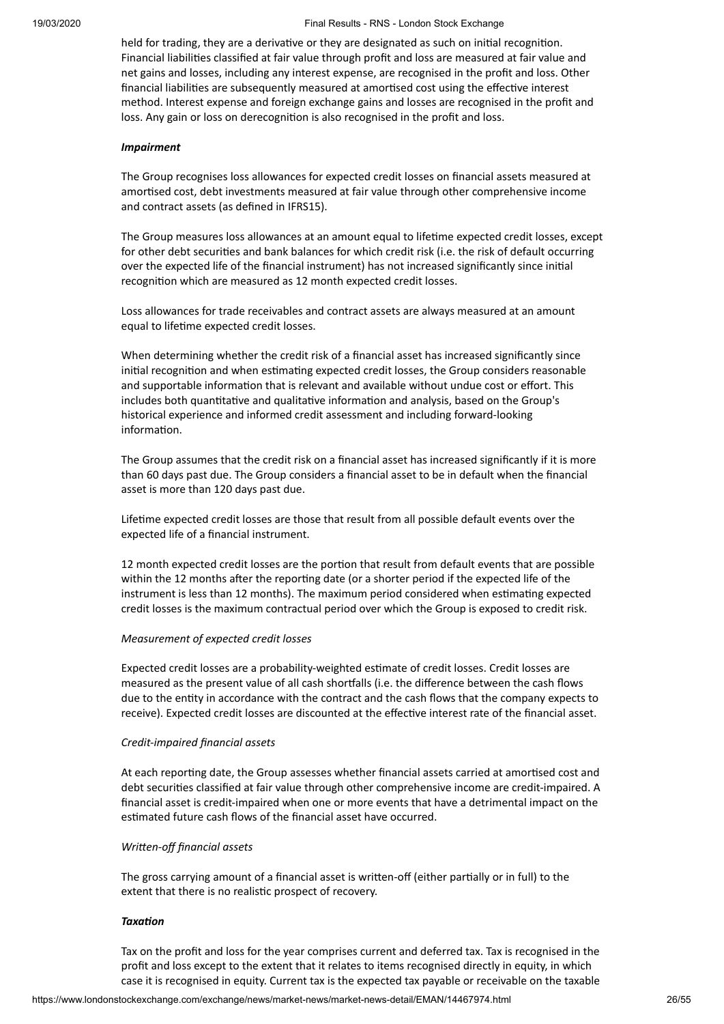held for trading, they are a derivative or they are designated as such on initial recognition. Financial liabilies classified at fair value through profit and loss are measured at fair value and net gains and losses, including any interest expense, are recognised in the profit and loss. Other financial liabilities are subsequently measured at amortised cost using the effective interest method. Interest expense and foreign exchange gains and losses are recognised in the profit and loss. Any gain or loss on derecognition is also recognised in the profit and loss.

#### *Impairment*

The Group recognises loss allowances for expected credit losses on financial assets measured at amortised cost, debt investments measured at fair value through other comprehensive income and contract assets (as defined in IFRS15).

The Group measures loss allowances at an amount equal to lifeme expected credit losses, except for other debt securities and bank balances for which credit risk (i.e. the risk of default occurring over the expected life of the financial instrument) has not increased significantly since initial recognition which are measured as 12 month expected credit losses.

Loss allowances for trade receivables and contract assets are always measured at an amount equal to lifetime expected credit losses.

When determining whether the credit risk of a financial asset has increased significantly since initial recognition and when estimating expected credit losses, the Group considers reasonable and supportable information that is relevant and available without undue cost or effort. This includes both quantitative and qualitative information and analysis, based on the Group's historical experience and informed credit assessment and including forward-looking information

The Group assumes that the credit risk on a financial asset has increased significantly if it is more than 60 days past due. The Group considers a financial asset to be in default when the financial asset is more than 120 days past due.

Lifetime expected credit losses are those that result from all possible default events over the expected life of a financial instrument.

12 month expected credit losses are the portion that result from default events that are possible within the 12 months after the reporting date (or a shorter period if the expected life of the instrument is less than 12 months). The maximum period considered when estimating expected credit losses is the maximum contractual period over which the Group is exposed to credit risk.

#### *Measurement of expected credit losses*

Expected credit losses are a probability-weighted estimate of credit losses. Credit losses are measured as the present value of all cash shortfalls (i.e. the difference between the cash flows due to the entity in accordance with the contract and the cash flows that the company expects to receive). Expected credit losses are discounted at the effective interest rate of the financial asset.

#### *Credit-impaired financial assets*

At each reporting date, the Group assesses whether financial assets carried at amortised cost and debt securities classified at fair value through other comprehensive income are credit-impaired. A financial asset is credit-impaired when one or more events that have a detrimental impact on the estimated future cash flows of the financial asset have occurred.

#### *Written-off financial assets*

The gross carrying amount of a financial asset is written-off (either partially or in full) to the extent that there is no realistic prospect of recovery.

#### **Taxation**

Tax on the profit and loss for the year comprises current and deferred tax. Tax is recognised in the profit and loss except to the extent that it relates to items recognised directly in equity, in which case it is recognised in equity. Current tax is the expected tax payable or receivable on the taxable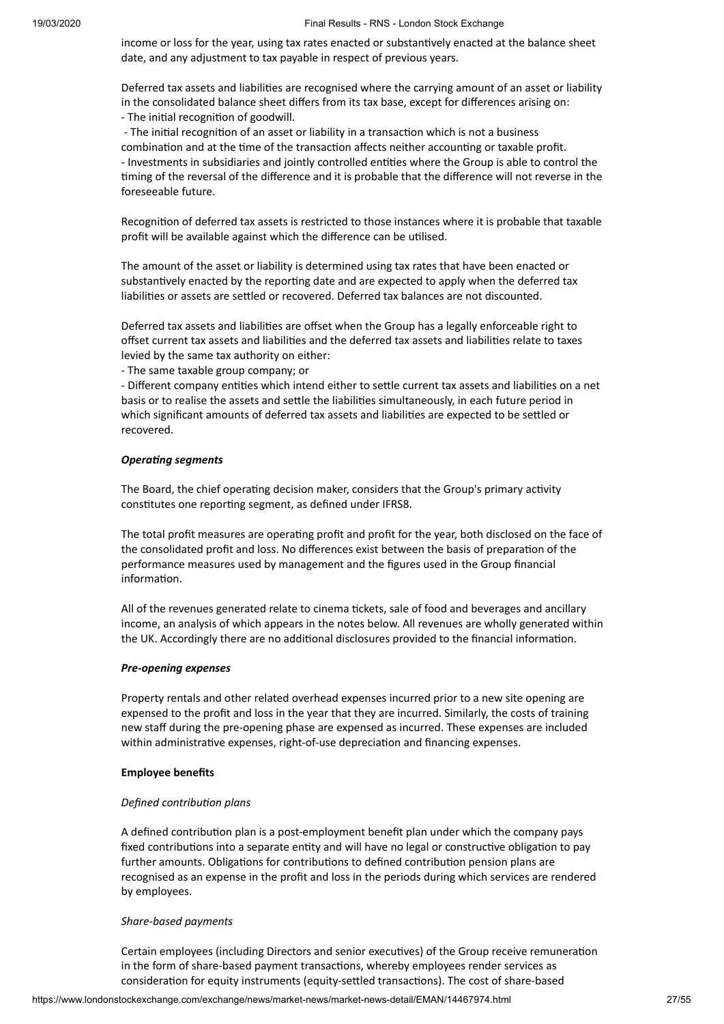income or loss for the year, using tax rates enacted or substantively enacted at the balance sheet date, and any adjustment to tax payable in respect of previous years.

Deferred tax assets and liabilities are recognised where the carrying amount of an asset or liability in the consolidated balance sheet differs from its tax base, except for differences arising on: - The initial recognition of goodwill.

- The initial recognition of an asset or liability in a transaction which is not a business combination and at the time of the transaction affects neither accounting or taxable profit. - Investments in subsidiaries and jointly controlled entities where the Group is able to control the ming of the reversal of the difference and it is probable that the difference will not reverse in the foreseeable future.

Recognition of deferred tax assets is restricted to those instances where it is probable that taxable profit will be available against which the difference can be utilised.

The amount of the asset or liability is determined using tax rates that have been enacted or substantively enacted by the reporting date and are expected to apply when the deferred tax liabilities or assets are settled or recovered. Deferred tax balances are not discounted.

Deferred tax assets and liabilities are offset when the Group has a legally enforceable right to offset current tax assets and liabilities and the deferred tax assets and liabilities relate to taxes levied by the same tax authority on either:

- The same taxable group company; or

- Different company entities which intend either to settle current tax assets and liabilities on a net basis or to realise the assets and settle the liabilities simultaneously, in each future period in which significant amounts of deferred tax assets and liabilities are expected to be settled or recovered.

#### **Operating** segments

The Board, the chief operating decision maker, considers that the Group's primary activity constitutes one reporting segment, as defined under IFRS8.

The total profit measures are operating profit and profit for the year, both disclosed on the face of the consolidated profit and loss. No differences exist between the basis of preparation of the performance measures used by management and the figures used in the Group financial information.

All of the revenues generated relate to cinema tickets, sale of food and beverages and ancillary income, an analysis of which appears in the notes below. All revenues are wholly generated within the UK. Accordingly there are no additional disclosures provided to the financial information.

#### *Pre-opening expenses*

Property rentals and other related overhead expenses incurred prior to a new site opening are expensed to the profit and loss in the year that they are incurred. Similarly, the costs of training new staff during the pre-opening phase are expensed as incurred. These expenses are included within administrative expenses, right-of-use depreciation and financing expenses.

#### **Employee benefits**

#### *Defined contribution plans*

A defined contribution plan is a post-employment benefit plan under which the company pays fixed contributions into a separate entity and will have no legal or constructive obligation to pay further amounts. Obligations for contributions to defined contribution pension plans are recognised as an expense in the profit and loss in the periods during which services are rendered by employees.

#### *Share-based payments*

Certain employees (including Directors and senior executives) of the Group receive remuneration in the form of share-based payment transactions, whereby employees render services as consideration for equity instruments (equity-settled transactions). The cost of share-based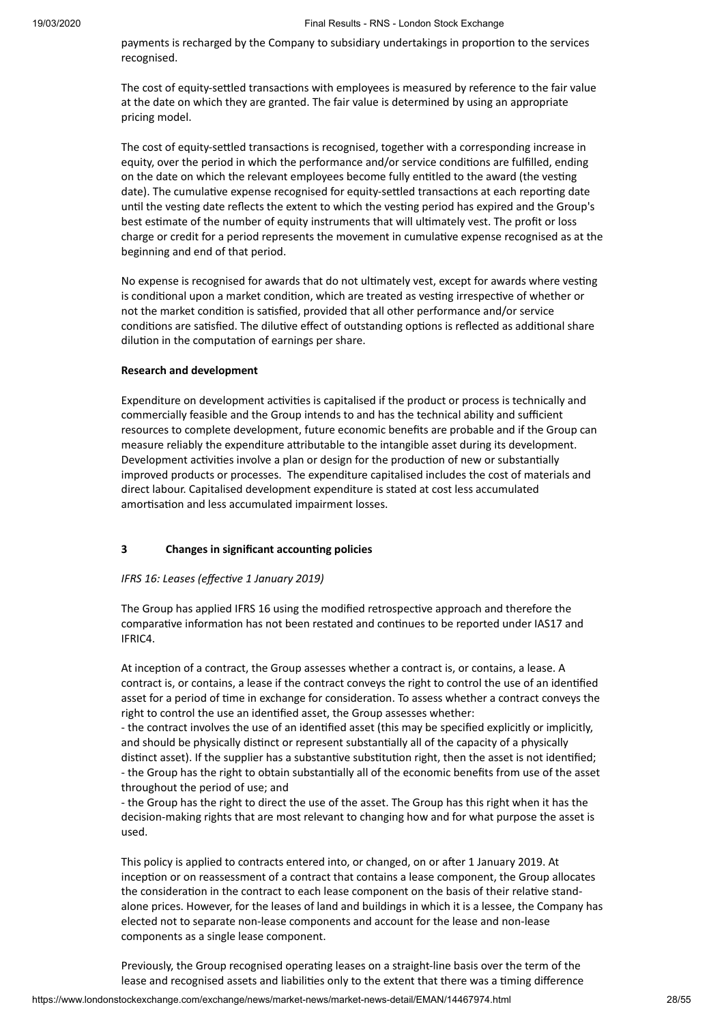payments is recharged by the Company to subsidiary undertakings in proportion to the services recognised.

The cost of equity-settled transactions with employees is measured by reference to the fair value at the date on which they are granted. The fair value is determined by using an appropriate pricing model.

The cost of equity-settled transactions is recognised, together with a corresponding increase in equity, over the period in which the performance and/or service conditions are fulfilled, ending on the date on which the relevant employees become fully entitled to the award (the vesting date). The cumulative expense recognised for equity-settled transactions at each reporting date until the vesting date reflects the extent to which the vesting period has expired and the Group's best estimate of the number of equity instruments that will ultimately vest. The profit or loss charge or credit for a period represents the movement in cumulative expense recognised as at the beginning and end of that period.

No expense is recognised for awards that do not ultimately vest, except for awards where vesting is conditional upon a market condition, which are treated as vesting irrespective of whether or not the market condition is satisfied, provided that all other performance and/or service conditions are satisfied. The dilutive effect of outstanding options is reflected as additional share dilution in the computation of earnings per share.

#### **Research and development**

Expenditure on development activities is capitalised if the product or process is technically and commercially feasible and the Group intends to and has the technical ability and sufficient resources to complete development, future economic benefits are probable and if the Group can measure reliably the expenditure attributable to the intangible asset during its development. Development activities involve a plan or design for the production of new or substantially improved products or processes. The expenditure capitalised includes the cost of materials and direct labour. Capitalised development expenditure is stated at cost less accumulated amortisation and less accumulated impairment losses.

#### **3 Changes in significant accounng policies**

#### *IFRS* 16: Leases (effective 1 January 2019)

The Group has applied IFRS 16 using the modified retrospective approach and therefore the comparative information has not been restated and continues to be reported under IAS17 and IFRIC4.

At inception of a contract, the Group assesses whether a contract is, or contains, a lease. A contract is, or contains, a lease if the contract conveys the right to control the use of an idenfied asset for a period of time in exchange for consideration. To assess whether a contract conveys the right to control the use an identified asset, the Group assesses whether:

- the contract involves the use of an identified asset (this may be specified explicitly or implicitly, and should be physically distinct or represent substantially all of the capacity of a physically distinct asset). If the supplier has a substantive substitution right, then the asset is not identified; - the Group has the right to obtain substantially all of the economic benefits from use of the asset throughout the period of use; and

- the Group has the right to direct the use of the asset. The Group has this right when it has the decision-making rights that are most relevant to changing how and for what purpose the asset is used.

This policy is applied to contracts entered into, or changed, on or after 1 January 2019. At inception or on reassessment of a contract that contains a lease component, the Group allocates the consideration in the contract to each lease component on the basis of their relative standalone prices. However, for the leases of land and buildings in which it is a lessee, the Company has elected not to separate non-lease components and account for the lease and non-lease components as a single lease component.

Previously, the Group recognised operating leases on a straight-line basis over the term of the lease and recognised assets and liabilities only to the extent that there was a timing difference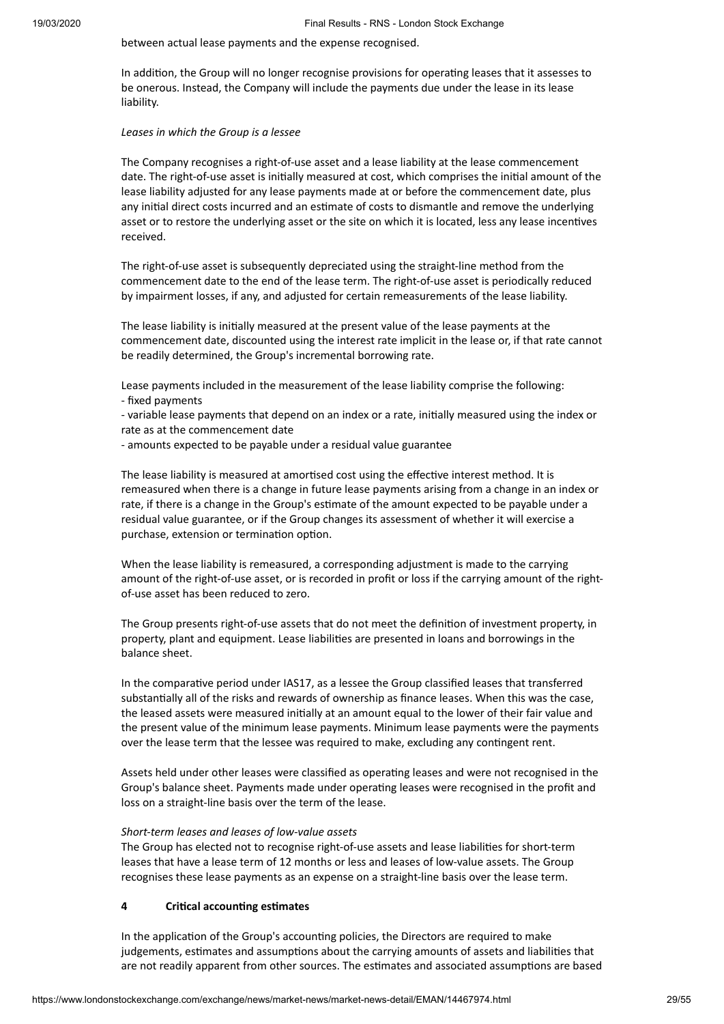between actual lease payments and the expense recognised.

In addition, the Group will no longer recognise provisions for operating leases that it assesses to be onerous. Instead, the Company will include the payments due under the lease in its lease liability.

#### *Leases in which the Group is a lessee*

The Company recognises a right-of-use asset and a lease liability at the lease commencement date. The right-of-use asset is initially measured at cost, which comprises the initial amount of the lease liability adjusted for any lease payments made at or before the commencement date, plus any initial direct costs incurred and an estimate of costs to dismantle and remove the underlying asset or to restore the underlying asset or the site on which it is located. less any lease incentives received.

The right-of-use asset is subsequently depreciated using the straight-line method from the commencement date to the end of the lease term. The right-of-use asset is periodically reduced by impairment losses, if any, and adjusted for certain remeasurements of the lease liability.

The lease liability is initially measured at the present value of the lease payments at the commencement date, discounted using the interest rate implicit in the lease or, if that rate cannot be readily determined, the Group's incremental borrowing rate.

Lease payments included in the measurement of the lease liability comprise the following: - fixed payments

- variable lease payments that depend on an index or a rate, initially measured using the index or rate as at the commencement date

- amounts expected to be payable under a residual value guarantee

The lease liability is measured at amortised cost using the effective interest method. It is remeasured when there is a change in future lease payments arising from a change in an index or rate, if there is a change in the Group's estimate of the amount expected to be payable under a residual value guarantee, or if the Group changes its assessment of whether it will exercise a purchase, extension or termination option.

When the lease liability is remeasured, a corresponding adjustment is made to the carrying amount of the right-of-use asset, or is recorded in profit or loss if the carrying amount of the rightof-use asset has been reduced to zero.

The Group presents right-of-use assets that do not meet the definition of investment property, in property, plant and equipment. Lease liabilities are presented in loans and borrowings in the balance sheet.

In the comparative period under IAS17, as a lessee the Group classified leases that transferred substantially all of the risks and rewards of ownership as finance leases. When this was the case, the leased assets were measured initially at an amount equal to the lower of their fair value and the present value of the minimum lease payments. Minimum lease payments were the payments over the lease term that the lessee was required to make, excluding any contingent rent.

Assets held under other leases were classified as operating leases and were not recognised in the Group's balance sheet. Payments made under operating leases were recognised in the profit and loss on a straight-line basis over the term of the lease.

#### *Short-term leases and leases of low-value assets*

The Group has elected not to recognise right-of-use assets and lease liabilities for short-term leases that have a lease term of 12 months or less and leases of low-value assets. The Group recognises these lease payments as an expense on a straight-line basis over the lease term.

#### **4 Crical accounng esmates**

In the application of the Group's accounting policies, the Directors are required to make judgements, estimates and assumptions about the carrying amounts of assets and liabilities that are not readily apparent from other sources. The estimates and associated assumptions are based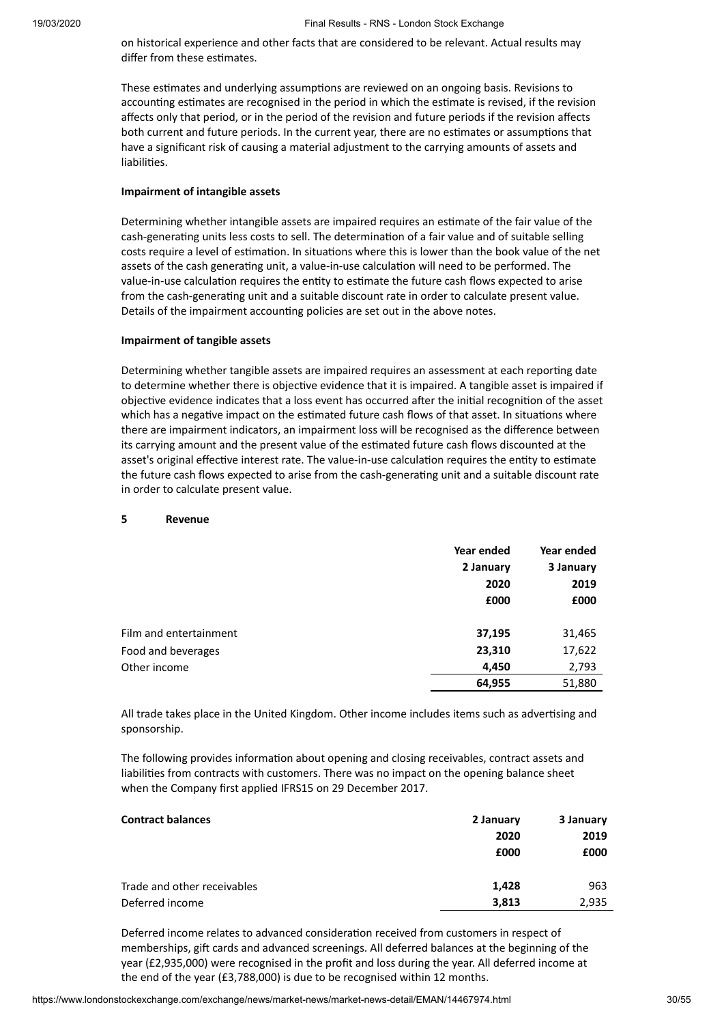on historical experience and other facts that are considered to be relevant. Actual results may differ from these estimates.

These estimates and underlying assumptions are reviewed on an ongoing basis. Revisions to accounting estimates are recognised in the period in which the estimate is revised, if the revision affects only that period, or in the period of the revision and future periods if the revision affects both current and future periods. In the current year, there are no estimates or assumptions that have a significant risk of causing a material adjustment to the carrying amounts of assets and liabilities.

#### **Impairment of intangible assets**

Determining whether intangible assets are impaired requires an estimate of the fair value of the cash-generating units less costs to sell. The determination of a fair value and of suitable selling costs require a level of estimation. In situations where this is lower than the book value of the net assets of the cash generating unit, a value-in-use calculation will need to be performed. The value-in-use calculation requires the entity to estimate the future cash flows expected to arise from the cash-generating unit and a suitable discount rate in order to calculate present value. Details of the impairment accounting policies are set out in the above notes.

#### **Impairment of tangible assets**

Determining whether tangible assets are impaired requires an assessment at each reporting date to determine whether there is objective evidence that it is impaired. A tangible asset is impaired if objective evidence indicates that a loss event has occurred after the initial recognition of the asset which has a negative impact on the estimated future cash flows of that asset. In situations where there are impairment indicators, an impairment loss will be recognised as the difference between its carrying amount and the present value of the estimated future cash flows discounted at the asset's original effective interest rate. The value-in-use calculation requires the entity to estimate the future cash flows expected to arise from the cash-generating unit and a suitable discount rate in order to calculate present value.

#### **5 Revenue**

|                        | Year ended | Year ended |
|------------------------|------------|------------|
|                        | 2 January  | 3 January  |
|                        | 2020       | 2019       |
|                        | £000       | £000       |
|                        |            |            |
| Film and entertainment | 37,195     | 31,465     |
| Food and beverages     | 23,310     | 17,622     |
| Other income           | 4,450      | 2,793      |
|                        | 64,955     | 51,880     |

All trade takes place in the United Kingdom. Other income includes items such as advertising and sponsorship.

The following provides information about opening and closing receivables, contract assets and liabilies from contracts with customers. There was no impact on the opening balance sheet when the Company first applied IFRS15 on 29 December 2017.

| <b>Contract balances</b>    | 2 January | 3 January |
|-----------------------------|-----------|-----------|
|                             | 2020      | 2019      |
|                             | £000      | £000      |
| Trade and other receivables | 1,428     | 963       |
| Deferred income             | 3,813     | 2,935     |

Deferred income relates to advanced consideration received from customers in respect of memberships, gift cards and advanced screenings. All deferred balances at the beginning of the year (£2,935,000) were recognised in the profit and loss during the year. All deferred income at the end of the year (£3,788,000) is due to be recognised within 12 months.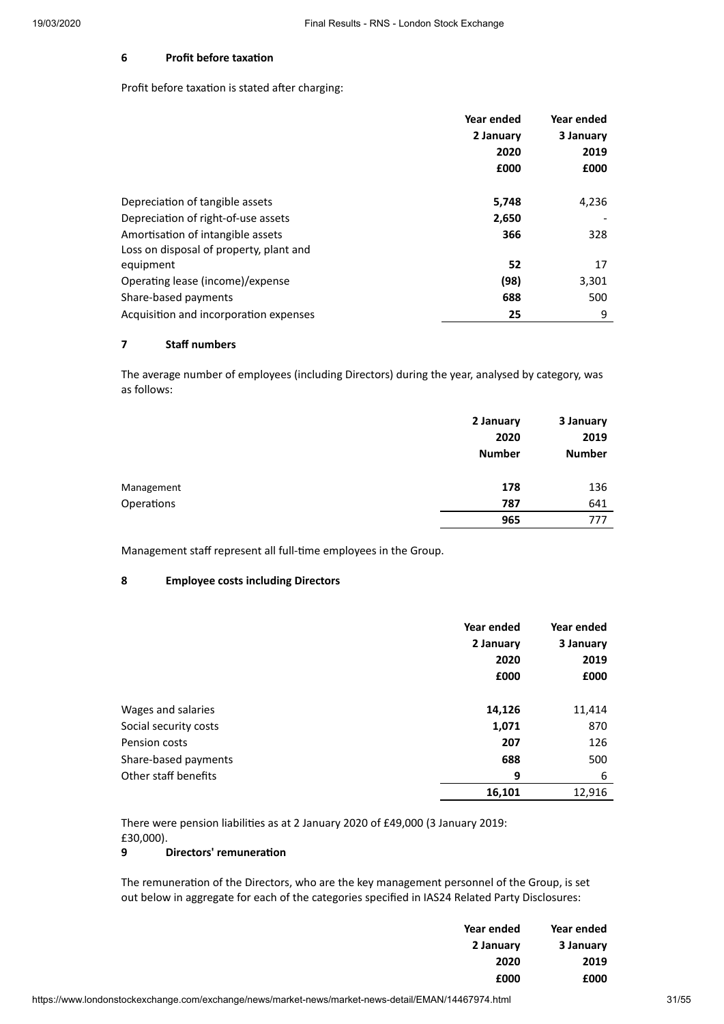#### **6 Profit before taxation**

Profit before taxation is stated after charging:

|                                         | Year ended | Year ended |
|-----------------------------------------|------------|------------|
|                                         | 2 January  | 3 January  |
|                                         | 2020       | 2019       |
|                                         | £000       | £000       |
|                                         |            |            |
| Depreciation of tangible assets         | 5,748      | 4,236      |
| Depreciation of right-of-use assets     | 2,650      |            |
| Amortisation of intangible assets       | 366        | 328        |
| Loss on disposal of property, plant and |            |            |
| equipment                               | 52         | 17         |
| Operating lease (income)/expense        | (98)       | 3,301      |
| Share-based payments                    | 688        | 500        |
| Acquisition and incorporation expenses  | 25         | 9          |

#### **7 Staff numbers**

The average number of employees (including Directors) during the year, analysed by category, was as follows:

|            | 2 January<br>2020<br><b>Number</b> | 3 January<br>2019<br><b>Number</b> |
|------------|------------------------------------|------------------------------------|
| Management | 178                                | 136                                |
| Operations | 787<br>965                         | 641<br>777                         |

Management staff represent all full-time employees in the Group.

#### **8 Employee costs including Directors**

|                       | Year ended | Year ended |
|-----------------------|------------|------------|
|                       | 2 January  | 3 January  |
|                       | 2020       | 2019       |
|                       | £000       | £000       |
| Wages and salaries    | 14,126     | 11,414     |
| Social security costs | 1,071      | 870        |
| Pension costs         | 207        | 126        |
| Share-based payments  | 688        | 500        |
| Other staff benefits  | 9          | 6          |
|                       | 16,101     | 12,916     |

There were pension liabilities as at 2 January 2020 of £49,000 (3 January 2019: £30,000).

#### **9 Directors' remuneration**

The remuneration of the Directors, who are the key management personnel of the Group, is set out below in aggregate for each of the categories specified in IAS24 Related Party Disclosures:

| Year ended | Year ended |
|------------|------------|
| 2 January  | 3 January  |
| 2020       | 2019       |
| £000       | £000       |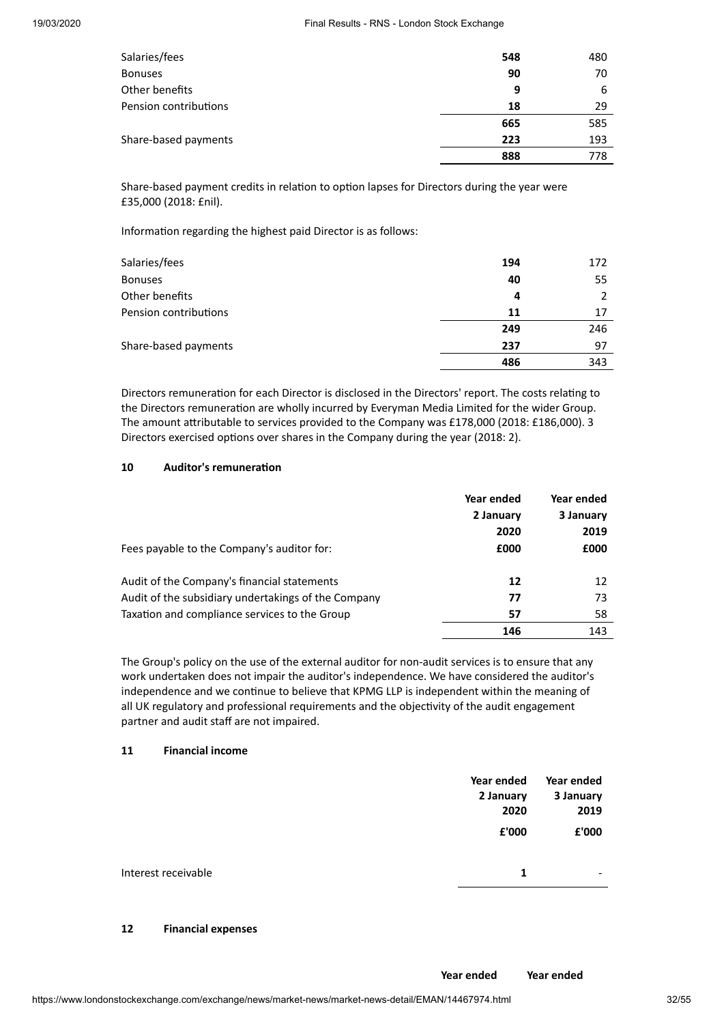| Salaries/fees         | 548 | 480 |
|-----------------------|-----|-----|
| <b>Bonuses</b>        | 90  | 70  |
| Other benefits        | 9   | 6   |
| Pension contributions | 18  | 29  |
|                       | 665 | 585 |
| Share-based payments  | 223 | 193 |
|                       | 888 | 778 |

Share-based payment credits in relation to option lapses for Directors during the year were £35,000 (2018: £nil).

Information regarding the highest paid Director is as follows:

| Salaries/fees         | 194 | 172 |
|-----------------------|-----|-----|
| <b>Bonuses</b>        | 40  | 55  |
| Other benefits        | 4   |     |
| Pension contributions | 11  | 17  |
|                       | 249 | 246 |
| Share-based payments  | 237 | 97  |
|                       | 486 | 343 |

Directors remuneration for each Director is disclosed in the Directors' report. The costs relating to the Directors remuneration are wholly incurred by Everyman Media Limited for the wider Group. The amount attributable to services provided to the Company was £178,000 (2018: £186,000). 3 Directors exercised options over shares in the Company during the year (2018: 2).

#### 10 **Auditor's** remuneration

| Fees payable to the Company's auditor for:          | Year ended<br>2 January<br>2020<br>£000 | Year ended<br>3 January<br>2019<br>£000 |
|-----------------------------------------------------|-----------------------------------------|-----------------------------------------|
| Audit of the Company's financial statements         | 12                                      | 12                                      |
| Audit of the subsidiary undertakings of the Company | 77                                      | 73                                      |
| Taxation and compliance services to the Group       | 57                                      | 58                                      |
|                                                     | 146                                     | 143                                     |

The Group's policy on the use of the external auditor for non-audit services is to ensure that any work undertaken does not impair the auditor's independence. We have considered the auditor's independence and we continue to believe that KPMG LLP is independent within the meaning of all UK regulatory and professional requirements and the objectivity of the audit engagement partner and audit staff are not impaired.

#### **11 Financial income**

|                     | Year ended<br>2 January | Year ended<br>3 January  |
|---------------------|-------------------------|--------------------------|
|                     | 2020                    | 2019                     |
|                     | £'000                   | £'000                    |
| Interest receivable | 1                       | $\overline{\phantom{a}}$ |
|                     |                         |                          |

#### **12 Financial expenses**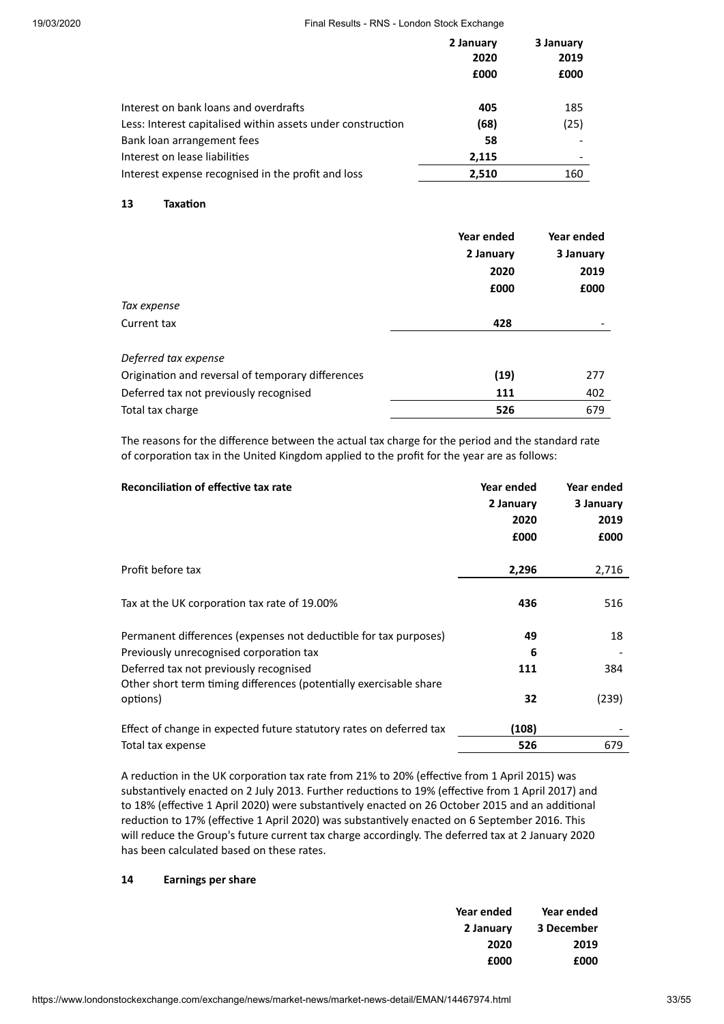|                                                             | 2 January<br>2020 | 3 January<br>2019 |
|-------------------------------------------------------------|-------------------|-------------------|
|                                                             | £000              | £000              |
| Interest on bank loans and overdrafts                       | 405               | 185               |
| Less: Interest capitalised within assets under construction | (68)              | (25)              |
| Bank loan arrangement fees                                  | 58                |                   |
| Interest on lease liabilities                               | 2,115             |                   |
| Interest expense recognised in the profit and loss          | 2,510             | 160               |

#### 13 **Taxation**

|                                                   | Year ended | Year ended |
|---------------------------------------------------|------------|------------|
|                                                   | 2 January  | 3 January  |
|                                                   | 2020       | 2019       |
|                                                   | £000       | £000       |
| Tax expense                                       |            |            |
| Current tax                                       | 428        |            |
| Deferred tax expense                              |            |            |
| Origination and reversal of temporary differences | (19)       | 277        |
| Deferred tax not previously recognised            | 111        | 402        |
| Total tax charge                                  | 526        | 679        |

The reasons for the difference between the actual tax charge for the period and the standard rate of corporation tax in the United Kingdom applied to the profit for the year are as follows:

| Reconciliation of effective tax rate                                           | Year ended<br>2 January<br>2020<br>£000 | Year ended<br>3 January<br>2019<br>£000 |
|--------------------------------------------------------------------------------|-----------------------------------------|-----------------------------------------|
| Profit before tax                                                              | 2,296                                   | 2,716                                   |
| Tax at the UK corporation tax rate of 19.00%                                   | 436                                     | 516                                     |
| Permanent differences (expenses not deductible for tax purposes)               | 49                                      | 18                                      |
| Previously unrecognised corporation tax                                        | 6                                       |                                         |
| Deferred tax not previously recognised                                         | 111                                     | 384                                     |
| Other short term timing differences (potentially exercisable share<br>options) | 32                                      | (239)                                   |
| Effect of change in expected future statutory rates on deferred tax            | (108)                                   |                                         |
| Total tax expense                                                              | 526                                     | 679                                     |

A reduction in the UK corporation tax rate from 21% to 20% (effective from 1 April 2015) was substantively enacted on 2 July 2013. Further reductions to 19% (effective from 1 April 2017) and to 18% (effective 1 April 2020) were substantively enacted on 26 October 2015 and an additional reduction to 17% (effective 1 April 2020) was substantively enacted on 6 September 2016. This will reduce the Group's future current tax charge accordingly. The deferred tax at 2 January 2020 has been calculated based on these rates.

#### **14 Earnings per share**

| Year ended | Year ended |
|------------|------------|
| 2 January  | 3 December |
| 2020       | 2019       |
| £000       | £000       |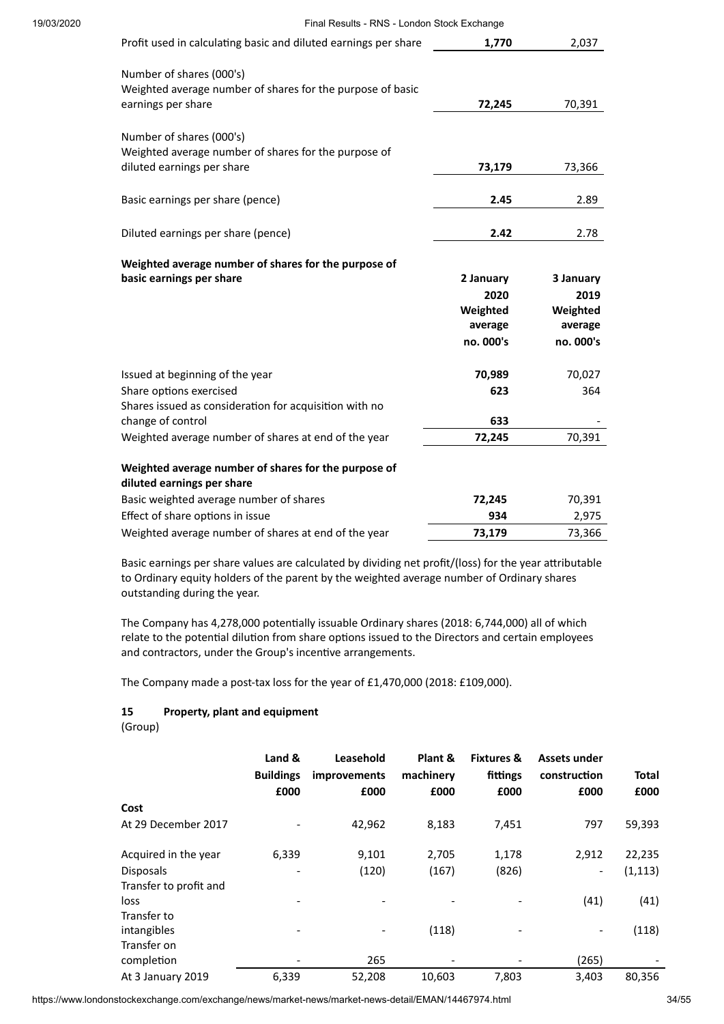| Profit used in calculating basic and diluted earnings per share                                                | 1.770     | 2,037     |
|----------------------------------------------------------------------------------------------------------------|-----------|-----------|
| Number of shares (000's)<br>Weighted average number of shares for the purpose of basic                         |           |           |
| earnings per share                                                                                             | 72,245    | 70,391    |
| Number of shares (000's)<br>Weighted average number of shares for the purpose of<br>diluted earnings per share | 73,179    | 73,366    |
| Basic earnings per share (pence)                                                                               | 2.45      | 2.89      |
| Diluted earnings per share (pence)                                                                             | 2.42      | 2.78      |
| Weighted average number of shares for the purpose of                                                           |           |           |
| basic earnings per share                                                                                       | 2 January | 3 January |
|                                                                                                                | 2020      | 2019      |
|                                                                                                                | Weighted  | Weighted  |
|                                                                                                                | average   | average   |
|                                                                                                                | no. 000's | no. 000's |
| Issued at beginning of the year                                                                                | 70,989    | 70,027    |
| Share options exercised                                                                                        | 623       | 364       |
| Shares issued as consideration for acquisition with no                                                         |           |           |
| change of control                                                                                              | 633       |           |
| Weighted average number of shares at end of the year                                                           | 72,245    | 70,391    |
| Weighted average number of shares for the purpose of                                                           |           |           |
| diluted earnings per share                                                                                     |           |           |
| Basic weighted average number of shares                                                                        | 72,245    | 70,391    |
| Effect of share options in issue                                                                               | 934       | 2,975     |
| Weighted average number of shares at end of the year                                                           | 73,179    | 73,366    |

Basic earnings per share values are calculated by dividing net profit/(loss) for the year attributable to Ordinary equity holders of the parent by the weighted average number of Ordinary shares outstanding during the year.

The Company has 4,278,000 potentially issuable Ordinary shares (2018: 6,744,000) all of which relate to the potential dilution from share options issued to the Directors and certain employees and contractors, under the Group's incentive arrangements.

The Company made a post-tax loss for the year of £1,470,000 (2018: £109,000).

#### **15 Property, plant and equipment**

(Group)

|                        | Land &<br><b>Buildings</b><br>£000 | Leasehold<br><i>improvements</i><br>£000 | Plant &<br>machinery<br>£000 | <b>Fixtures &amp;</b><br>fittings<br>£000 | Assets under<br>construction<br>£000 | <b>Total</b><br>£000 |
|------------------------|------------------------------------|------------------------------------------|------------------------------|-------------------------------------------|--------------------------------------|----------------------|
| Cost                   |                                    |                                          |                              |                                           |                                      |                      |
| At 29 December 2017    |                                    | 42,962                                   | 8,183                        | 7,451                                     | 797                                  | 59,393               |
| Acquired in the year   | 6,339                              | 9,101                                    | 2,705                        | 1,178                                     | 2,912                                | 22,235               |
| <b>Disposals</b>       |                                    | (120)                                    | (167)                        | (826)                                     | $\overline{\phantom{0}}$             | (1, 113)             |
| Transfer to profit and |                                    |                                          |                              |                                           |                                      |                      |
| loss                   |                                    |                                          |                              |                                           | (41)                                 | (41)                 |
| Transfer to            |                                    |                                          |                              |                                           |                                      |                      |
| intangibles            |                                    |                                          | (118)                        |                                           |                                      | (118)                |
| Transfer on            |                                    |                                          |                              |                                           |                                      |                      |
| completion             |                                    | 265                                      |                              |                                           | (265)                                |                      |
| At 3 January 2019      | 6,339                              | 52,208                                   | 10,603                       | 7,803                                     | 3,403                                | 80,356               |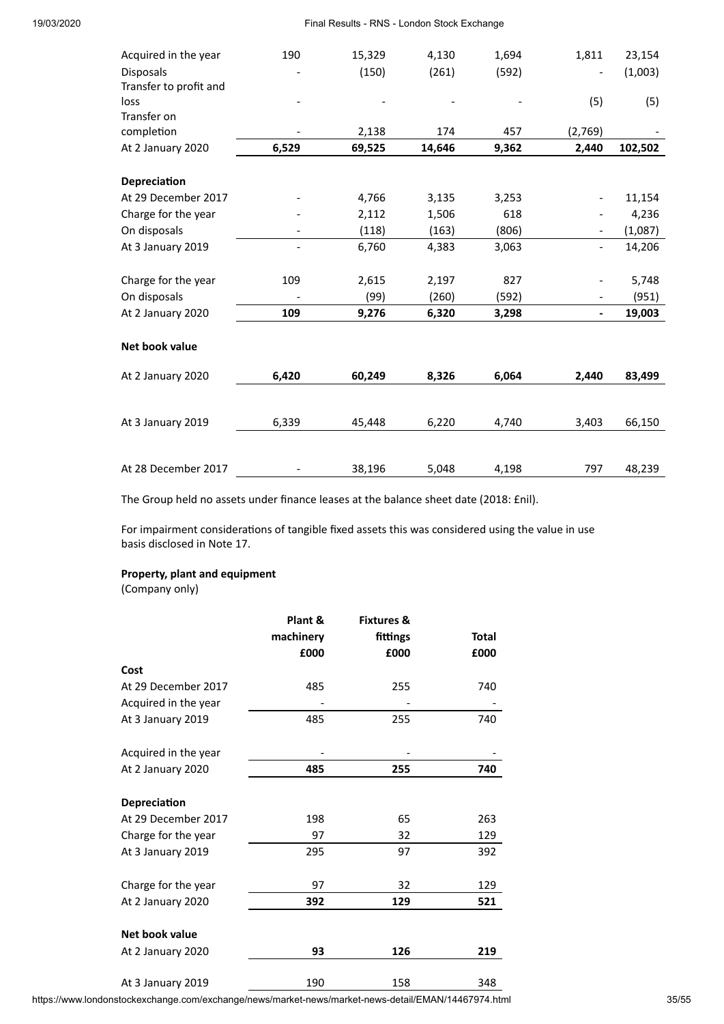| Acquired in the year   | 190   | 15,329 | 4,130  | 1,694 | 1,811   | 23,154  |
|------------------------|-------|--------|--------|-------|---------|---------|
| <b>Disposals</b>       |       | (150)  | (261)  | (592) |         | (1,003) |
| Transfer to profit and |       |        |        |       |         |         |
| loss                   |       |        |        |       | (5)     | (5)     |
| Transfer on            |       |        |        |       |         |         |
| completion             |       | 2,138  | 174    | 457   | (2,769) |         |
| At 2 January 2020      | 6,529 | 69,525 | 14,646 | 9,362 | 2,440   | 102,502 |
|                        |       |        |        |       |         |         |
| Depreciation           |       |        |        |       |         |         |
| At 29 December 2017    |       | 4,766  | 3,135  | 3,253 |         | 11,154  |
| Charge for the year    |       | 2,112  | 1,506  | 618   |         | 4,236   |
| On disposals           |       | (118)  | (163)  | (806) |         | (1,087) |
| At 3 January 2019      |       | 6,760  | 4,383  | 3,063 |         | 14,206  |
|                        |       |        |        |       |         |         |
| Charge for the year    | 109   | 2,615  | 2,197  | 827   |         | 5,748   |
| On disposals           |       | (99)   | (260)  | (592) |         | (951)   |
| At 2 January 2020      | 109   | 9,276  | 6,320  | 3,298 |         | 19,003  |
|                        |       |        |        |       |         |         |
| Net book value         |       |        |        |       |         |         |
| At 2 January 2020      | 6,420 | 60,249 | 8,326  | 6,064 | 2,440   | 83,499  |
|                        |       |        |        |       |         |         |
|                        |       |        |        |       |         |         |
| At 3 January 2019      | 6,339 | 45,448 | 6,220  | 4,740 | 3,403   | 66,150  |
|                        |       |        |        |       |         |         |
| At 28 December 2017    |       | 38,196 | 5,048  | 4,198 | 797     | 48,239  |
|                        |       |        |        |       |         |         |

The Group held no assets under finance leases at the balance sheet date (2018: £nil).

For impairment considerations of tangible fixed assets this was considered using the value in use basis disclosed in Note 17.

#### **Property, plant and equipment**

(Company only)

|                      | Plant &   | <b>Fixtures &amp;</b> |              |
|----------------------|-----------|-----------------------|--------------|
|                      | machinery | fittings              | <b>Total</b> |
|                      | £000      | £000                  | £000         |
| Cost                 |           |                       |              |
| At 29 December 2017  | 485       | 255                   | 740          |
| Acquired in the year |           |                       |              |
| At 3 January 2019    | 485       | 255                   | 740          |
| Acquired in the year |           |                       |              |
| At 2 January 2020    | 485       | 255                   | 740          |
| Depreciation         |           |                       |              |
| At 29 December 2017  | 198       | 65                    | 263          |
| Charge for the year  | 97        | 32                    | 129          |
| At 3 January 2019    | 295       | 97                    | 392          |
| Charge for the year  | 97        | 32                    | 129          |
| At 2 January 2020    | 392       | 129                   | 521          |
| Net book value       |           |                       |              |
| At 2 January 2020    | 93        | 126                   | 219          |
| At 3 January 2019    | 190       | 158                   | 348          |

https://www.londonstockexchange.com/exchange/news/market-news/market-news-detail/EMAN/14467974.html 35/55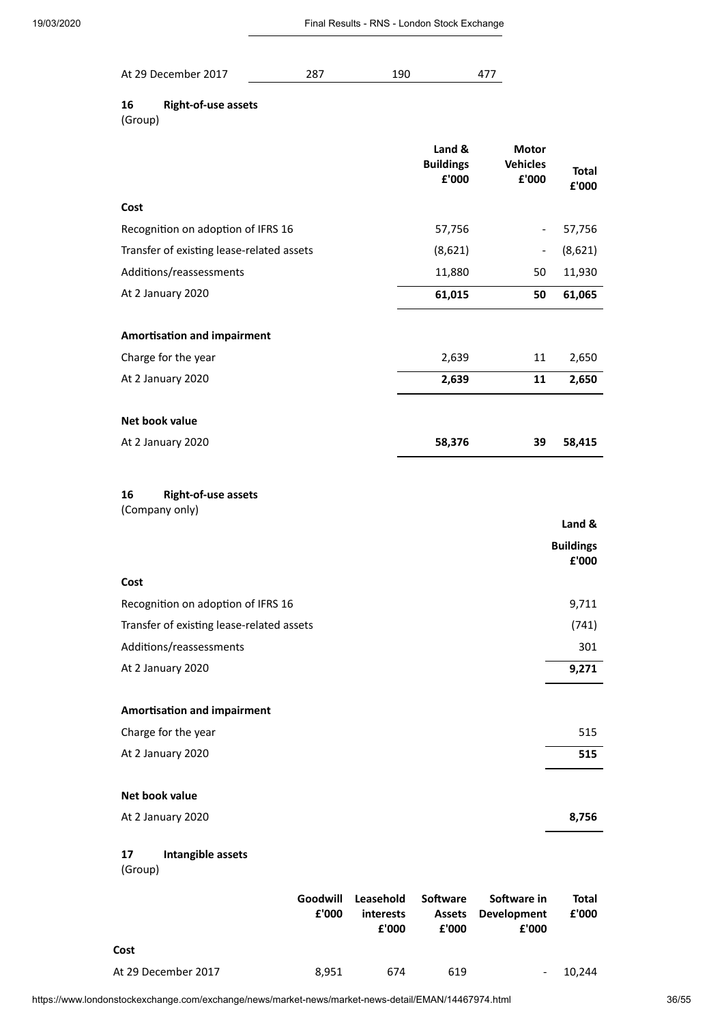| At 29 December 2017<br>287 | 190 |
|----------------------------|-----|
|----------------------------|-----|

## **16 Right-of-use assets**

(Group)

|                                                    |                   |                                        | Land &<br><b>Buildings</b><br>£'000       | <b>Motor</b><br><b>Vehicles</b><br>£'000   | <b>Total</b><br>£'000      |
|----------------------------------------------------|-------------------|----------------------------------------|-------------------------------------------|--------------------------------------------|----------------------------|
| Cost                                               |                   |                                        |                                           |                                            |                            |
| Recognition on adoption of IFRS 16                 |                   |                                        | 57,756                                    | $\overline{\phantom{0}}$                   | 57,756                     |
| Transfer of existing lease-related assets          |                   |                                        | (8,621)                                   |                                            | (8,621)                    |
| Additions/reassessments                            |                   |                                        | 11,880                                    | 50                                         | 11,930                     |
| At 2 January 2020                                  |                   |                                        | 61,015                                    | 50                                         | 61,065                     |
| <b>Amortisation and impairment</b>                 |                   |                                        |                                           |                                            |                            |
| Charge for the year                                |                   |                                        | 2,639                                     | 11                                         | 2,650                      |
| At 2 January 2020                                  |                   |                                        | 2,639                                     | 11                                         | 2,650                      |
| Net book value                                     |                   |                                        |                                           |                                            |                            |
| At 2 January 2020                                  |                   |                                        | 58,376                                    | 39                                         | 58,415                     |
| 16<br><b>Right-of-use assets</b><br>(Company only) |                   |                                        |                                           |                                            | Land &<br><b>Buildings</b> |
| Cost                                               |                   |                                        |                                           |                                            | £'000                      |
| Recognition on adoption of IFRS 16                 |                   |                                        |                                           |                                            | 9,711                      |
| Transfer of existing lease-related assets          |                   |                                        |                                           |                                            | (741)                      |
| Additions/reassessments                            |                   |                                        |                                           |                                            | 301                        |
| At 2 January 2020                                  |                   |                                        |                                           |                                            | 9,271                      |
|                                                    |                   |                                        |                                           |                                            |                            |
| <b>Amortisation and impairment</b>                 |                   |                                        |                                           |                                            |                            |
| Charge for the year                                |                   |                                        |                                           |                                            | 515                        |
| At 2 January 2020                                  |                   |                                        |                                           |                                            | 515                        |
| Net book value                                     |                   |                                        |                                           |                                            |                            |
| At 2 January 2020                                  |                   |                                        |                                           |                                            | 8,756                      |
| 17<br>Intangible assets<br>(Group)                 |                   |                                        |                                           |                                            |                            |
|                                                    | Goodwill<br>£'000 | Leasehold<br><b>interests</b><br>£'000 | <b>Software</b><br><b>Assets</b><br>£'000 | Software in<br><b>Development</b><br>£'000 | Total<br>£'000             |
| Cost                                               |                   |                                        |                                           |                                            |                            |
| At 29 December 2017                                | 8,951             | 674                                    | 619                                       |                                            | 10,244                     |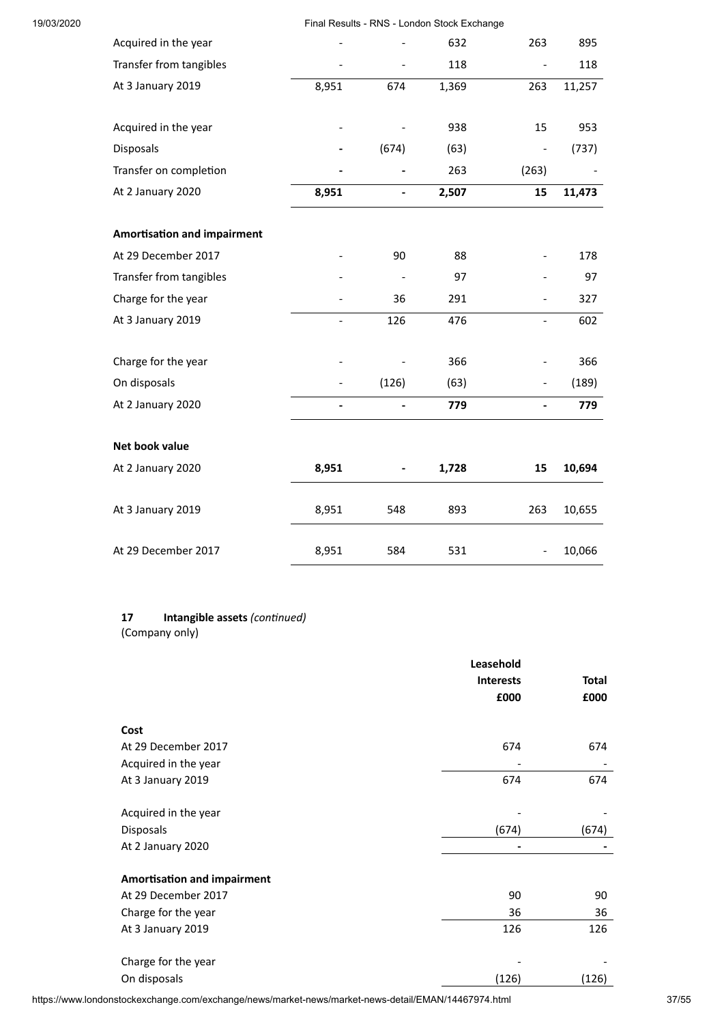| 19/03/2020 |                                    |                              |                              | Final Results - RNS - London Stock Exchange |                              |        |
|------------|------------------------------------|------------------------------|------------------------------|---------------------------------------------|------------------------------|--------|
|            | Acquired in the year               |                              |                              | 632                                         | 263                          | 895    |
|            | Transfer from tangibles            |                              |                              | 118                                         | $\blacksquare$               | 118    |
|            | At 3 January 2019                  | 8,951                        | 674                          | 1,369                                       | 263                          | 11,257 |
|            | Acquired in the year               |                              |                              | 938                                         | 15                           | 953    |
|            | <b>Disposals</b>                   |                              | (674)                        | (63)                                        | $\qquad \qquad \blacksquare$ | (737)  |
|            | Transfer on completion             |                              |                              | 263                                         | (263)                        |        |
|            | At 2 January 2020                  | 8,951                        | $\blacksquare$               | 2,507                                       | 15                           | 11,473 |
|            | <b>Amortisation and impairment</b> |                              |                              |                                             |                              |        |
|            | At 29 December 2017                |                              | 90                           | 88                                          | $\overline{\phantom{a}}$     | 178    |
|            | Transfer from tangibles            |                              |                              | 97                                          |                              | 97     |
|            | Charge for the year                |                              | 36                           | 291                                         | $\overline{\phantom{a}}$     | 327    |
|            | At 3 January 2019                  |                              | 126                          | 476                                         | $\equiv$                     | 602    |
|            | Charge for the year                |                              |                              | 366                                         |                              | 366    |
|            | On disposals                       | $\qquad \qquad \blacksquare$ | (126)                        | (63)                                        | $\qquad \qquad \blacksquare$ | (189)  |
|            | At 2 January 2020                  | $\blacksquare$               | $\overline{a}$               | 779                                         | $\overline{\phantom{m}}$     | 779    |
|            | Net book value                     |                              |                              |                                             |                              |        |
|            | At 2 January 2020                  | 8,951                        | $\qquad \qquad \blacksquare$ | 1,728                                       | 15                           | 10,694 |
|            | At 3 January 2019                  | 8,951                        | 548                          | 893                                         | 263                          | 10,655 |
|            | At 29 December 2017                | 8,951                        | 584                          | 531                                         | $\qquad \qquad \blacksquare$ | 10,066 |

## 17 **Intangible assets** (continued)

(Company only)

|                                    | Leasehold        |              |
|------------------------------------|------------------|--------------|
|                                    | <b>Interests</b> | <b>Total</b> |
|                                    | £000             | £000         |
| Cost                               |                  |              |
| At 29 December 2017                | 674              | 674          |
| Acquired in the year               |                  |              |
| At 3 January 2019                  | 674              | 674          |
| Acquired in the year               |                  |              |
| Disposals                          | (674)            | (674)        |
| At 2 January 2020                  |                  |              |
| <b>Amortisation and impairment</b> |                  |              |
| At 29 December 2017                | 90               | 90           |
| Charge for the year                | 36               | 36           |
| At 3 January 2019                  | 126              | 126          |
| Charge for the year                |                  |              |
| On disposals                       | (126)            | (126)        |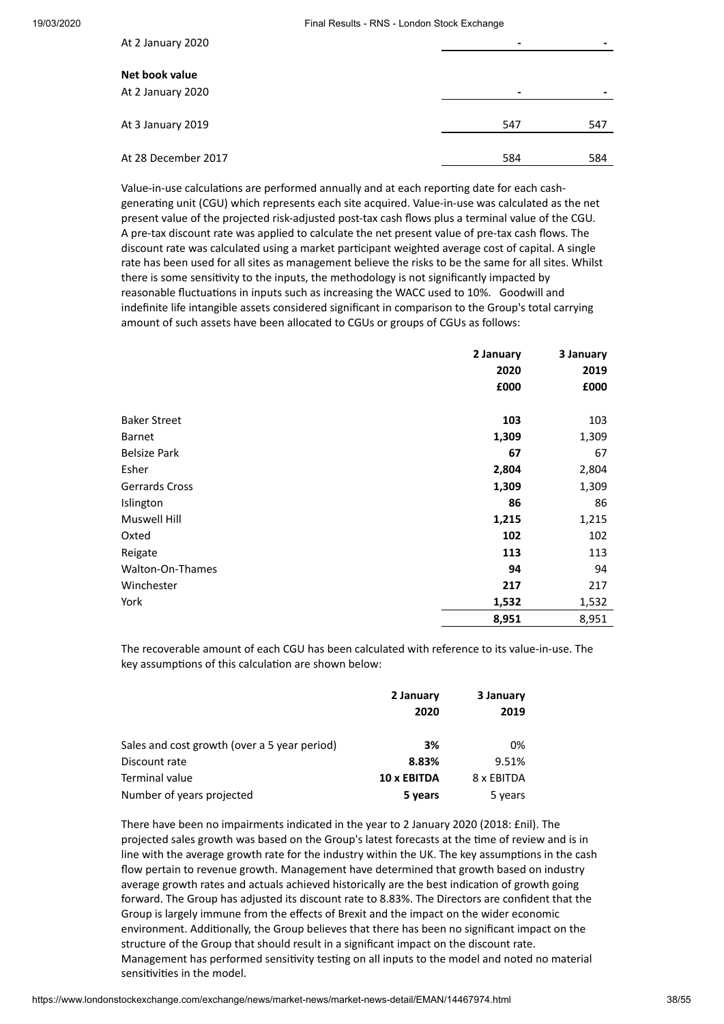| At 2 January 2020                   |      |     |
|-------------------------------------|------|-----|
| Net book value<br>At 2 January 2020 | $\,$ |     |
| At 3 January 2019                   | 547  | 547 |
| At 28 December 2017                 | 584  | 584 |

Value-in-use calculations are performed annually and at each reporting date for each cashgenerating unit (CGU) which represents each site acquired. Value-in-use was calculated as the net present value of the projected risk-adjusted post-tax cash flows plus a terminal value of the CGU. A pre-tax discount rate was applied to calculate the net present value of pre-tax cash flows. The discount rate was calculated using a market participant weighted average cost of capital. A single rate has been used for all sites as management believe the risks to be the same for all sites. Whilst there is some sensitivity to the inputs, the methodology is not significantly impacted by reasonable fluctuations in inputs such as increasing the WACC used to 10%. Goodwill and indefinite life intangible assets considered significant in comparison to the Group's total carrying amount of such assets have been allocated to CGUs or groups of CGUs as follows:

|                     | 2 January | 3 January |
|---------------------|-----------|-----------|
|                     | 2020      | 2019      |
|                     | £000      | £000      |
| <b>Baker Street</b> | 103       | 103       |
| Barnet              | 1,309     | 1,309     |
| <b>Belsize Park</b> | 67        | 67        |
| Esher               | 2,804     | 2,804     |
| Gerrards Cross      | 1,309     | 1,309     |
| Islington           | 86        | 86        |
| <b>Muswell Hill</b> | 1,215     | 1,215     |
| Oxted               | 102       | 102       |
| Reigate             | 113       | 113       |
| Walton-On-Thames    | 94        | 94        |
| Winchester          | 217       | 217       |
| York                | 1,532     | 1,532     |
|                     | 8,951     | 8,951     |

The recoverable amount of each CGU has been calculated with reference to its value-in-use. The key assumptions of this calculation are shown below:

|                                              | 2 January   | 3 January  |  |
|----------------------------------------------|-------------|------------|--|
|                                              | 2020        | 2019       |  |
| Sales and cost growth (over a 5 year period) | 3%          | 0%         |  |
| Discount rate                                | 8.83%       | 9.51%      |  |
| Terminal value                               | 10 x EBITDA | 8 x EBITDA |  |
| Number of years projected                    | 5 years     | 5 years    |  |

There have been no impairments indicated in the year to 2 January 2020 (2018: £nil). The projected sales growth was based on the Group's latest forecasts at the time of review and is in line with the average growth rate for the industry within the UK. The key assumptions in the cash flow pertain to revenue growth. Management have determined that growth based on industry average growth rates and actuals achieved historically are the best indication of growth going forward. The Group has adjusted its discount rate to 8.83%. The Directors are confident that the Group is largely immune from the effects of Brexit and the impact on the wider economic environment. Additionally, the Group believes that there has been no significant impact on the structure of the Group that should result in a significant impact on the discount rate. Management has performed sensitivity testing on all inputs to the model and noted no material sensitivities in the model.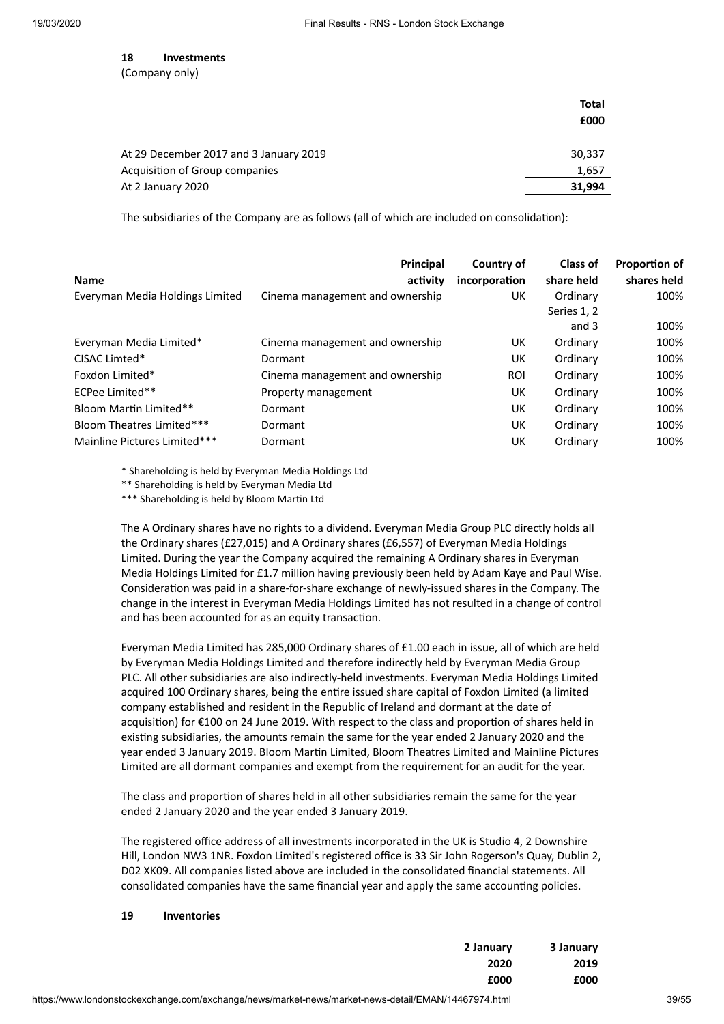**18 Investments**

(Company only)

|                                        | Total<br>£000 |
|----------------------------------------|---------------|
| At 29 December 2017 and 3 January 2019 | 30,337        |
| Acquisition of Group companies         | 1,657         |
| At 2 January 2020                      | 31,994        |

The subsidiaries of the Company are as follows (all of which are included on consolidation):

| <b>Name</b>                     | Principal<br>activity           | Country of<br>incorporation | Class of<br>share held | <b>Proportion of</b><br>shares held |
|---------------------------------|---------------------------------|-----------------------------|------------------------|-------------------------------------|
| Everyman Media Holdings Limited | Cinema management and ownership | UK                          | Ordinary               | 100%                                |
|                                 |                                 |                             | Series 1, 2<br>and 3   | 100%                                |
|                                 |                                 |                             |                        |                                     |
| Everyman Media Limited*         | Cinema management and ownership | UK                          | Ordinary               | 100%                                |
| CISAC Limted*                   | Dormant                         | UK                          | Ordinary               | 100%                                |
| Foxdon Limited*                 | Cinema management and ownership | <b>ROI</b>                  | Ordinary               | 100%                                |
| ECPee Limited**                 | Property management             | UK                          | Ordinary               | 100%                                |
| Bloom Martin Limited**          | Dormant                         | UK                          | Ordinary               | 100%                                |
| Bloom Theatres Limited***       | Dormant                         | UK                          | Ordinary               | 100%                                |
| Mainline Pictures Limited***    | Dormant                         | UK                          | Ordinary               | 100%                                |

\* Shareholding is held by Everyman Media Holdings Ltd

\*\* Shareholding is held by Everyman Media Ltd

\*\*\* Shareholding is held by Bloom Martin Ltd

The A Ordinary shares have no rights to a dividend. Everyman Media Group PLC directly holds all the Ordinary shares (£27,015) and A Ordinary shares (£6,557) of Everyman Media Holdings Limited. During the year the Company acquired the remaining A Ordinary shares in Everyman Media Holdings Limited for £1.7 million having previously been held by Adam Kaye and Paul Wise. Consideration was paid in a share-for-share exchange of newly-issued shares in the Company. The change in the interest in Everyman Media Holdings Limited has not resulted in a change of control and has been accounted for as an equity transaction.

Everyman Media Limited has 285,000 Ordinary shares of £1.00 each in issue, all of which are held by Everyman Media Holdings Limited and therefore indirectly held by Everyman Media Group PLC. All other subsidiaries are also indirectly-held investments. Everyman Media Holdings Limited acquired 100 Ordinary shares, being the entire issued share capital of Foxdon Limited (a limited company established and resident in the Republic of Ireland and dormant at the date of acquisition) for €100 on 24 June 2019. With respect to the class and proportion of shares held in existing subsidiaries, the amounts remain the same for the year ended 2 January 2020 and the year ended 3 January 2019. Bloom Martin Limited, Bloom Theatres Limited and Mainline Pictures Limited are all dormant companies and exempt from the requirement for an audit for the year.

The class and proportion of shares held in all other subsidiaries remain the same for the year ended 2 January 2020 and the year ended 3 January 2019.

The registered office address of all investments incorporated in the UK is Studio 4, 2 Downshire Hill, London NW3 1NR. Foxdon Limited's registered office is 33 Sir John Rogerson's Quay, Dublin 2, D02 XK09. All companies listed above are included in the consolidated financial statements. All consolidated companies have the same financial year and apply the same accounting policies.

#### **19 Inventories**

| 2 January | 3 January |
|-----------|-----------|
| 2020      | 2019      |
| £000      | £000      |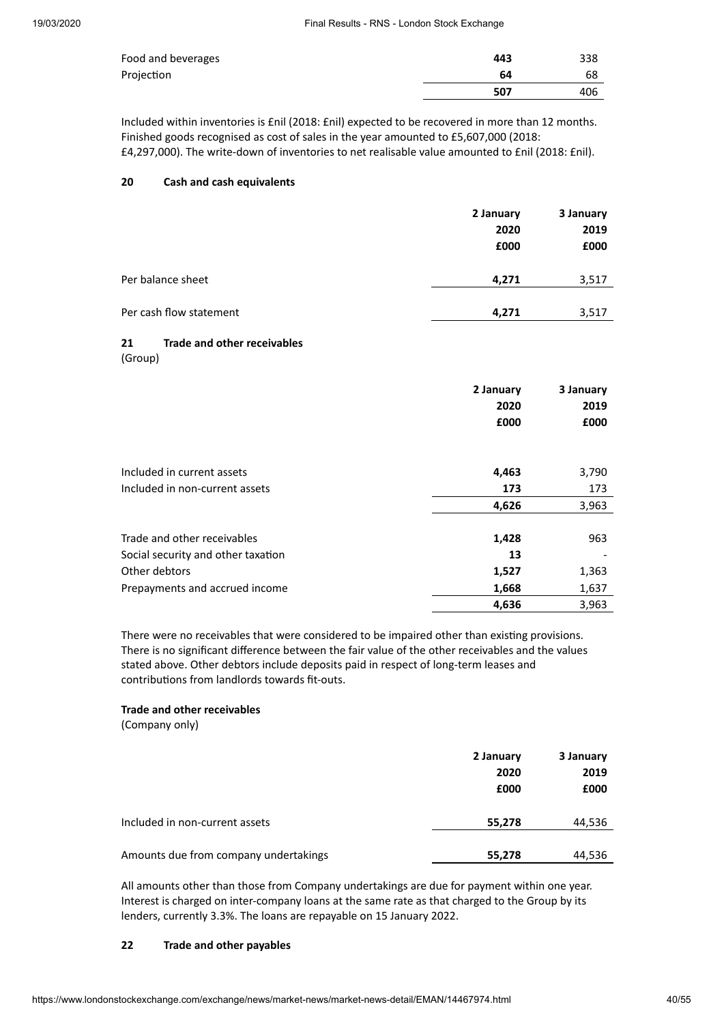| Food and beverages | 443 | 338 |
|--------------------|-----|-----|
| Projection         | 64  | 68  |
|                    | 507 | 406 |

Included within inventories is £nil (2018: £nil) expected to be recovered in more than 12 months. Finished goods recognised as cost of sales in the year amounted to £5,607,000 (2018:

£4,297,000). The write-down of inventories to net realisable value amounted to £nil (2018: £nil).

#### **20 Cash and cash equivalents**

|                         | 2 January<br>2020<br>£000 | 3 January<br>2019<br>£000 |
|-------------------------|---------------------------|---------------------------|
| Per balance sheet       | 4,271                     | 3,517                     |
| Per cash flow statement | 4,271                     | 3,517                     |

#### **21 Trade and other receivables**

(Group)

|                                    | 2 January<br>2020<br>£000 | 3 January<br>2019<br>£000 |
|------------------------------------|---------------------------|---------------------------|
| Included in current assets         | 4,463                     | 3,790                     |
| Included in non-current assets     | 173                       | 173                       |
|                                    | 4,626                     | 3,963                     |
| Trade and other receivables        | 1,428                     | 963                       |
| Social security and other taxation | 13                        |                           |
| Other debtors                      | 1,527                     | 1,363                     |
| Prepayments and accrued income     | 1,668                     | 1,637                     |
|                                    | 4,636                     | 3,963                     |

There were no receivables that were considered to be impaired other than existing provisions. There is no significant difference between the fair value of the other receivables and the values stated above. Other debtors include deposits paid in respect of long-term leases and contributions from landlords towards fit-outs.

#### **Trade and other receivables**

(Company only)

|                                       | 2 January<br>2020<br>£000 | 3 January<br>2019<br>£000 |
|---------------------------------------|---------------------------|---------------------------|
| Included in non-current assets        | 55,278                    | 44,536                    |
| Amounts due from company undertakings | 55,278                    | 44,536                    |

All amounts other than those from Company undertakings are due for payment within one year. Interest is charged on inter-company loans at the same rate as that charged to the Group by its lenders, currently 3.3%. The loans are repayable on 15 January 2022.

#### **22 Trade and other payables**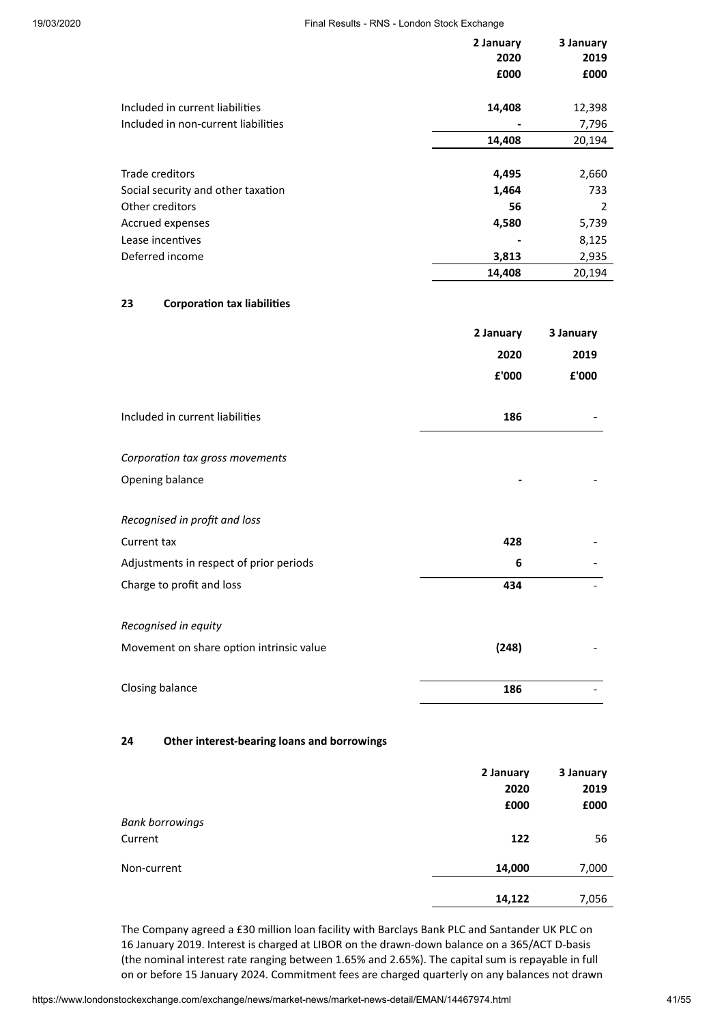| 19/03/2020 | Final Results - RNS - London Stock Exchange |                   |                   |
|------------|---------------------------------------------|-------------------|-------------------|
|            |                                             | 2 January<br>2020 | 3 January<br>2019 |
|            |                                             | £000              | £000              |
|            | Included in current liabilities             | 14,408            | 12,398            |
|            | Included in non-current liabilities         |                   | 7,796             |
|            |                                             | 14,408            | 20,194            |
|            | Trade creditors                             | 4,495             | 2,660             |
|            | Social security and other taxation          | 1,464             | 733               |
|            | Other creditors                             | 56                | 2                 |
|            | Accrued expenses                            | 4,580             | 5,739             |
|            | Lease incentives                            |                   | 8,125             |
|            | Deferred income                             | 3,813             | 2,935             |
|            |                                             | 14,408            | 20,194            |
|            | 23<br><b>Corporation tax liabilities</b>    |                   |                   |
|            |                                             | 2 January         | 3 January         |
|            |                                             | 2020              | 2019              |
|            |                                             | £'000             | £'000             |
|            | Included in current liabilities             | 186               |                   |
|            | Corporation tax gross movements             |                   |                   |
|            | Opening balance                             |                   |                   |
|            | Recognised in profit and loss               |                   |                   |
|            | Current tax                                 | 428               |                   |
|            | Adjustments in respect of prior periods     | 6                 |                   |
|            | Charge to profit and loss                   | 434               |                   |
|            | Recognised in equity                        |                   |                   |
|            | Movement on share option intrinsic value    | (248)             |                   |
|            |                                             |                   |                   |

Closing balance **186** - **186** - **186** - **186** - **186** 

#### **24 Other interest-bearing loans and borrowings**

|                        | 2 January | 3 January |
|------------------------|-----------|-----------|
|                        | 2020      | 2019      |
|                        | £000      | £000      |
| <b>Bank borrowings</b> |           |           |
| Current                | 122       | 56        |
| Non-current            | 14,000    | 7,000     |
|                        | 14,122    | 7,056     |

The Company agreed a £30 million loan facility with Barclays Bank PLC and Santander UK PLC on 16 January 2019. Interest is charged at LIBOR on the drawn-down balance on a 365/ACT D-basis (the nominal interest rate ranging between 1.65% and 2.65%). The capital sum is repayable in full on or before 15 January 2024. Commitment fees are charged quarterly on any balances not drawn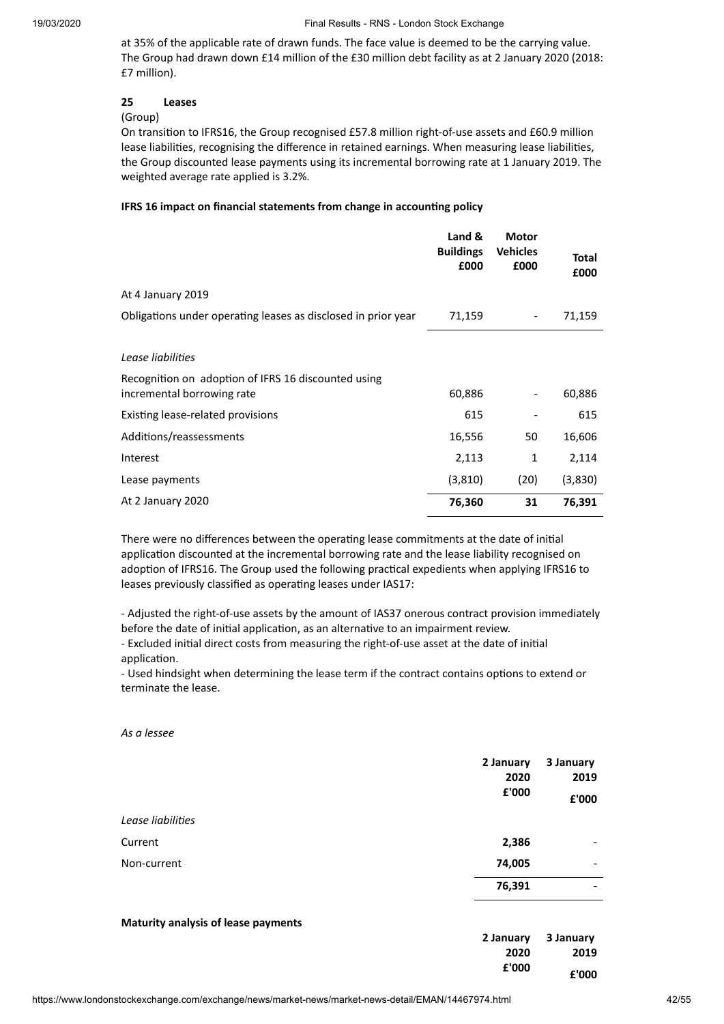at 35% of the applicable rate of drawn funds. The face value is deemed to be the carrying value. The Group had drawn down £14 million of the £30 million debt facility as at 2 January 2020 (2018: £7 million).

#### **25 Leases**

#### (Group)

On transition to IFRS16, the Group recognised £57.8 million right-of-use assets and £60.9 million lease liabilities, recognising the difference in retained earnings. When measuring lease liabilities, the Group discounted lease payments using its incremental borrowing rate at 1 January 2019. The weighted average rate applied is 3.2%.

#### **IFRS 16 impact on financial statements from change in accounng policy**

|                                                                                   | Land &<br><b>Buildings</b><br>£000 | <b>Motor</b><br><b>Vehicles</b><br>£000 | Total<br>£000 |
|-----------------------------------------------------------------------------------|------------------------------------|-----------------------------------------|---------------|
| At 4 January 2019                                                                 |                                    |                                         |               |
| Obligations under operating leases as disclosed in prior year                     | 71,159                             |                                         | 71,159        |
| Lease liabilities                                                                 |                                    |                                         |               |
| Recognition on adoption of IFRS 16 discounted using<br>incremental borrowing rate | 60,886                             |                                         | 60,886        |
| Existing lease-related provisions                                                 | 615                                |                                         | 615           |
| Additions/reassessments                                                           | 16,556                             | 50                                      | 16,606        |
| Interest                                                                          | 2,113                              | 1                                       | 2,114         |
| Lease payments                                                                    | (3,810)                            | (20)                                    | (3,830)       |
| At 2 January 2020                                                                 | 76,360                             | 31                                      | 76,391        |

There were no differences between the operating lease commitments at the date of initial application discounted at the incremental borrowing rate and the lease liability recognised on adoption of IFRS16. The Group used the following practical expedients when applying IFRS16 to leases previously classified as operating leases under IAS17:

- Adjusted the right-of-use assets by the amount of IAS37 onerous contract provision immediately before the date of initial application, as an alternative to an impairment review. - Excluded initial direct costs from measuring the right-of-use asset at the date of initial application.

- Used hindsight when determining the lease term if the contract contains options to extend or terminate the lease.

*As a lessee*

|                   | 2 January<br>2020<br>£'000 | 3 January<br>2019<br>£'000 |
|-------------------|----------------------------|----------------------------|
| Lease liabilities |                            |                            |
| Current           | 2,386                      | -                          |
| Non-current       | 74,005                     | -                          |
|                   | 76,391                     | -                          |
|                   |                            |                            |

#### **Maturity analysis of lease payments**

|       | 2 January 3 January |
|-------|---------------------|
| 2020  | 2019                |
| £'000 | £'000               |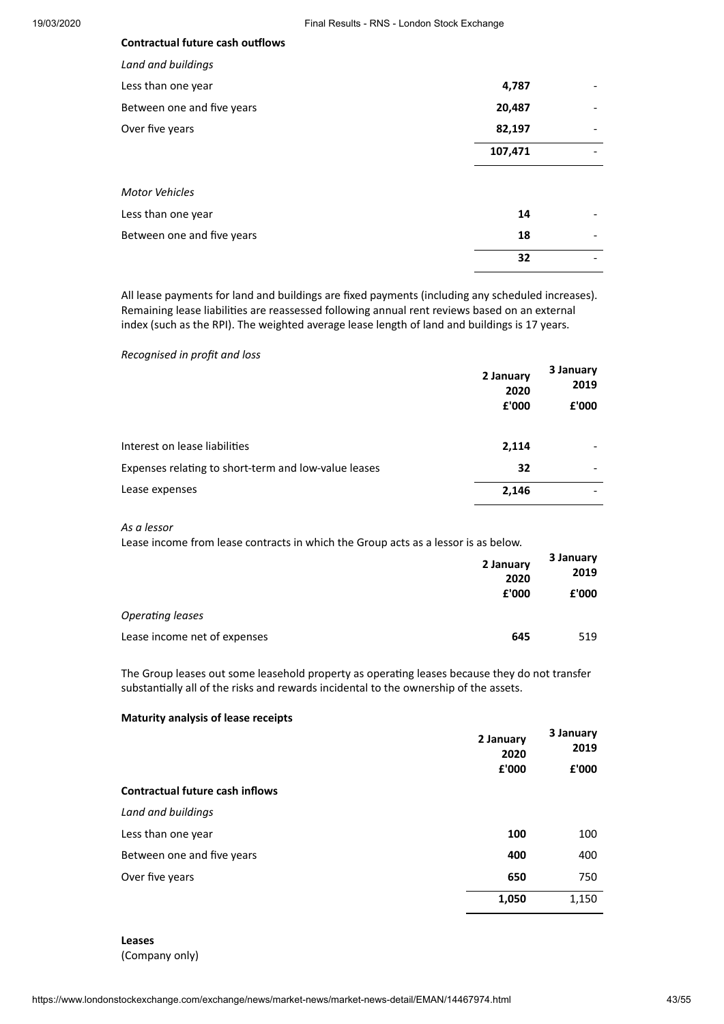# **Contractual future cash outflows** *Land and buildings* Less than one year **4,787**

| Between one and five years | 20,487  |  |
|----------------------------|---------|--|
| Over five years            | 82,197  |  |
|                            | 107,471 |  |
| Motor Vehicles             |         |  |
| Less than one year         | 14      |  |
| Between one and five years | 18      |  |
|                            | 32      |  |

All lease payments for land and buildings are fixed payments (including any scheduled increases). Remaining lease liabilities are reassessed following annual rent reviews based on an external index (such as the RPI). The weighted average lease length of land and buildings is 17 years.

#### *Recognised in profit and loss*

|                                                      | 2 January<br>2020 | 3 January<br>2019 |
|------------------------------------------------------|-------------------|-------------------|
|                                                      | £'000             | £'000             |
| Interest on lease liabilities                        | 2,114             |                   |
| Expenses relating to short-term and low-value leases | 32                |                   |
| Lease expenses                                       | 2,146             |                   |

*As a lessor*

Lease income from lease contracts in which the Group acts as a lessor is as below.

|                              | 2 January<br>2020<br>£'000 | 3 January<br>2019<br>£'000 |
|------------------------------|----------------------------|----------------------------|
| Operating leases             |                            |                            |
| Lease income net of expenses | 645                        | 519                        |

The Group leases out some leasehold property as operating leases because they do not transfer substantially all of the risks and rewards incidental to the ownership of the assets.

#### **Maturity analysis of lease receipts**

|                                        | 2 January<br>2020<br>£'000 | 3 January<br>2019<br>£'000 |
|----------------------------------------|----------------------------|----------------------------|
| <b>Contractual future cash inflows</b> |                            |                            |
| Land and buildings                     |                            |                            |
| Less than one year                     | 100                        | 100                        |
| Between one and five years             | 400                        | 400                        |
| Over five years                        | 650                        | 750                        |
|                                        | 1,050                      | 1,150                      |

**Leases** (Company only)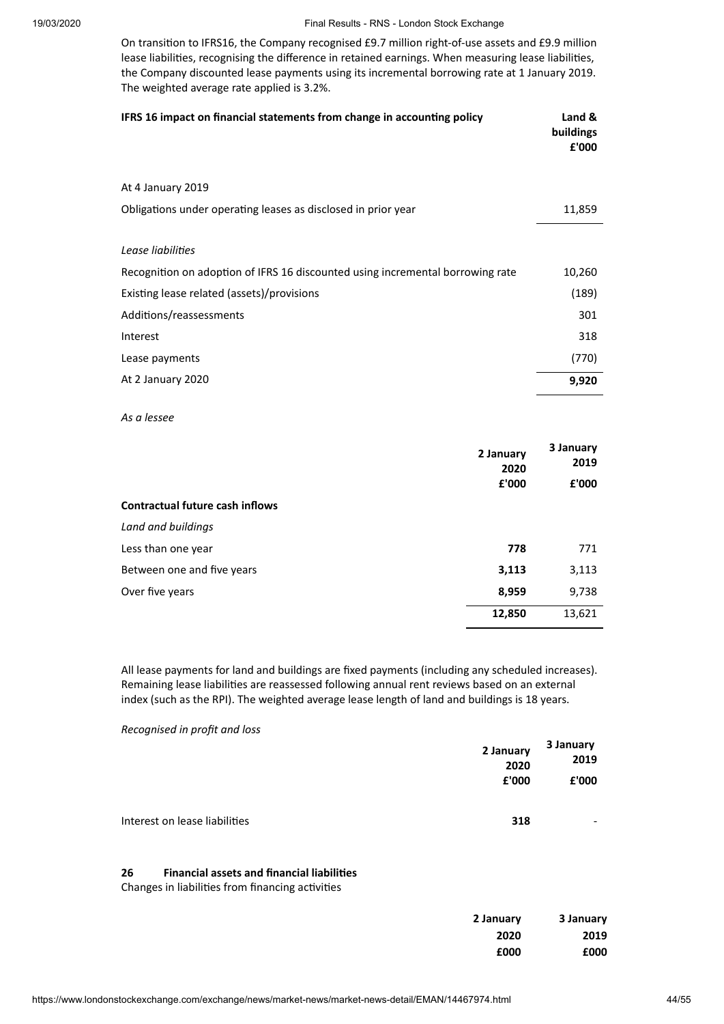On transition to IFRS16, the Company recognised £9.7 million right-of-use assets and £9.9 million lease liabilities, recognising the difference in retained earnings. When measuring lease liabilities, the Company discounted lease payments using its incremental borrowing rate at 1 January 2019. The weighted average rate applied is 3.2%.

| IFRS 16 impact on financial statements from change in accounting policy        | Land &<br>buildings<br>£'000 |
|--------------------------------------------------------------------------------|------------------------------|
| At 4 January 2019                                                              |                              |
| Obligations under operating leases as disclosed in prior year                  | 11,859                       |
|                                                                                |                              |
| Lease liabilities                                                              |                              |
| Recognition on adoption of IFRS 16 discounted using incremental borrowing rate | 10,260                       |
| Existing lease related (assets)/provisions                                     | (189)                        |
| Additions/reassessments                                                        | 301                          |
| Interest                                                                       | 318                          |
| Lease payments                                                                 | (770)                        |
| At 2 January 2020                                                              | 9,920                        |

*As a lessee*

|                                        | 2 January<br>2020<br>£'000 | 3 January<br>2019<br>£'000 |
|----------------------------------------|----------------------------|----------------------------|
| <b>Contractual future cash inflows</b> |                            |                            |
| Land and buildings                     |                            |                            |
| Less than one year                     | 778                        | 771                        |
| Between one and five years             | 3,113                      | 3,113                      |
| Over five years                        | 8,959                      | 9,738                      |
|                                        | 12,850                     | 13,621                     |

All lease payments for land and buildings are fixed payments (including any scheduled increases). Remaining lease liabilities are reassessed following annual rent reviews based on an external index (such as the RPI). The weighted average lease length of land and buildings is 18 years.

*Recognised in profit and loss*

|                               | 2 January<br>2020 | 3 January<br>2019        |
|-------------------------------|-------------------|--------------------------|
|                               | £'000             | £'000                    |
| Interest on lease liabilities | 318               | $\overline{\phantom{0}}$ |

#### **26 Financial assets and financial liabilies**

Changes in liabilities from financing activities

| 2 January | 3 January |
|-----------|-----------|
| 2020      | 2019      |
| £000      | £000      |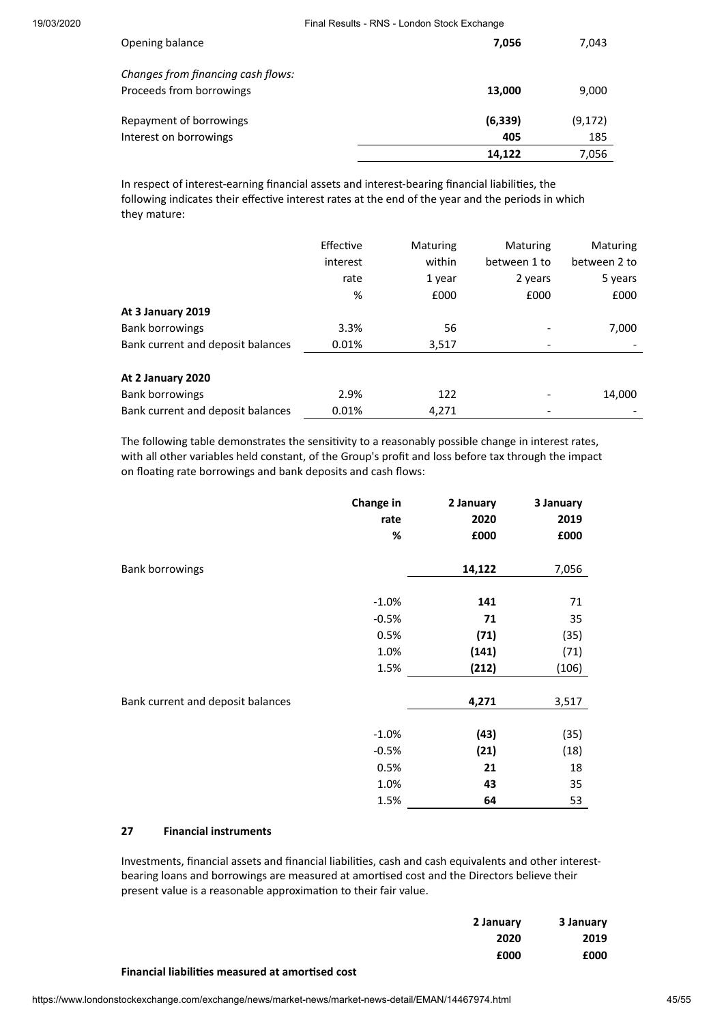| Opening balance                                                | 7,056           | 7,043           |
|----------------------------------------------------------------|-----------------|-----------------|
| Changes from financing cash flows:<br>Proceeds from borrowings | 13,000          | 9,000           |
| Repayment of borrowings<br>Interest on borrowings              | (6, 339)<br>405 | (9, 172)<br>185 |
|                                                                | 14,122          | 7,056           |

In respect of interest-earning financial assets and interest-bearing financial liabilities, the following indicates their effective interest rates at the end of the year and the periods in which they mature:

|                                   | Effective<br>interest | Maturing<br>within | Maturing<br>between 1 to | <b>Maturing</b><br>between 2 to |  |
|-----------------------------------|-----------------------|--------------------|--------------------------|---------------------------------|--|
|                                   | rate                  | 1 year             | 2 years                  | 5 years                         |  |
|                                   | %                     | £000               | £000                     | £000                            |  |
| At 3 January 2019                 |                       |                    |                          |                                 |  |
| <b>Bank borrowings</b>            | 3.3%                  | 56                 |                          | 7,000                           |  |
| Bank current and deposit balances | 0.01%                 | 3,517              |                          | ۰                               |  |
|                                   |                       |                    |                          |                                 |  |
| At 2 January 2020                 |                       |                    |                          |                                 |  |
| <b>Bank borrowings</b>            | 2.9%                  | 122                |                          | 14,000                          |  |
| Bank current and deposit balances | 0.01%                 | 4,271              | -                        |                                 |  |

The following table demonstrates the sensitivity to a reasonably possible change in interest rates, with all other variables held constant, of the Group's profit and loss before tax through the impact on floating rate borrowings and bank deposits and cash flows:

|                                   | Change in | 2 January | 3 January |
|-----------------------------------|-----------|-----------|-----------|
|                                   | rate      | 2020      | 2019      |
|                                   | %         | £000      | £000      |
| <b>Bank borrowings</b>            |           | 14,122    | 7,056     |
|                                   | $-1.0%$   | 141       | 71        |
|                                   | $-0.5%$   | 71        | 35        |
|                                   | 0.5%      | (71)      | (35)      |
|                                   | 1.0%      | (141)     | (71)      |
|                                   | 1.5%      | (212)     | (106)     |
| Bank current and deposit balances |           | 4,271     | 3,517     |
|                                   | $-1.0%$   | (43)      | (35)      |
|                                   | $-0.5%$   | (21)      | (18)      |
|                                   | 0.5%      | 21        | 18        |
|                                   | 1.0%      | 43        | 35        |
|                                   | 1.5%      | 64        | 53        |

#### **27 Financial instruments**

Investments, financial assets and financial liabilities, cash and cash equivalents and other interestbearing loans and borrowings are measured at amortised cost and the Directors believe their present value is a reasonable approximation to their fair value.

| 2 January | 3 January |
|-----------|-----------|
| 2020      | 2019      |
| £000      | £000      |

#### **Financial liabilies measured at amorsed cost**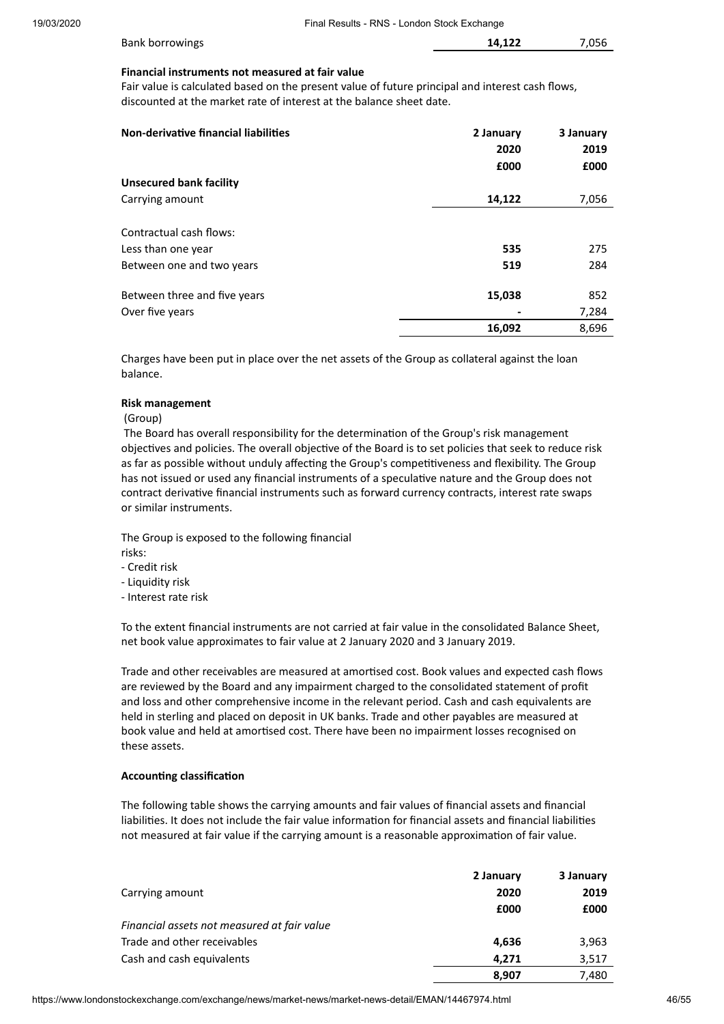| <b>Bank borrowings</b> | 14.122 | 7.056 |
|------------------------|--------|-------|
|                        |        |       |

#### **Financial instruments not measured at fair value**

Fair value is calculated based on the present value of future principal and interest cash flows, discounted at the market rate of interest at the balance sheet date.

| Non-derivative financial liabilities            | 2 January<br>2020<br>£000 | 3 January<br>2019<br>£000 |
|-------------------------------------------------|---------------------------|---------------------------|
| Unsecured bank facility                         |                           |                           |
| Carrying amount                                 | 14,122                    | 7,056                     |
| Contractual cash flows:                         |                           |                           |
| Less than one year                              | 535                       | 275                       |
| Between one and two years                       | 519                       | 284                       |
| Between three and five years<br>Over five years | 15,038                    | 852<br>7,284              |
|                                                 | 16,092                    | 8,696                     |

Charges have been put in place over the net assets of the Group as collateral against the loan balance.

#### **Risk management**

#### (Group)

The Board has overall responsibility for the determination of the Group's risk management objectives and policies. The overall objective of the Board is to set policies that seek to reduce risk as far as possible without unduly affecting the Group's competitiveness and flexibility. The Group has not issued or used any financial instruments of a speculative nature and the Group does not contract derivative financial instruments such as forward currency contracts, interest rate swaps or similar instruments.

The Group is exposed to the following financial risks:

- Credit risk
- Liquidity risk
- Interest rate risk

To the extent financial instruments are not carried at fair value in the consolidated Balance Sheet, net book value approximates to fair value at 2 January 2020 and 3 January 2019.

Trade and other receivables are measured at amortised cost. Book values and expected cash flows are reviewed by the Board and any impairment charged to the consolidated statement of profit and loss and other comprehensive income in the relevant period. Cash and cash equivalents are held in sterling and placed on deposit in UK banks. Trade and other payables are measured at book value and held at amortised cost. There have been no impairment losses recognised on these assets.

#### **Accounting classification**

The following table shows the carrying amounts and fair values of financial assets and financial liabilities. It does not include the fair value information for financial assets and financial liabilities not measured at fair value if the carrying amount is a reasonable approximation of fair value.

|                                             | 2 January | 3 January |
|---------------------------------------------|-----------|-----------|
| Carrying amount                             | 2020      | 2019      |
|                                             | £000      | £000      |
| Financial assets not measured at fair value |           |           |
| Trade and other receivables                 | 4,636     | 3,963     |
| Cash and cash equivalents                   | 4.271     | 3,517     |
|                                             | 8,907     | 7,480     |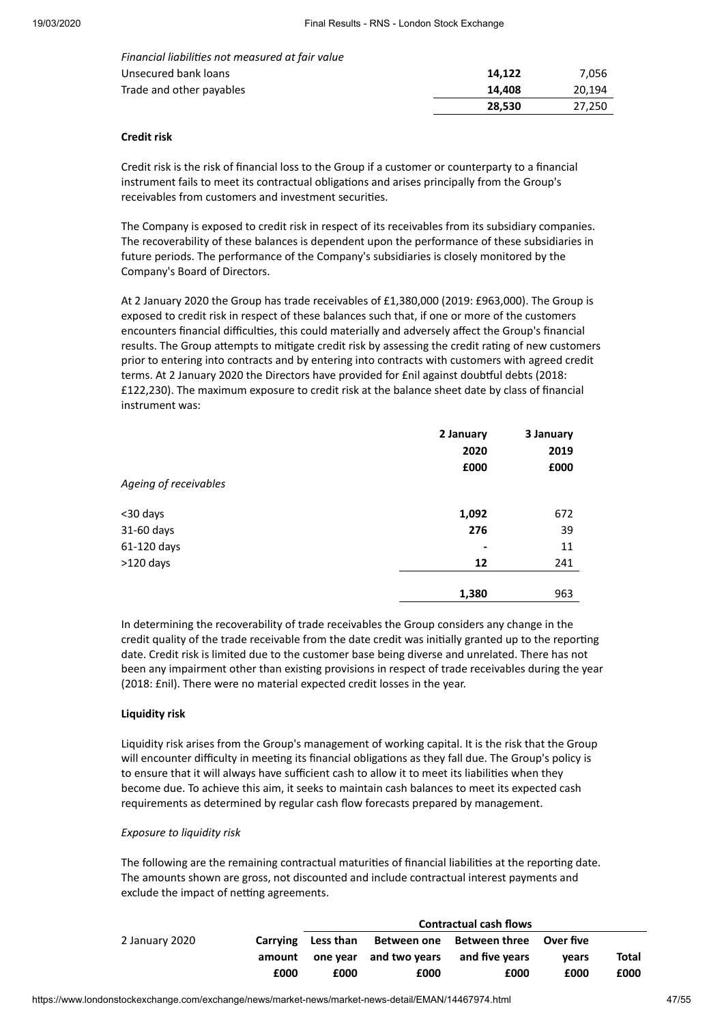| Financial liabilities not measured at fair value |        |        |
|--------------------------------------------------|--------|--------|
| Unsecured bank loans                             | 14.122 | 7.056  |
| Trade and other payables                         | 14.408 | 20.194 |
|                                                  | 28.530 | 27.250 |

#### **Credit risk**

Credit risk is the risk of financial loss to the Group if a customer or counterparty to a financial instrument fails to meet its contractual obligations and arises principally from the Group's receivables from customers and investment securities.

The Company is exposed to credit risk in respect of its receivables from its subsidiary companies. The recoverability of these balances is dependent upon the performance of these subsidiaries in future periods. The performance of the Company's subsidiaries is closely monitored by the Company's Board of Directors.

At 2 January 2020 the Group has trade receivables of £1,380,000 (2019: £963,000). The Group is exposed to credit risk in respect of these balances such that, if one or more of the customers encounters financial difficulties, this could materially and adversely affect the Group's financial results. The Group attempts to mitigate credit risk by assessing the credit rating of new customers prior to entering into contracts and by entering into contracts with customers with agreed credit terms. At 2 January 2020 the Directors have provided for £nil against doubtful debts (2018: £122,230). The maximum exposure to credit risk at the balance sheet date by class of financial instrument was:

|                       | 2 January | 3 January |  |
|-----------------------|-----------|-----------|--|
|                       | 2020      | 2019      |  |
|                       | £000      | £000      |  |
| Ageing of receivables |           |           |  |
| <30 days              | 1,092     | 672       |  |
| 31-60 days            | 276       | 39        |  |
| 61-120 days           | -         | 11        |  |
| $>120$ days           | 12        | 241       |  |
|                       | 1,380     | 963       |  |

In determining the recoverability of trade receivables the Group considers any change in the credit quality of the trade receivable from the date credit was initially granted up to the reporting date. Credit risk is limited due to the customer base being diverse and unrelated. There has not been any impairment other than existing provisions in respect of trade receivables during the year (2018: £nil). There were no material expected credit losses in the year.

#### **Liquidity risk**

Liquidity risk arises from the Group's management of working capital. It is the risk that the Group will encounter difficulty in meeting its financial obligations as they fall due. The Group's policy is to ensure that it will always have sufficient cash to allow it to meet its liabilities when they become due. To achieve this aim, it seeks to maintain cash balances to meet its expected cash requirements as determined by regular cash flow forecasts prepared by management.

#### *Exposure to liquidity risk*

The following are the remaining contractual maturities of financial liabilities at the reporting date. The amounts shown are gross, not discounted and include contractual interest payments and exclude the impact of netting agreements.

|                |          | <b>Contractual cash flows</b> |                        |                                     |       |       |
|----------------|----------|-------------------------------|------------------------|-------------------------------------|-------|-------|
| 2 January 2020 | Carrving | Less than                     |                        | Between one Between three Over five |       |       |
|                | amount   |                               | one year and two years | and five vears                      | vears | Total |
|                | £000     | £000                          | £000                   | £000                                | £000  | £000  |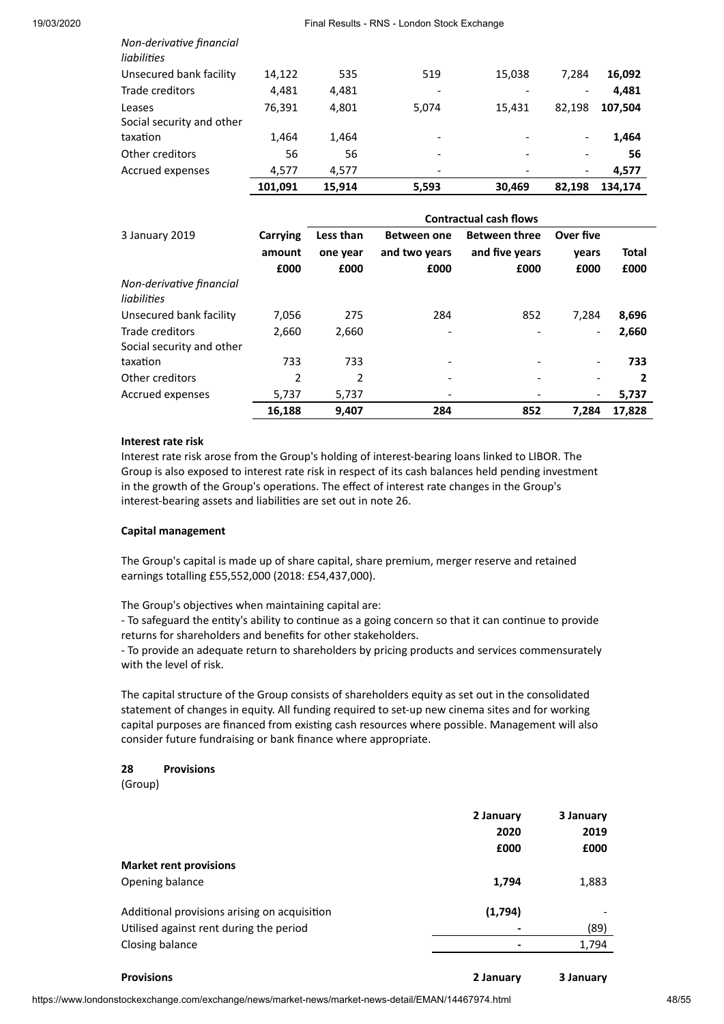|                                     | 101.091 | 15.914 | 5,593 | 30,469 | 82.198                       | 134.174 |
|-------------------------------------|---------|--------|-------|--------|------------------------------|---------|
| Accrued expenses                    | 4.577   | 4,577  |       |        | $\overline{\phantom{a}}$     | 4,577   |
| Other creditors                     | 56      | 56     |       |        | $\overline{\phantom{a}}$     | 56      |
| taxation                            | 1,464   | 1,464  | ٠     |        | $\qquad \qquad \blacksquare$ | 1,464   |
| Leases<br>Social security and other | 76,391  | 4,801  | 5,074 | 15.431 | 82.198                       | 107,504 |
| Trade creditors                     | 4,481   | 4,481  |       |        | $\overline{\phantom{a}}$     | 4,481   |
| Unsecured bank facility             | 14.122  | 535    | 519   | 15,038 | 7.284                        | 16,092  |
| liabilities                         |         |        |       |        |                              |         |

|                                              |                            | <b>Contractual cash flows</b> |                                             |                                                |                            |               |  |
|----------------------------------------------|----------------------------|-------------------------------|---------------------------------------------|------------------------------------------------|----------------------------|---------------|--|
| 3 January 2019                               | Carrying<br>amount<br>£000 | Less than<br>one year<br>£000 | <b>Between one</b><br>and two years<br>£000 | <b>Between three</b><br>and five years<br>£000 | Over five<br>vears<br>£000 | Total<br>£000 |  |
| Non-derivative financial<br>liabilities      |                            |                               |                                             |                                                |                            |               |  |
| Unsecured bank facility                      | 7,056                      | 275                           | 284                                         | 852                                            | 7.284                      | 8,696         |  |
| Trade creditors<br>Social security and other | 2,660                      | 2,660                         |                                             |                                                | $\overline{\phantom{a}}$   | 2,660         |  |
| taxation                                     | 733                        | 733                           |                                             |                                                |                            | 733           |  |
| Other creditors                              | 2                          | 2                             |                                             |                                                |                            | 2             |  |
| Accrued expenses                             | 5,737                      | 5,737                         |                                             |                                                | $\overline{\phantom{a}}$   | 5,737         |  |
|                                              | 16,188                     | 9.407                         | 284                                         | 852                                            | 7.284                      | 17.828        |  |

#### **Interest rate risk**

*Non-derivative financial* 

Interest rate risk arose from the Group's holding of interest-bearing loans linked to LIBOR. The Group is also exposed to interest rate risk in respect of its cash balances held pending investment in the growth of the Group's operations. The effect of interest rate changes in the Group's interest-bearing assets and liabilities are set out in note 26.

#### **Capital management**

The Group's capital is made up of share capital, share premium, merger reserve and retained earnings totalling £55,552,000 (2018: £54,437,000).

The Group's objectives when maintaining capital are:

- To safeguard the entity's ability to continue as a going concern so that it can continue to provide returns for shareholders and benefits for other stakeholders.

- To provide an adequate return to shareholders by pricing products and services commensurately with the level of risk.

The capital structure of the Group consists of shareholders equity as set out in the consolidated statement of changes in equity. All funding required to set-up new cinema sites and for working capital purposes are financed from existing cash resources where possible. Management will also consider future fundraising or bank finance where appropriate.

#### **28 Provisions**

(Group)

|                                              | 2 January | 3 January |
|----------------------------------------------|-----------|-----------|
|                                              | 2020      | 2019      |
|                                              | £000      | £000      |
| <b>Market rent provisions</b>                |           |           |
| Opening balance                              | 1,794     | 1,883     |
| Additional provisions arising on acquisition | (1,794)   |           |
| Utilised against rent during the period      |           | (89)      |
| Closing balance                              |           | 1,794     |
|                                              |           |           |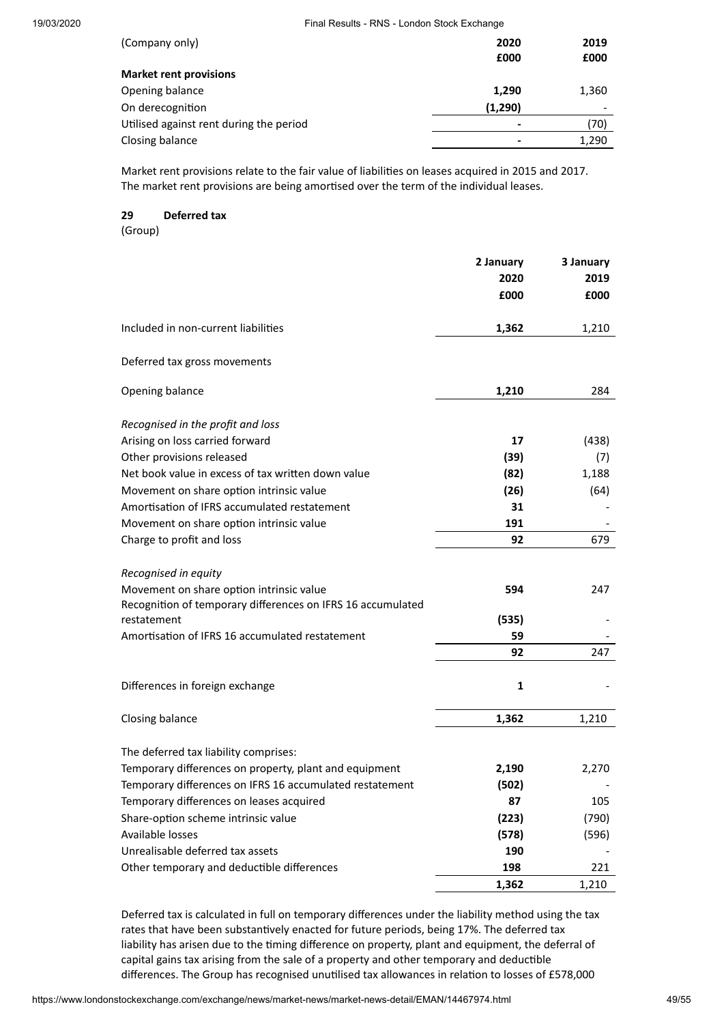| (Company only)                          | 2020<br>£000             | 2019<br>£000             |
|-----------------------------------------|--------------------------|--------------------------|
| <b>Market rent provisions</b>           |                          |                          |
| Opening balance                         | 1,290                    | 1,360                    |
| On derecognition                        | (1,290)                  | $\overline{\phantom{0}}$ |
| Utilised against rent during the period | $\blacksquare$           | (70)                     |
| Closing balance                         | $\overline{\phantom{a}}$ | 1,290                    |

Market rent provisions relate to the fair value of liabilities on leases acquired in 2015 and 2017. The market rent provisions are being amortised over the term of the individual leases.

#### **29 Deferred tax**

(Group)

|                                                             | 2 January<br>2020<br>£000 | 3 January<br>2019<br>£000 |
|-------------------------------------------------------------|---------------------------|---------------------------|
| Included in non-current liabilities                         | 1,362                     | 1,210                     |
| Deferred tax gross movements                                |                           |                           |
| Opening balance                                             | 1,210                     | 284                       |
| Recognised in the profit and loss                           |                           |                           |
| Arising on loss carried forward                             | 17                        | (438)                     |
| Other provisions released                                   | (39)                      | (7)                       |
| Net book value in excess of tax written down value          | (82)                      | 1,188                     |
| Movement on share option intrinsic value                    | (26)                      | (64)                      |
| Amortisation of IFRS accumulated restatement                | 31                        |                           |
| Movement on share option intrinsic value                    | 191                       |                           |
| Charge to profit and loss                                   | 92                        | 679                       |
| Recognised in equity                                        |                           |                           |
| Movement on share option intrinsic value                    | 594                       | 247                       |
| Recognition of temporary differences on IFRS 16 accumulated |                           |                           |
| restatement                                                 | (535)                     |                           |
| Amortisation of IFRS 16 accumulated restatement             | 59                        |                           |
|                                                             | 92                        | 247                       |
| Differences in foreign exchange                             | $\mathbf 1$               |                           |
| Closing balance                                             | 1,362                     | 1,210                     |
| The deferred tax liability comprises:                       |                           |                           |
| Temporary differences on property, plant and equipment      | 2,190                     | 2,270                     |
| Temporary differences on IFRS 16 accumulated restatement    | (502)                     |                           |
| Temporary differences on leases acquired                    | 87                        | 105                       |
| Share-option scheme intrinsic value                         | (223)                     | (790)                     |
| Available losses                                            | (578)                     | (596)                     |
| Unrealisable deferred tax assets                            | 190                       |                           |
| Other temporary and deductible differences                  | 198                       | 221                       |
|                                                             | 1,362                     | 1,210                     |
|                                                             |                           |                           |

Deferred tax is calculated in full on temporary differences under the liability method using the tax rates that have been substantively enacted for future periods, being 17%. The deferred tax liability has arisen due to the timing difference on property, plant and equipment, the deferral of capital gains tax arising from the sale of a property and other temporary and deductible differences. The Group has recognised unutilised tax allowances in relation to losses of £578,000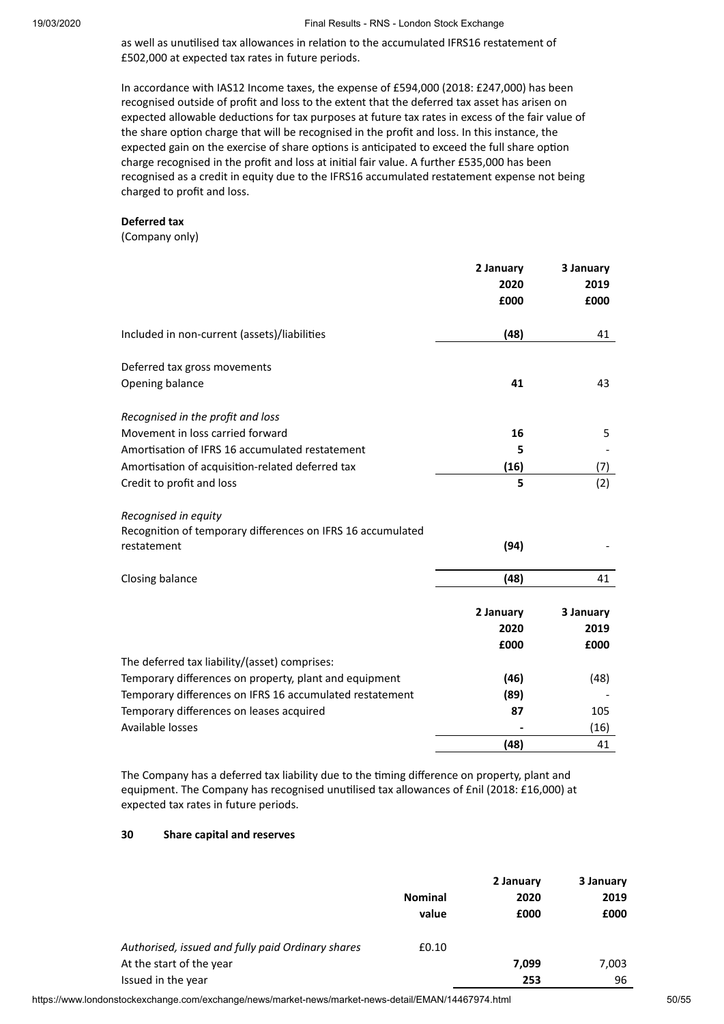as well as unutilised tax allowances in relation to the accumulated IFRS16 restatement of £502,000 at expected tax rates in future periods.

In accordance with IAS12 Income taxes, the expense of £594,000 (2018: £247,000) has been recognised outside of profit and loss to the extent that the deferred tax asset has arisen on expected allowable deductions for tax purposes at future tax rates in excess of the fair value of the share option charge that will be recognised in the profit and loss. In this instance, the expected gain on the exercise of share options is anticipated to exceed the full share option charge recognised in the profit and loss at initial fair value. A further £535,000 has been recognised as a credit in equity due to the IFRS16 accumulated restatement expense not being charged to profit and loss.

#### **Deferred tax**

(Company only)

|                                                                            | 2 January    | 3 January    |
|----------------------------------------------------------------------------|--------------|--------------|
|                                                                            | 2020<br>£000 | 2019<br>£000 |
|                                                                            |              |              |
| Included in non-current (assets)/liabilities                               | (48)         | 41           |
| Deferred tax gross movements                                               |              |              |
| Opening balance                                                            | 41           | 43           |
| Recognised in the profit and loss                                          |              |              |
| Movement in loss carried forward                                           | 16           | 5            |
| Amortisation of IFRS 16 accumulated restatement                            | 5            |              |
| Amortisation of acquisition-related deferred tax                           | (16)         | (7)          |
| Credit to profit and loss                                                  | 5            | (2)          |
| Recognised in equity                                                       |              |              |
| Recognition of temporary differences on IFRS 16 accumulated<br>restatement | (94)         |              |
| Closing balance                                                            | (48)         | 41           |
|                                                                            | 2 January    | 3 January    |
|                                                                            | 2020         | 2019         |
|                                                                            | £000         | £000         |
| The deferred tax liability/(asset) comprises:                              |              |              |
| Temporary differences on property, plant and equipment                     | (46)         | (48)         |
| Temporary differences on IFRS 16 accumulated restatement                   | (89)         |              |
| Temporary differences on leases acquired                                   | 87           | 105          |
| Available losses                                                           |              | (16)         |
|                                                                            | (48)         | 41           |

The Company has a deferred tax liability due to the timing difference on property, plant and equipment. The Company has recognised unutilised tax allowances of £nil (2018: £16,000) at expected tax rates in future periods.

#### **30 Share capital and reserves**

|                                                   | <b>Nominal</b> | 2 January<br>2020 | 3 January<br>2019 |
|---------------------------------------------------|----------------|-------------------|-------------------|
|                                                   | value          | £000              | £000              |
| Authorised, issued and fully paid Ordinary shares | £0.10          |                   |                   |
| At the start of the year                          |                | 7.099             | 7,003             |
| Issued in the year                                |                | 253               | 96                |

https://www.londonstockexchange.com/exchange/news/market-news/market-news-detail/EMAN/14467974.html 50/55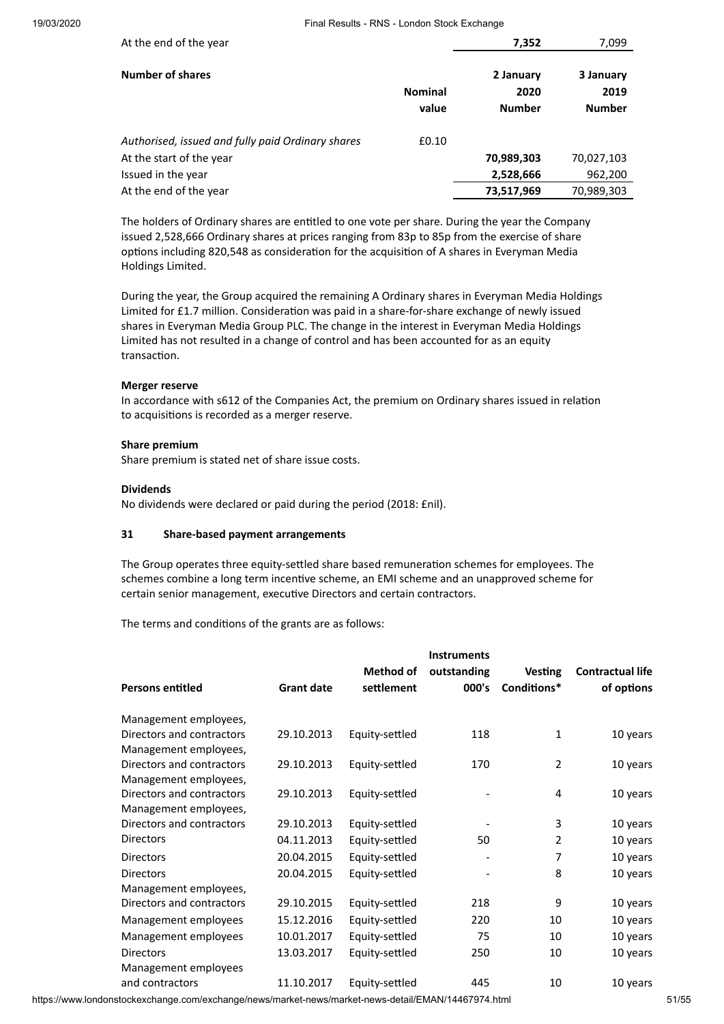| At the end of the year                            |                         | 7,352                              | 7,099                              |
|---------------------------------------------------|-------------------------|------------------------------------|------------------------------------|
| <b>Number of shares</b>                           | <b>Nominal</b><br>value | 2 January<br>2020<br><b>Number</b> | 3 January<br>2019<br><b>Number</b> |
| Authorised, issued and fully paid Ordinary shares | £0.10                   |                                    |                                    |
| At the start of the year                          |                         | 70,989,303                         | 70,027,103                         |
| Issued in the year                                |                         | 2,528,666                          | 962,200                            |
| At the end of the year                            |                         | 73,517,969                         | 70,989,303                         |

The holders of Ordinary shares are entitled to one vote per share. During the year the Company issued 2,528,666 Ordinary shares at prices ranging from 83p to 85p from the exercise of share options including 820,548 as consideration for the acquisition of A shares in Everyman Media Holdings Limited.

During the year, the Group acquired the remaining A Ordinary shares in Everyman Media Holdings Limited for £1.7 million. Consideration was paid in a share-for-share exchange of newly issued shares in Everyman Media Group PLC. The change in the interest in Everyman Media Holdings Limited has not resulted in a change of control and has been accounted for as an equity transaction.

#### **Merger reserve**

In accordance with s612 of the Companies Act, the premium on Ordinary shares issued in relation to acquisitions is recorded as a merger reserve.

#### **Share premium**

Share premium is stated net of share issue costs.

#### **Dividends**

No dividends were declared or paid during the period (2018: £nil).

#### **31 Share-based payment arrangements**

The Group operates three equity-settled share based remuneration schemes for employees. The schemes combine a long term incentive scheme, an EMI scheme and an unapproved scheme for certain senior management, executive Directors and certain contractors.

The terms and conditions of the grants are as follows:

| <b>Persons entitled</b>                            | <b>Grant date</b> | <b>Method of</b><br>settlement | <b>Instruments</b><br>outstanding<br>000's | <b>Vesting</b><br>Conditions* | <b>Contractual life</b><br>of options |
|----------------------------------------------------|-------------------|--------------------------------|--------------------------------------------|-------------------------------|---------------------------------------|
| Management employees,                              |                   |                                |                                            |                               |                                       |
| Directors and contractors<br>Management employees, | 29.10.2013        | Equity-settled                 | 118                                        | $\mathbf{1}$                  | 10 years                              |
| Directors and contractors<br>Management employees, | 29.10.2013        | Equity-settled                 | 170                                        | $\overline{2}$                | 10 years                              |
| Directors and contractors<br>Management employees, | 29.10.2013        | Equity-settled                 |                                            | 4                             | 10 years                              |
| Directors and contractors                          | 29.10.2013        | Equity-settled                 |                                            | 3                             | 10 years                              |
| <b>Directors</b>                                   | 04.11.2013        | Equity-settled                 | 50                                         | $\overline{2}$                | 10 years                              |
| <b>Directors</b>                                   | 20.04.2015        | Equity-settled                 |                                            | 7                             | 10 years                              |
| <b>Directors</b>                                   | 20.04.2015        | Equity-settled                 |                                            | 8                             | 10 years                              |
| Management employees,                              |                   |                                |                                            |                               |                                       |
| Directors and contractors                          | 29.10.2015        | Equity-settled                 | 218                                        | 9                             | 10 years                              |
| Management employees                               | 15.12.2016        | Equity-settled                 | 220                                        | 10                            | 10 years                              |
| Management employees                               | 10.01.2017        | Equity-settled                 | 75                                         | 10                            | 10 years                              |
| <b>Directors</b><br>Management employees           | 13.03.2017        | Equity-settled                 | 250                                        | 10                            | 10 years                              |
| and contractors                                    | 11.10.2017        | Equity-settled                 | 445                                        | 10                            | 10 years                              |

https://www.londonstockexchange.com/exchange/news/market-news/market-news-detail/EMAN/14467974.html 51/55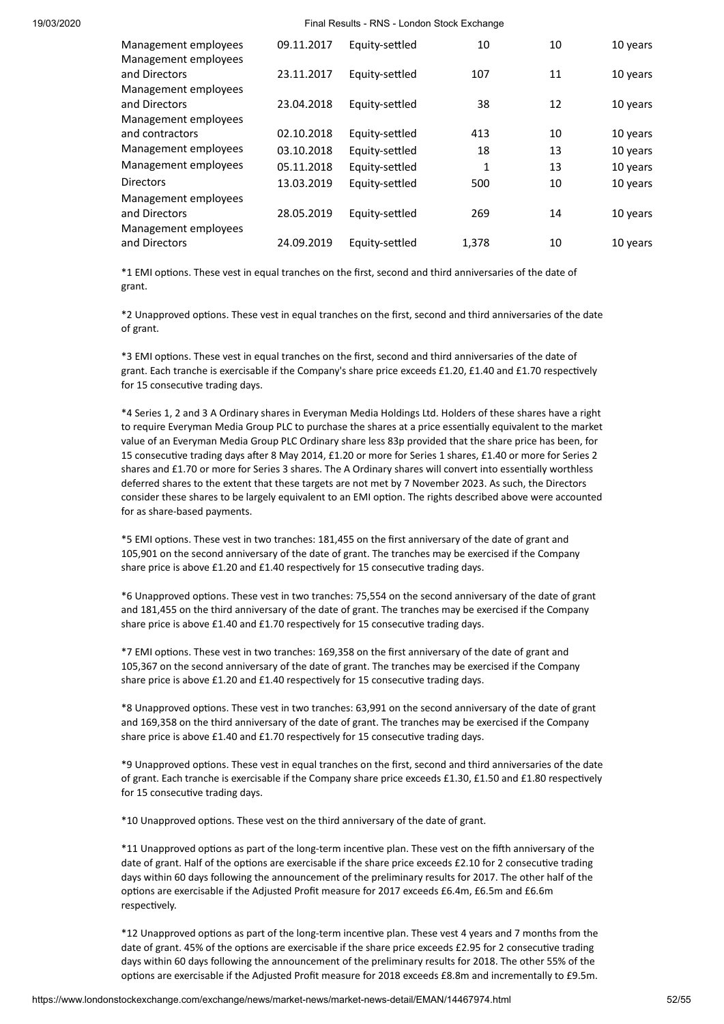| Management employees<br>Management employees                  | 09.11.2017 | Equity-settled | 10           | 10 | 10 years |
|---------------------------------------------------------------|------------|----------------|--------------|----|----------|
| and Directors<br>Management employees                         | 23.11.2017 | Equity-settled | 107          | 11 | 10 years |
| and Directors<br>Management employees                         | 23.04.2018 | Equity-settled | 38           | 12 | 10 years |
| and contractors                                               | 02.10.2018 | Equity-settled | 413          | 10 | 10 years |
| Management employees                                          | 03.10.2018 | Equity-settled | 18           | 13 | 10 years |
| Management employees                                          | 05.11.2018 | Equity-settled | $\mathbf{1}$ | 13 | 10 years |
| <b>Directors</b>                                              | 13.03.2019 | Equity-settled | 500          | 10 | 10 years |
| Management employees<br>and Directors<br>Management employees | 28.05.2019 | Equity-settled | 269          | 14 | 10 years |
| and Directors                                                 | 24.09.2019 | Equity-settled | 1.378        | 10 | 10 years |

\*1 EMI options. These vest in equal tranches on the first, second and third anniversaries of the date of grant.

\*2 Unapproved options. These vest in equal tranches on the first, second and third anniversaries of the date of grant.

\*3 EMI options. These vest in equal tranches on the first, second and third anniversaries of the date of grant. Each tranche is exercisable if the Company's share price exceeds £1.20, £1.40 and £1.70 respectively for 15 consecutive trading days.

\*4 Series 1, 2 and 3 A Ordinary shares in Everyman Media Holdings Ltd. Holders of these shares have a right to require Everyman Media Group PLC to purchase the shares at a price essentially equivalent to the market value of an Everyman Media Group PLC Ordinary share less 83p provided that the share price has been, for 15 consecutive trading days after 8 May 2014, £1.20 or more for Series 1 shares, £1.40 or more for Series 2 shares and £1.70 or more for Series 3 shares. The A Ordinary shares will convert into essentially worthless deferred shares to the extent that these targets are not met by 7 November 2023. As such, the Directors consider these shares to be largely equivalent to an EMI option. The rights described above were accounted for as share-based payments.

\*5 EMI options. These vest in two tranches: 181,455 on the first anniversary of the date of grant and 105,901 on the second anniversary of the date of grant. The tranches may be exercised if the Company share price is above £1.20 and £1.40 respectively for 15 consecutive trading days.

\*6 Unapproved options. These vest in two tranches: 75,554 on the second anniversary of the date of grant and 181,455 on the third anniversary of the date of grant. The tranches may be exercised if the Company share price is above £1.40 and £1.70 respectively for 15 consecutive trading days.

\*7 EMI options. These vest in two tranches: 169,358 on the first anniversary of the date of grant and 105,367 on the second anniversary of the date of grant. The tranches may be exercised if the Company share price is above £1.20 and £1.40 respectively for 15 consecutive trading days.

\*8 Unapproved options. These vest in two tranches: 63,991 on the second anniversary of the date of grant and 169,358 on the third anniversary of the date of grant. The tranches may be exercised if the Company share price is above £1.40 and £1.70 respectively for 15 consecutive trading days.

\*9 Unapproved options. These vest in equal tranches on the first, second and third anniversaries of the date of grant. Each tranche is exercisable if the Company share price exceeds £1.30, £1.50 and £1.80 respectively for 15 consecutive trading days.

\*10 Unapproved options. These vest on the third anniversary of the date of grant.

\*11 Unapproved options as part of the long-term incentive plan. These vest on the fifth anniversary of the date of grant. Half of the options are exercisable if the share price exceeds £2.10 for 2 consecutive trading days within 60 days following the announcement of the preliminary results for 2017. The other half of the options are exercisable if the Adjusted Profit measure for 2017 exceeds £6.4m, £6.5m and £6.6m respectively.

\*12 Unapproved options as part of the long-term incentive plan. These vest 4 years and 7 months from the date of grant. 45% of the options are exercisable if the share price exceeds £2.95 for 2 consecutive trading days within 60 days following the announcement of the preliminary results for 2018. The other 55% of the options are exercisable if the Adjusted Profit measure for 2018 exceeds £8.8m and incrementally to £9.5m.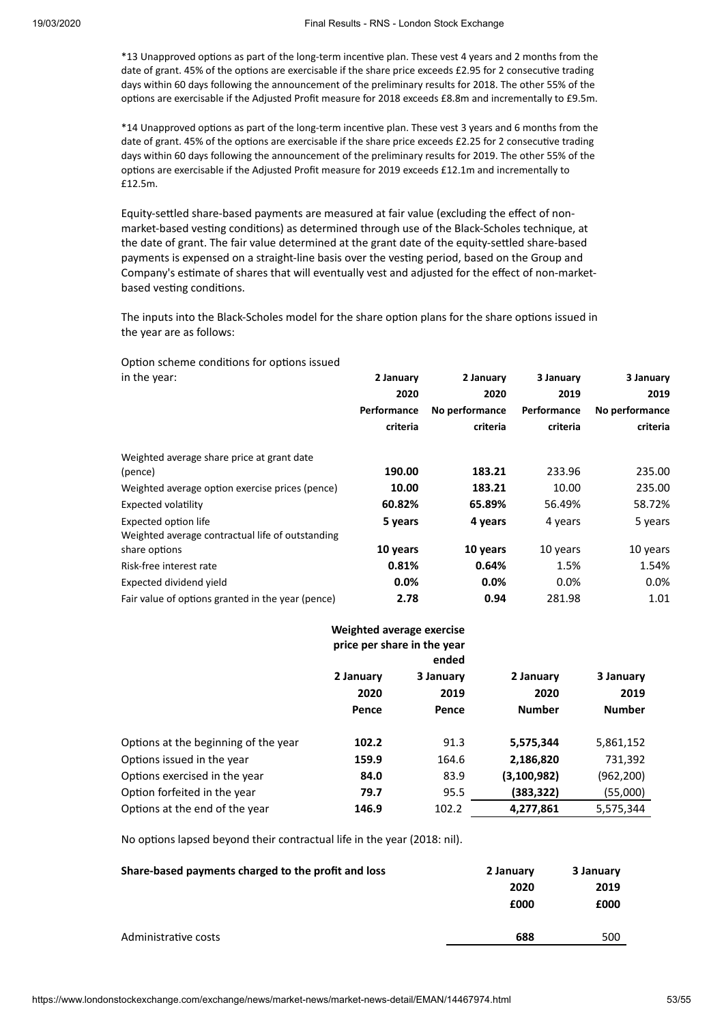\*13 Unapproved options as part of the long-term incentive plan. These vest 4 years and 2 months from the date of grant. 45% of the options are exercisable if the share price exceeds £2.95 for 2 consecutive trading days within 60 days following the announcement of the preliminary results for 2018. The other 55% of the options are exercisable if the Adjusted Profit measure for 2018 exceeds £8.8m and incrementally to £9.5m.

\*14 Unapproved options as part of the long-term incentive plan. These vest 3 years and 6 months from the date of grant. 45% of the options are exercisable if the share price exceeds £2.25 for 2 consecutive trading days within 60 days following the announcement of the preliminary results for 2019. The other 55% of the options are exercisable if the Adjusted Profit measure for 2019 exceeds £12.1m and incrementally to £12.5m.

Equity-settled share-based payments are measured at fair value (excluding the effect of nonmarket-based vesting conditions) as determined through use of the Black-Scholes technique, at the date of grant. The fair value determined at the grant date of the equity-settled share-based payments is expensed on a straight-line basis over the vesting period, based on the Group and Company's estimate of shares that will eventually vest and adjusted for the effect of non-marketbased vesting conditions.

The inputs into the Black-Scholes model for the share option plans for the share options issued in the year are as follows:

Option scheme conditions for options issued

| in the year:                                      | 2 January   | 2 January      | 3 January   | 3 January      |
|---------------------------------------------------|-------------|----------------|-------------|----------------|
|                                                   | 2020        | 2020           | 2019        | 2019           |
|                                                   | Performance | No performance | Performance | No performance |
|                                                   | criteria    | criteria       | criteria    | criteria       |
| Weighted average share price at grant date        |             |                |             |                |
| (pence)                                           | 190.00      | 183.21         | 233.96      | 235.00         |
| Weighted average option exercise prices (pence)   | 10.00       | 183.21         | 10.00       | 235.00         |
| Expected volatility                               | 60.82%      | 65.89%         | 56.49%      | 58.72%         |
| <b>Expected option life</b>                       | 5 years     | 4 years        | 4 years     | 5 years        |
| Weighted average contractual life of outstanding  |             |                |             |                |
| share options                                     | 10 years    | 10 years       | 10 years    | 10 years       |
| Risk-free interest rate                           | 0.81%       | 0.64%          | 1.5%        | 1.54%          |
| Expected dividend yield                           | $0.0\%$     | 0.0%           | $0.0\%$     | $0.0\%$        |
| Fair value of options granted in the year (pence) | 2.78        | 0.94           | 281.98      | 1.01           |

|                                      |                            | Weighted average exercise<br>price per share in the year<br>ended |                                    |                                    |
|--------------------------------------|----------------------------|-------------------------------------------------------------------|------------------------------------|------------------------------------|
|                                      | 2 January<br>2020<br>Pence | 3 January<br>2019<br>Pence                                        | 2 January<br>2020<br><b>Number</b> | 3 January<br>2019<br><b>Number</b> |
| Options at the beginning of the year | 102.2                      | 91.3                                                              | 5,575,344                          | 5,861,152                          |
| Options issued in the year           | 159.9                      | 164.6                                                             | 2,186,820                          | 731,392                            |
| Options exercised in the year        | 84.0                       | 83.9                                                              | (3,100,982)                        | (962, 200)                         |
| Option forfeited in the year         | 79.7                       | 95.5                                                              | (383,322)                          | (55,000)                           |
| Options at the end of the year       | 146.9                      | 102.2                                                             | 4,277,861                          | 5,575,344                          |

No options lapsed beyond their contractual life in the year (2018: nil).

| Share-based payments charged to the profit and loss | 2 January | 3 January |
|-----------------------------------------------------|-----------|-----------|
|                                                     | 2020      | 2019      |
|                                                     | £000      | £000      |
|                                                     |           |           |
| Administrative costs                                | 688       | 500       |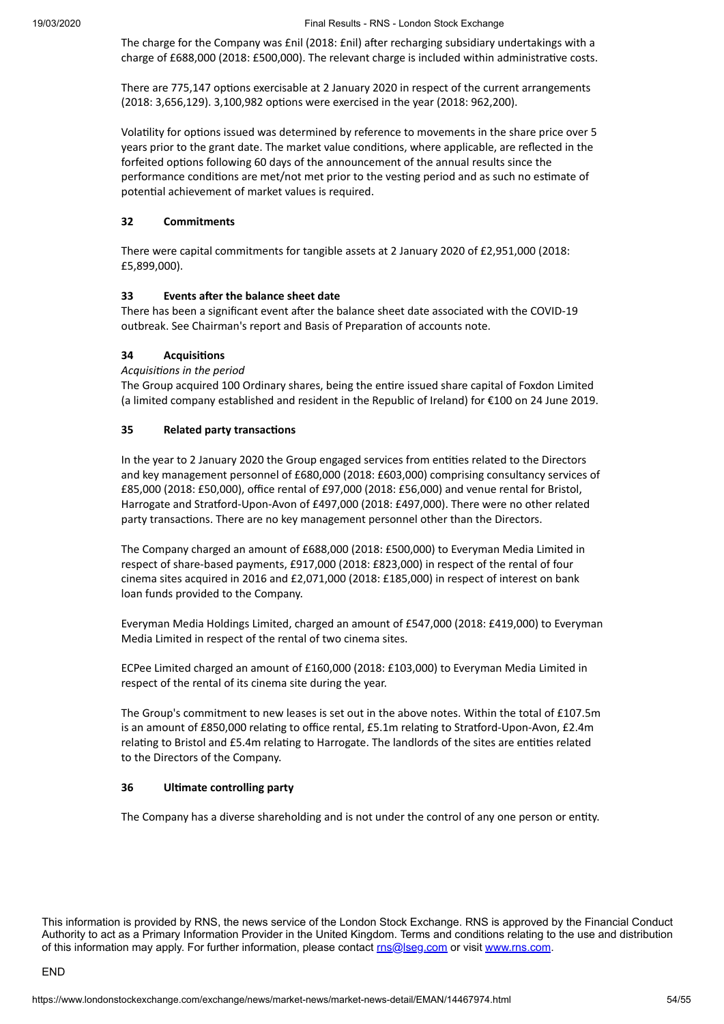The charge for the Company was £nil (2018: £nil) after recharging subsidiary undertakings with a charge of £688,000 (2018: £500,000). The relevant charge is included within administrative costs.

There are 775,147 options exercisable at 2 January 2020 in respect of the current arrangements (2018: 3,656,129). 3,100,982 options were exercised in the year (2018: 962,200).

Volatility for options issued was determined by reference to movements in the share price over 5 years prior to the grant date. The market value conditions, where applicable, are reflected in the forfeited options following 60 days of the announcement of the annual results since the performance conditions are met/not met prior to the vesting period and as such no estimate of potential achievement of market values is required.

#### **32 Commitments**

There were capital commitments for tangible assets at 2 January 2020 of £2,951,000 (2018: £5,899,000).

#### **33 Events** after the balance sheet date

There has been a significant event after the balance sheet date associated with the COVID-19 outbreak. See Chairman's report and Basis of Preparation of accounts note.

#### **34 Acquisions**

#### *Acquisions in the period*

The Group acquired 100 Ordinary shares, being the entire issued share capital of Foxdon Limited (a limited company established and resident in the Republic of Ireland) for €100 on 24 June 2019.

#### **35 Related party transactions**

In the year to 2 January 2020 the Group engaged services from entities related to the Directors and key management personnel of £680,000 (2018: £603,000) comprising consultancy services of £85,000 (2018: £50,000), office rental of £97,000 (2018: £56,000) and venue rental for Bristol, Harrogate and Stratford-Upon-Avon of £497,000 (2018: £497,000). There were no other related party transactions. There are no key management personnel other than the Directors.

The Company charged an amount of £688,000 (2018: £500,000) to Everyman Media Limited in respect of share-based payments, £917,000 (2018: £823,000) in respect of the rental of four cinema sites acquired in 2016 and £2,071,000 (2018: £185,000) in respect of interest on bank loan funds provided to the Company.

Everyman Media Holdings Limited, charged an amount of £547,000 (2018: £419,000) to Everyman Media Limited in respect of the rental of two cinema sites.

ECPee Limited charged an amount of £160,000 (2018: £103,000) to Everyman Media Limited in respect of the rental of its cinema site during the year.

The Group's commitment to new leases is set out in the above notes. Within the total of £107.5m is an amount of £850,000 relating to office rental, £5.1m relating to Stratford-Upon-Avon, £2.4m relating to Bristol and £5.4m relating to Harrogate. The landlords of the sites are entities related to the Directors of the Company.

#### **36 Ulmate controlling party**

The Company has a diverse shareholding and is not under the control of any one person or entity.

This information is provided by RNS, the news service of the London Stock Exchange. RNS is approved by the Financial Conduct Authority to act as a Primary Information Provider in the United Kingdom. Terms and conditions relating to the use and distribution of this information may apply. For further information, please contact [rns@lseg.com](mailto:rns@lseg.com) or visit [www.rns.com](http://www.rns.com/).